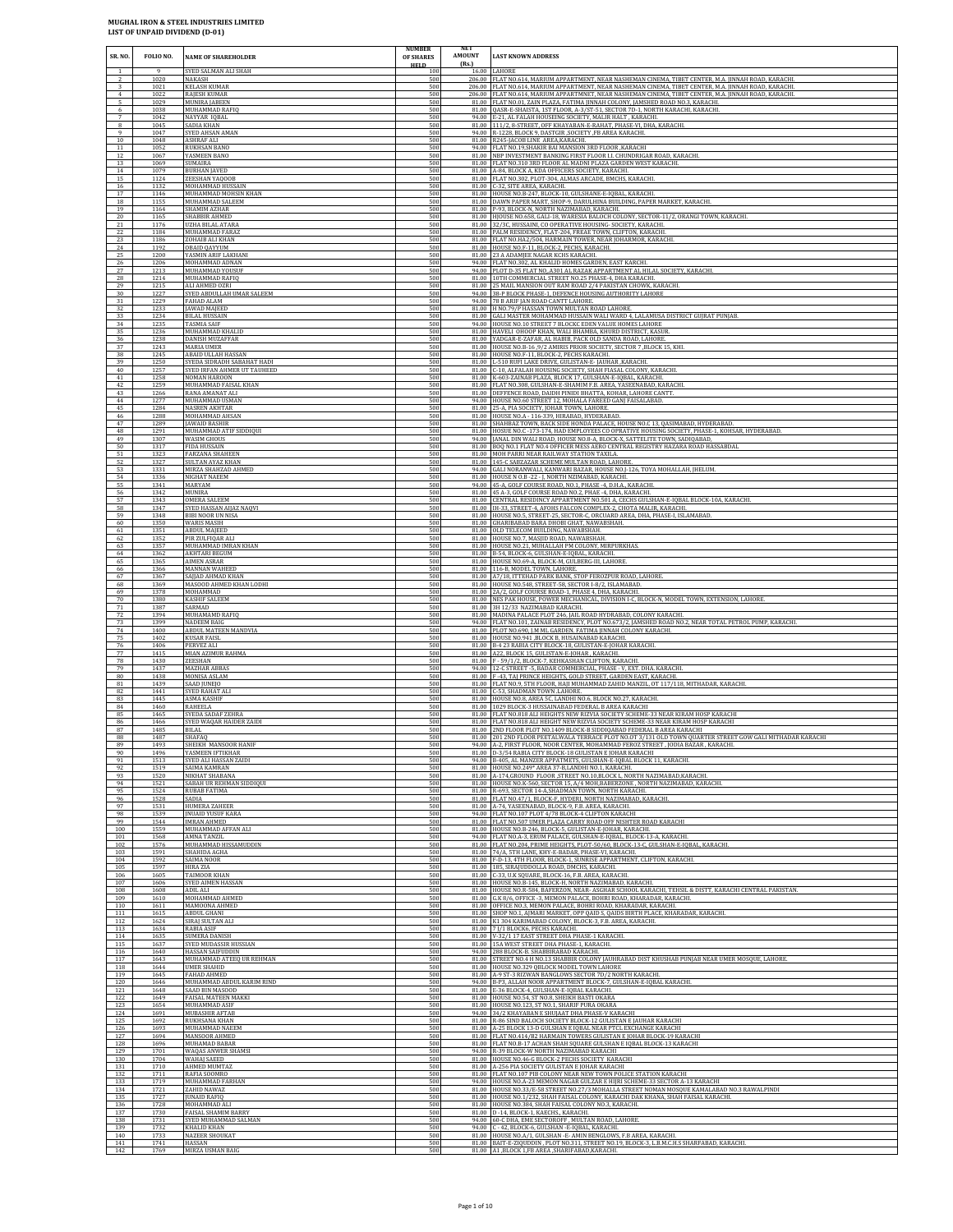| SR. NO.         | FOLIO NO.            | <b>NAME OF SHAREHOLDER</b>                                    | <b>NUMBER</b><br>OF SHARES | <b>AMOUNT</b><br>(Rs.) | <b>LAST KNOWN ADDRESS</b>                                                                                                                                                                                               |
|-----------------|----------------------|---------------------------------------------------------------|----------------------------|------------------------|-------------------------------------------------------------------------------------------------------------------------------------------------------------------------------------------------------------------------|
| $\overline{1}$  | $\alpha$<br>1020     | SYED SALMAN ALI SHAH<br>NAKASH                                | <b>HELD</b><br>100<br>500  |                        | 16.00 LAHORE<br>206.00 FLAT NO.614, MARIUM APPARTMENT, NEAR NASHEMAN CINEMA, TIBET CENTER, M.A. JINNAH ROAD, KARACHI                                                                                                    |
| 3               | 1021                 | <b>KELASH KUMAR</b>                                           | 500                        | 81.00                  | 206.00 FLAT NO.614, MARIUM APPARTMENT, NEAR NASHEMAN CINEMA, TIBET CENTER, M.A. JINNAH ROAD, KARACHI                                                                                                                    |
| $\overline{4}$  | 1022                 | RAJESH KUMAR                                                  | 500                        |                        | 206.00 FLAT NO.614, MARIUM APPARTMNET, NEAR NASHEMAN CINEMA, TIBET CENTER, M.A. JINNAH ROAD, KARACHI.                                                                                                                   |
| 5               | 1029                 | MUNIRA JABEEN                                                 | 500                        |                        | FLAT NO.01, ZAIN PLAZA, FATIMA JINNAH COLONY, JAMSHED ROAD NO.3, KARACHI.                                                                                                                                               |
| 6<br>$^{\rm 8}$ | 1038<br>1042<br>1045 | MUHAMMAD RAFIO<br>NAYYAR IQBAL<br>SADIA KHAN                  | 500<br>500<br>500          |                        | 81.00 QASR-E-SHAISTA, 1ST FLOOR, A-3/ST-51, SECTOR 7D-1, NORTH KARACHI, KARACHI.<br>94.00 E-21, AL FALAH HOUSEING SOCIETY, MALIR HALT, KARACHI.<br>81.00 111/2, 8-STREET, OFF KHAYABAN-E-RAHAT, PHASE-VI, DHA, KARACHI. |
| 9               | 1047                 | SYED AHSAN AMAN                                               | 500                        |                        | 94.00 R-1228, BLOCK 9, DASTGIR , SOCIETY , FB AREA KARACHI.                                                                                                                                                             |
| 10              | 1048                 | <b>ASHRAF ALI</b>                                             | 500                        |                        | 81.00 R245-JACOB LINE AREA, KARACHI                                                                                                                                                                                     |
| $11\,$          | 1052                 | RUKHSAN BANO                                                  | 500                        |                        | 94.00 FLAT NO.19, SHAKIR BAI MANSION 3RD FLOOR , KARACHI                                                                                                                                                                |
| 12              | 1067                 | YASMEEN BANO                                                  | 500                        |                        | 81.00 NBP INVESTMENT BANKING FIRST FLOOR I.I. CHUNDRIGAR ROAD, KARACHI                                                                                                                                                  |
| 13              | 1069                 | SUMAIRA                                                       | 500                        |                        | 81.00 FLAT NO.310 3RD FLOOR AL MADNI PLAZA GARDEN WEST KARACHI.                                                                                                                                                         |
| 14              | 1079                 | <b>BURHAN JAVED</b>                                           | 500                        |                        | 81.00 A-84, BLOCK A, KDA OFFICERS SOCIETY, KARACHI.                                                                                                                                                                     |
| 15              | 1124                 | ZEESHAN YAQOOB                                                | 500                        |                        | 81.00 FLAT NO.302, PLOT-304, ALMAS ARCADE, BMCHS, KARACHI.                                                                                                                                                              |
| 16              | 1132                 | MOHAMMAD HUSSAIN                                              | 500                        |                        | 81.00 C-32, SITE AREA, KARACHI.                                                                                                                                                                                         |
| 17              | 1146                 | MUHAMMAD MOHSIN KHAN                                          | 500                        |                        | 81.00 HOUSE NO.B-247, BLOCK-10, GULSHANE-E-IQBAL, KARACHI.                                                                                                                                                              |
| 18              | 1155                 | MUHAMMAD SALEEM                                               | 500                        |                        | 81.00 DAWN PAPER MART, SHOP-9, DARULHINA BUILDING, PAPER MARKET, KARACHI.                                                                                                                                               |
| 19              | 1164                 | SHAMIM AZHAR                                                  | 500                        |                        | 81.00 P-93, BLOCK-N, NORTH NAZIMABAD, KARACHI.                                                                                                                                                                          |
| 20              | 1165                 | SHABBIR AHMED                                                 | 500                        |                        | 81.00 HJOUSE NO.658, GALI-18, WARESIA BALOCH COLONY, SECTOR-11/2, ORANGI TOWN, KARACHI.                                                                                                                                 |
| 21              | 1176                 | <b>UZHA BILAL ATARA</b>                                       | 500                        |                        | 81.00 32/3C, HUSSAINI, CO OPERATIVE HOUSING- SOCIETY, KARACHI.                                                                                                                                                          |
| $22\,$          | 1184                 | MUHAMMAD FARAZ                                                | 500                        |                        | 81.00 PALM RESIDENCY, FLAT-204, FREAE TOWN, CLIFTON, KARACHI.                                                                                                                                                           |
| 23              | 1186                 | ZOHAIB ALI KHAN                                               | 500                        |                        | 81.00 FLAT NO.HA2/504, HARMAIN TOWER, NEAR JOHARMOR, KARACHI                                                                                                                                                            |
| 24              | 1192                 | OBAID OAYYUM                                                  | 500                        |                        | 81.00 HOUSE NO.F-11, BLOCK-2, PECHS, KARACHI.                                                                                                                                                                           |
| 25              | 1200                 | YASMIN ARIF LAKHANI                                           | 500                        |                        | 81.00 23 A ADAMJEE NAGAR KCHS KARACHI.                                                                                                                                                                                  |
| $26\,$          | 1206                 | MOHAMMAD ADNAN                                                | 500                        |                        | 94.00 FLAT NO.302, AL KHALID HOMES GARDEN, EAST KARCHI.                                                                                                                                                                 |
| 27              | 1213                 | MUHAMMAD YOUSUF                                               | 500                        |                        | 94.00 PLOT D-35 FLAT NO, A301 AL RAZAK APPARTMENT AL HILAL SOCIETY, KARACHI 81.00 10TH COMMERCIAL STREET NO.25 PHASE-4, DHA KARACHI.                                                                                    |
| 28<br>29<br>30  | 1214<br>1215<br>1227 | MUHAMMAD RAFIQ<br>ALI AHMED OZRI<br>SYED ABDULLAH UMAR SALEEM | 500<br>500<br>500          |                        | 81.00 25 MAIL MANSION OUT RAM ROAD 2/4 PAKISTAN CHOWK, KARACHI.<br>94.00 38-P BLOCK PHASE-1, DEFENCE HOUSING AUTHORITY LAHORE                                                                                           |
| 31              | 1229                 | FAHAD ALAM                                                    | 500                        |                        | 94.00 78 B ARIF JAN ROAD CANTT LAHORE.                                                                                                                                                                                  |
| 32              | 1233                 | <b>JAWAD MAJEED</b>                                           | 500                        |                        | 81.00 H NO.79/P HASSAN TOWN MULTAN ROAD LAHORE.                                                                                                                                                                         |
| 33              | 1234                 | <b>BILAL HUSSAIN</b>                                          | 500                        |                        | 81.00 GALI MASTER MOHAMMAD HUSSAIN WALI WARD 4, LALAMUSA DISTRICT GUJRAT PUNJAB.                                                                                                                                        |
| 34              | 1235                 | TASMIA SAIF                                                   | 500                        |                        | 94.00 HOUSE NO.10 STREET 7 BLOCKC EDEN VALUE HOMES LAHORE                                                                                                                                                               |
| 35              | 1236                 | MUHAMMAD KHALID                                               | 500                        |                        | 81.00 HAVELI OHOOP KHAN, WALI BHAMBA, KHURD DISTRICT, KASUR                                                                                                                                                             |
| 36              | 1238                 | DANISH MUZAFFAR                                               | 500                        | 81.00                  | 81.00 YADGAR-E-ZAFAR, AL HABIB, PACK OLD SANDA ROAD, LAHORE.                                                                                                                                                            |
| 37              | 1243                 | MARIA UMER                                                    | 500                        |                        | 81.00 HOUSE NO.B-16 ,9/2 AMIRIS PRIOR SOCIETY, SECTOR 7 ,BLOCK 15, KHI.                                                                                                                                                 |
| 38              | 1245                 | ABAID ULLAH HASSAN                                            | 500                        |                        | HOUSE NO.F-11, BLOCK-2, PECHS KARACHI.                                                                                                                                                                                  |
| 39              | 1250                 | SYEDA SIDRADH SABAHAT HADI                                    | 500                        |                        | 81.00 L-510 RUFI LAKE DRIVE, GULISTAN-E- JAUHAR , KARACHI.                                                                                                                                                              |
| $40\,$          | 1257                 | SYED IRFAN AHMER UT TAUHEED                                   | 500                        |                        | 81.00 C-10, ALFALAH HOUSING SOCIETY, SHAH FIASAL COLONY, KARACHI.                                                                                                                                                       |
| $41\,$          | 1258                 | NOMAN HAROON                                                  | 500                        |                        | 81.00 K-603-ZAINAB PLAZA, BLOCK 17, GULSHAN-E-IQBAL, KARACHI.                                                                                                                                                           |
| 42              | 1259                 | MUHAMMAD FAISAL KHAN                                          | 500                        |                        | 81.00 FLAT NO.308, GULSHAN-E-SHAMIM F.B. AREA, YASEENABAD, KARACHI                                                                                                                                                      |
| 43              | 1266                 | RANA AMANAT ALI                                               | 500                        |                        | 81.00 DEFFENCE ROAD, DAIDH PINIDI BHATTA, KOHAR, LAHORE CANTT.                                                                                                                                                          |
| $\bf 44$        | 1277                 | MUHAMMAD USMAN                                                | 500                        |                        | 94.00 HOUSE NO.60 STREET 12, MOHALA FAREED GANJ FAISALABAD.                                                                                                                                                             |
| 45              | 1284                 | <b>NASREN AKHTAR</b>                                          | 500                        |                        | 81.00 25-A, PIA SOCIETY, JOHAR TOWN, LAHORE.                                                                                                                                                                            |
| 46              | 1288                 | MOHAMMAD AHSAN                                                | 500                        |                        | 81.00 HOUSE NO.A - 116-339, HIRABAD, HYDERABAD.                                                                                                                                                                         |
| $47\,$          | 1289                 | <b>JAWAID BASHIR</b>                                          | 500                        |                        | 81.00 SHAHBAZ TOWN, BACK SIDE HONDA PALACE, HOUSE NO.C 13, QASIMABAD, HYDERABAD.                                                                                                                                        |
| $\rm 48$        | 1291                 | MUHAMMAD ATIF SIDDIQUI                                        | 500                        | 94.00                  | 81.00 HOSUE NO.C - 173-174, HAD EMPLOYEES CO OPRATIVE HOUSING SOCIETY, PHASE-1, KOHSAR, HYDERABAD.                                                                                                                      |
| 49              | 1307                 | WASIM GHOUS                                                   | 500                        |                        | JANAL DIN WALI ROAD, HOUSE NO.8-A, BLOCK-X, SATTELITE TOWN, SADIOABAD,                                                                                                                                                  |
| 50              | 1317                 | FIDA HUSSAIN                                                  | 500                        |                        | 81.00 BOQ NO.1 FLAT NO.4 OFFICER MESS AERO CENTRAL REGISTRY HAZARA ROAD HASSABDAL                                                                                                                                       |
| 51              | 1323                 | FARZANA SHAHEEN                                               | 500                        |                        | 81.00 MOH PARRI NEAR RAILWAY STATION TAXILA                                                                                                                                                                             |
| 52              | 1327                 | SULTAN AYAZ KHAN                                              | 500                        |                        | 81.00 145-C SABZAZAR SCHEME MULTAN ROAD, LAHORE.                                                                                                                                                                        |
| 53              | 1331                 | MIRZA SHAHZAD AHMED                                           | 500                        |                        | 94.00 GALI NORANWALI, KANWARI BAZAR, HOUSE NO.J-126, TOYA MOHALLAH, JHELUM.                                                                                                                                             |
| 54              | 1336                 | NIGHAT NAEEM                                                  | 500                        |                        | 81.00 HOUSE N O.B -22 - J, NORTH NZIMABAD, KARACHI.                                                                                                                                                                     |
| 55              | 1341                 | MARYAM                                                        | 500                        |                        | 94.00 45-A, GOLF COURSE ROAD, NO.1, PHASE -4, D.H.A., KARACHI.                                                                                                                                                          |
| 56              | 1342                 | MUNIRA                                                        | 500                        |                        | 81.00 45 A-3, GOLF COURSE ROAD NO.2, PHAE -4, DHA, KARACHI.                                                                                                                                                             |
| 57              | 1343                 | <b>OMERA SALEEM</b>                                           | 500                        |                        | 81.00 CENTRAL RESIDINCY APPARTMENT NO.501 A, CECHS GULSHAN-E-IQBAL BLOCK-10A, KARACHI.                                                                                                                                  |
| 58              | 1347                 | SYED HASSAN AIJAZ NAQVI                                       | 500                        |                        | 81.00 IH-33, STREET-4, AFOHS FALCON COMPLEX-2, CHOTA MALIR, KARACHI.                                                                                                                                                    |
| 59              | 1348                 | BIBI NOOR UN NISA                                             | 500                        |                        | 81.00 HOUSE NO.5, STREET-25, SECTOR-C, ORCUARD AREA, DHA, PHASE-I, ISLAMABAD.                                                                                                                                           |
| 60              | 1350                 | WARIS MASIH                                                   | 500                        |                        | 81.00 GHARIBABAD BARA DHOBI GHAT, NAWABSHAH.                                                                                                                                                                            |
| 61              | 1351                 | ABDUL MAJEED                                                  | 500                        |                        | 81.00 OLD TELECOM BUILDING, NAWABSHAH.                                                                                                                                                                                  |
| 62              | 1352                 | PIR ZULFIQAR ALI                                              | 500                        |                        | 81.00 HOUSE NO.7, MASJID ROAD, NAWABSHAH                                                                                                                                                                                |
| 63              | 1357                 | MUHAMMAD IMRAN KHAN                                           | 500                        |                        | 81.00 HOUSE NO.21, MUHALLAH PM COLONY, MIRPURKHAS.                                                                                                                                                                      |
| 64              | 1362                 | AKHTARI BEGUM                                                 | 500                        |                        | 81.00 B-54, BLOCK-6, GULSHAN-E-IQBAL, KARACHI.                                                                                                                                                                          |
| 65              | 1365                 | AIMEN ASRAR                                                   | 500                        |                        | 81.00 HOUSE NO.69-A, BLOCK-M, GULBERG-III, LAHORE.                                                                                                                                                                      |
| 66              | 1366                 | MANNAN WAHEED                                                 | 500                        |                        | 81.00 116-B, MODEL TOWN, LAHORE.                                                                                                                                                                                        |
| 67              | 1367                 | SAJJAD AHMAD KHAN                                             | 500                        |                        | 81.00 A7/18, ITTEHAD PARK BANK, STOP FEROZPUR ROAD, LAHORE.                                                                                                                                                             |
| 68              | 1369                 | MASOOD AHMED KHAN LODHI                                       | 500                        |                        | 81.00 HOUSE NO.548, STREET-58, SECTOR I-8/2, ISLAMABAD.                                                                                                                                                                 |
| 69              | 1378                 | MOHAMMAD                                                      | 500                        |                        | 81.00 ZA/2, GOLF COURSE ROAD-1, PHASE 4, DHA, KARACHI.                                                                                                                                                                  |
| 70              | 1380                 | <b>KASHIF SALEEM</b>                                          | 500                        |                        | 81.00 NES PAK HOUSE, POWER MECHANICAL, DIVISION I-C, BLOCK-N, MODEL TOWN, EXTENSION, LAHORE.                                                                                                                            |
| 71              | 1387                 | SARMAD                                                        | 500                        |                        | 81.00 3H 12/33 NAZIMABAD KARACHI.                                                                                                                                                                                       |
| $72\,$          | 1394                 | MUHAMAMD RAFIQ                                                | 500                        |                        | 81.00 MADINA PALACE PLOT 246, JAIL ROAD HYDRABAD, COLONY KARACHI.                                                                                                                                                       |
| 73              | 1399                 | NADEEM BAIG                                                   | 500                        |                        | 94.00 FLAT NO.101, ZAINAB RESIDENCY, PLOT NO.673/2, JAMSHED ROAD NO.2, NEAR TOTAL PETROL PUMP, KARACHI.                                                                                                                 |
| 74              | 1400                 | ABDUL MATEEN MANDVIA                                          | 500                        |                        | 81.00 PLOT NO.690, J.M ML GARDEN. FATIMA JINNAH COLONY KARACHI.                                                                                                                                                         |
| 75              | 1402                 | <b>KUSAR FAISL</b>                                            | 500                        |                        | 81.00 HOUSE NO.941 ,BLOCK B, HUSAINABAD KARACHL                                                                                                                                                                         |
| 76              | 1406                 | PERVEZ ALI                                                    | 500                        |                        | 81.00 B-4 23 RABIA CITY BLOCK-18, GULISTAN-E-JOHAR KARACHI.                                                                                                                                                             |
| 77              | 1415                 | MIAN AZIMUR RAHMA                                             | 500                        |                        | 81.00 A22, BLOCK 15, GULISTAN-E-JOHAR, KARACHI.                                                                                                                                                                         |
| 78              | 1430                 | ZEESHAN                                                       | 500                        |                        | 81.00 F - 59/1/2, BLOCK-7, KEHKASHAN CLIFTON, KARACHI.                                                                                                                                                                  |
| 79              | 1437                 | MAZHAR ABBAS                                                  | 500                        |                        | 94.00 12-C STREET - 5, BADAR COMMERCIAL, PHASE - V, EXT. DHA. KARACHI.                                                                                                                                                  |
| $_{\rm 80}$     | 1438                 | MONISA ASLAM                                                  | 500                        |                        | 81.00 F-43, TAJ PRINCE HEIGHTS, GOLD STREET, GARDEN EAST, KARACHI.                                                                                                                                                      |
| 81              | 1439                 | SAAD JUNEJO                                                   | 500                        |                        | 81.00 FLAT NO.9, 5TH FLOOR, HAJI MUHAMMAD ZAHID MANZIL, OT 117/118, MITHADAR, KARACHI.                                                                                                                                  |
| 82              | 1441                 | SYED RAHAT ALI                                                | 500                        |                        | 81.00 C-53, SHADMAN TOWN .LAHORE.                                                                                                                                                                                       |
| 83              | 1445                 | <b><i>ASMA KASHIF</i></b>                                     | 500                        |                        | 81.00 HOUSE NO.8, AREA 5C, LANDHI NO.6, BLOCK NO.27, KARACHI.                                                                                                                                                           |
| 84              | 1460                 | RAHEELA                                                       | 500                        |                        | 81.00 1029 BLOCK-3 HUSSAINABAD FEDERAL B AREA KARACHI                                                                                                                                                                   |
| 85              | 1465                 | SYEDA SADAF ZEHRA                                             | 500                        |                        | 81.00 FLAT NO.818 ALI HEIGHTS NEW RIZVIA SOCIETY SCHEME-33 NEAR KIRAM HOSP KARACHI                                                                                                                                      |
| 86              | 1466                 | SYED WAQAR HAIDER ZAIDI                                       | 500                        |                        | 81.00 FLAT NO.818 ALI HEIGHT NEW RIZVIA SOCIETY SCHEME-33 NEAR KIRAM HOSP KARACHI                                                                                                                                       |
| 87              | 1485                 | <b>BILAL</b>                                                  | 500                        |                        | 81.00 2ND FLOOR PLOT NO.1409 BLOCK-B SIDDIQABAD FEDERAL B AREA KARACHI                                                                                                                                                  |
| 88              | 1487                 | <b>SHAFAO</b>                                                 | 500                        |                        | 81.00 201 2ND FLOOR PEETALWALA TERRACE PLOT NO.0T 3/131 OLD TOWN QUARTER STREET GOW GALI MITHADAR KARACHI                                                                                                               |
| 89              | 1493                 | SHEIKH MANSOOR HANIF                                          | 500                        |                        | 94.00 A-2, FIRST FLOOR, NOOR CENTER, MOHAMMAD FEROZ STREET, JODIA BAZAR, KARACHI.                                                                                                                                       |
| 90<br>91<br>92  | 1496<br>1513         | YASMEEN IFTIKHAR<br>SYED ALI HASSAN ZAIDI                     | 500<br>500                 |                        | 81.00 D-3/54 RABIA CITY BLOCK-18 GULISTAN E JOHAR KARACHI<br>94.00 B-405, AL MANZER APPATMETS, GULSHAN-E-IQBAL BLOCK 11, KARACHI                                                                                        |
| 93<br>94        | 1519<br>1520<br>1521 | SAIMA KAMRAN<br>NIKHAT SHABANA<br>SABAH UR REHMAN SIDDIQUI    | 500<br>500<br>500          |                        | 81.00 HOUSE NO.249* AREA 37-B,LANDHI NO.1, KARACHI.<br>81.00 A-174, GROUND FLOOR , STREET NO.10, BLOCK L, NORTH NAZIMABAD, KARACHI.<br>81.00 HOUSE NO.K-560, SECTOR 15, A/4 MOH, BABERZONE, NORTH NAZIMABAD, KARACHI    |
| 95              | 1524                 | RUBAB FATIMA                                                  | 500                        |                        | 81.00 R-693, SECTOR 14-A, SHADMAN TOWN, NORTH KARACHI.                                                                                                                                                                  |
| 96              | 1528                 | SADIA                                                         | 500                        |                        | 81.00 FLAT NO.47/1, BLOCK-F, HYDERI, NORTH NAZIMABAD, KARACHI.                                                                                                                                                          |
| 97              | 1531                 | HUMERA ZAHEER                                                 | 500                        |                        | 81.00 A-74, YASEENABAD, BLOCK-9, F.B. AREA, KARACHI.                                                                                                                                                                    |
| 98              | 1539                 | <b>JNUAID YUSUF KARA</b>                                      | 500                        |                        | 94.00 FLAT NO.107 PLOT 4/78 BLOCK-4 CLIFTON KARACHI                                                                                                                                                                     |
| 99              | 1544                 | <b>IMRAN AHMED</b>                                            | 500                        |                        | 81.00 FLAT NO.507 UMER PLAZA CARRY ROAD OFF NISHTER ROAD KARACHI                                                                                                                                                        |
| 100             | 1559                 | MUHAMMAD AFFAN ALI                                            | 500                        |                        | 81.00 HOUSE NO.B-246, BLOCK-5, GULISTAN-E-JOHAR, KARACHI.                                                                                                                                                               |
| 101             | 1568                 | AMNA TANZIL                                                   | 500                        |                        | 94.00 FLAT NO.A-3, ERUM PALACE, GULSHAN-E-IQBAL, BLOCK-13-A, KARACHI.                                                                                                                                                   |
| 102             | 1576                 | MUHAMMAD HISSAMUDDIN                                          | 500                        |                        | 81.00 FLAT NO.204, PRIME HEIGHTS, PLOT-50/60, BLOCK-13-C, GULSHAN-E-IQBAL, KARACHI.                                                                                                                                     |
| 103             | 1591                 | SHAHIDA AGHA                                                  | 500                        |                        | 81.00 74/A, 5TH LANE, KHY-E-BADAR, PHASE-VI, KARACHI.                                                                                                                                                                   |
| 104             | 1592                 | SAIMA NOOR                                                    | 500                        |                        | 81.00 F-D-13, 4TH FLOOR, BLOCK-1, SUNRISE APPARTMENT, CLIFTON, KARACHI.                                                                                                                                                 |
| 105             | 1597                 | HIRA ZIA                                                      | 500                        |                        | 81.00 185, SIRAJUDDOLLA ROAD, DMCHS, KARACHI.                                                                                                                                                                           |
| 106             | 1605                 | TAIMOOR KHAN                                                  | 500                        |                        | 81.00 C-33, U.K SQUARE, BLOCK-16, F.B. AREA, KARACHI.                                                                                                                                                                   |
| 107             | 1606                 | SYED AIMEN HASSAN                                             | 500                        |                        | 81.00 HOUSE NO.B-145, BLOCK-H, NORTH NAZIMABAD, KARACHI.                                                                                                                                                                |
| 108             | 1608                 | ADIL ALI                                                      | 500                        |                        | 81.00 HOUSE NO.R-584, BAFERZON, NEAR-ASGHAR SCHOOL KARACHI, TEHSIL & DISTT, KARACHI CENTRAL PAKISTAN.                                                                                                                   |
| 109             | 1610                 | MOHAMMAD AHMED                                                | 500                        |                        | 81.00 G.K 8/6, OFFICE -3, MEMON PALACE, BOHRI ROAD, KHARADAR, KARACHI                                                                                                                                                   |
| 110             | 1611                 | MAMOONA AHMED                                                 | 500                        |                        | 81.00 OFFICE NO.3, MEMON PALACE, BOHRI ROAD, KHARADAR, KARACHI.                                                                                                                                                         |
| 111             | 1615                 | ABDUL GHANI                                                   | 500                        |                        | 81.00 SHOP NO.1, AJMARI MARKET, OPP QAID S, QAIDS BIRTH PLACE, KHARADAR, KARACHI.                                                                                                                                       |
| 112             | 1624                 | SIRAJ SULTAN ALI                                              | 500                        |                        | 81.00 K1 304 KARIMABAD COLONY, BLOCK-3, F.B. AREA, KARACHI.                                                                                                                                                             |
| 113             | 1634                 | RABIA ASIF                                                    | 500                        |                        | 81.00 7 1/1 BLOCK6, PECHS KARACHI,                                                                                                                                                                                      |
| 114             | 1635                 | <b>SUMERA DANISH</b>                                          | 500                        |                        | 81.00 V-32/1 17 EAST STREET DHA PHASE-1 KARACHI.                                                                                                                                                                        |
| 115             | 1637                 | SYED MUDASSIR HUSSIAN                                         | 500                        |                        | 81.00 15A WEST STREET DHA PHASE-1, KARACHI.                                                                                                                                                                             |
| 116             | 1640                 | HASSAN SAIFUDDIN                                              | 500                        |                        | 94.00 288 BLOCK-B. SHABBIRABAD KARACHI.                                                                                                                                                                                 |
| 117             | 1643                 | MUHAMMAD ATEEQ UR REHMAN                                      | 500                        |                        | 81.00 STREET NO.4 H NO.13 SHABBIR COLONY JAUHRABAD DIST KHUSHAB PUNJAB NEAR UMER MOSQUE, LAHORE                                                                                                                         |
| 118             | 1644                 | UMER SHAHID                                                   | 500                        |                        | 81.00 HOUSE NO.329 OBLOCK MODEL TOWN LAHORE                                                                                                                                                                             |
| 119             | 1645                 | FAHAD AHMED                                                   | 500                        |                        | 81.00 A-9 ST-3 RIZWAN BANGLOWS SECTOR 7D/2 NORTH KARACHI.                                                                                                                                                               |
| 120             | 1646                 | MUHAMMAD ABDUL KARIM RIND                                     | 500                        |                        | 94.00 B-P3, ALLAH NOOR APPARTMENT BLOCK-7, GULSHAN-E-IQBAL KARACHI.                                                                                                                                                     |
| 121             | 1648                 | SAAD BIN MASOOD                                               | 500                        |                        | 81.00 E-36 BLOCK-4, GULSHAN-E-IQBAL KARACHI.                                                                                                                                                                            |
| 122             | 1649                 | FAISAL MATEEN MAKKI                                           | 500                        |                        | 81.00 HOUSE NO.54, ST NO.8, SHEIKH BASTI OKARA                                                                                                                                                                          |
| 123             | 1654                 | MUHAMMAD ASIF                                                 | 500                        |                        | 81.00 HOUSE NO.123, ST NO.1, SHARIF PURA OKARA                                                                                                                                                                          |
| 124             | 1691                 | MUBASHIR AFTAB                                                | 500                        |                        | 94.00 34/2 KHAYABAN E SHUJAAT DHA PHASE-V KARACHI                                                                                                                                                                       |
| 125             | 1692                 | RUKHSANA KHAN                                                 | 500                        |                        | 81.00 R-86 SIND BALOCH SOCIETY BLOCK-12 GULISTAN E JAUHAR KARACHI                                                                                                                                                       |
| 126             | 1693                 | MUHAMMAD NAEEM                                                | 500                        |                        | 81.00 A-25 BLOCK 13-D GULSHAN E IQBAL NEAR PTCL EXCHANGE KARACHI                                                                                                                                                        |
| 127             | 1694                 | MANSOOR AHMED                                                 | 500                        |                        | 81.00 FLAT NO.414/B2 HARMAIN TOWERS GULISTAN E JOHAR BLOCK-19 KARACHI                                                                                                                                                   |
| 128             | 1696                 | MUHAMAD BABAR                                                 | 500                        |                        | 81.00 FLAT NO.B-17 ACHAN SHAH SQUARE GULSHAN E IQBAL BLOCK-13 KARACHI                                                                                                                                                   |
| 129             | 1701                 | WAQAS ANWER SHAMSI                                            | 500                        |                        | 94.00 R-39 BLOCK-W NORTH NAZIMABAD KARACHI                                                                                                                                                                              |
| 130             | 1704                 | WAHAJ SAEED                                                   | 500                        |                        | 81.00 HOUSE NO.46-G BLOCK-2 PECHS SOCIETY KARACHI                                                                                                                                                                       |
| 131             | 1710                 | AHMED MUMTA2                                                  | 500                        |                        | 81.00 A-256 PIA SOCIETY GULISTAN E JOHAR KARACHI                                                                                                                                                                        |
| 132             | 1711                 | RAFIA SOOMRO                                                  | 500                        |                        | 81.00 FLAT NO.107 PIB COLONY NEAR NEW TOWN POLICE STATION KARACHI                                                                                                                                                       |
| 133             | 1719                 | MUHAMMAD FARHAN                                               | 500                        |                        | 94.00 HOUSE NO.A-23 MEMON NAGAR GULZAR E HIJRI SCHEME-33 SECTOR A-13 KARACHI                                                                                                                                            |
| 134             | 1721                 | ZAHID NAWAZ                                                   | 500                        |                        | 81.00 HOUSE NO.33/E-58 STREET NO.27/3 MOHALLA STREET NOMAN MOSQUE KAMALABAD NO.3 RAWALPINDI                                                                                                                             |
| 135             | 1727                 | <b>JUNAID RAFIQ</b>                                           | 500                        |                        | 81.00 HOUSE NO.1/232, SHAH FAISAL COLONY, KARACHI DAK KHANA, SHAH FAISAL KARACHI.                                                                                                                                       |
| 136             | 1728                 | MOHAMMAD ALI                                                  | 500                        |                        | 81.00 HOUSE NO.384, SHAH FAISAL COLONY NO.3, KARACHI.                                                                                                                                                                   |
| 137             | 1730                 | FAISAL SHAMIM BARRY                                           | 500                        |                        | 81.00 D -14, BLOCK-1, KAECHS., KARACHI.                                                                                                                                                                                 |
| 138             | 1731                 | SYED MUHAMMAD SALMAN                                          | 500                        |                        | 94.00 60-C DHA, EME SECTOROFF, MULTAN ROAD, LAHORE.                                                                                                                                                                     |
| 139             | 1732                 | KHALID KHAN                                                   | 500                        |                        | 94.00 C - 42, BLOCK-6, GULSHAN -E-IQBAL, KARACHI.                                                                                                                                                                       |
| 140             | 1733                 | <b>NAZEER SHOUKAT</b>                                         | 500                        |                        | 81.00 HOUSE NO.A/1, GULSHAN - E- AMIN BENGLOWS, F.B AREA, KARACHI.                                                                                                                                                      |
| 141             | 1741                 | HASSAN                                                        | 500                        |                        | 81.00 BAIT-E-ZIQUDDIN, PLOT NO.311, STREET NO.19, BLOCK-3, L.B.M.C.H.S SHARFABAD, KARACHI.                                                                                                                              |
| 142             | 1769                 | MIRZA USMAN BAIG                                              | 500                        |                        | 81.00 A1 ,BLOCK 1,FB AREA ,SHARIFABAD,KARACHI.                                                                                                                                                                          |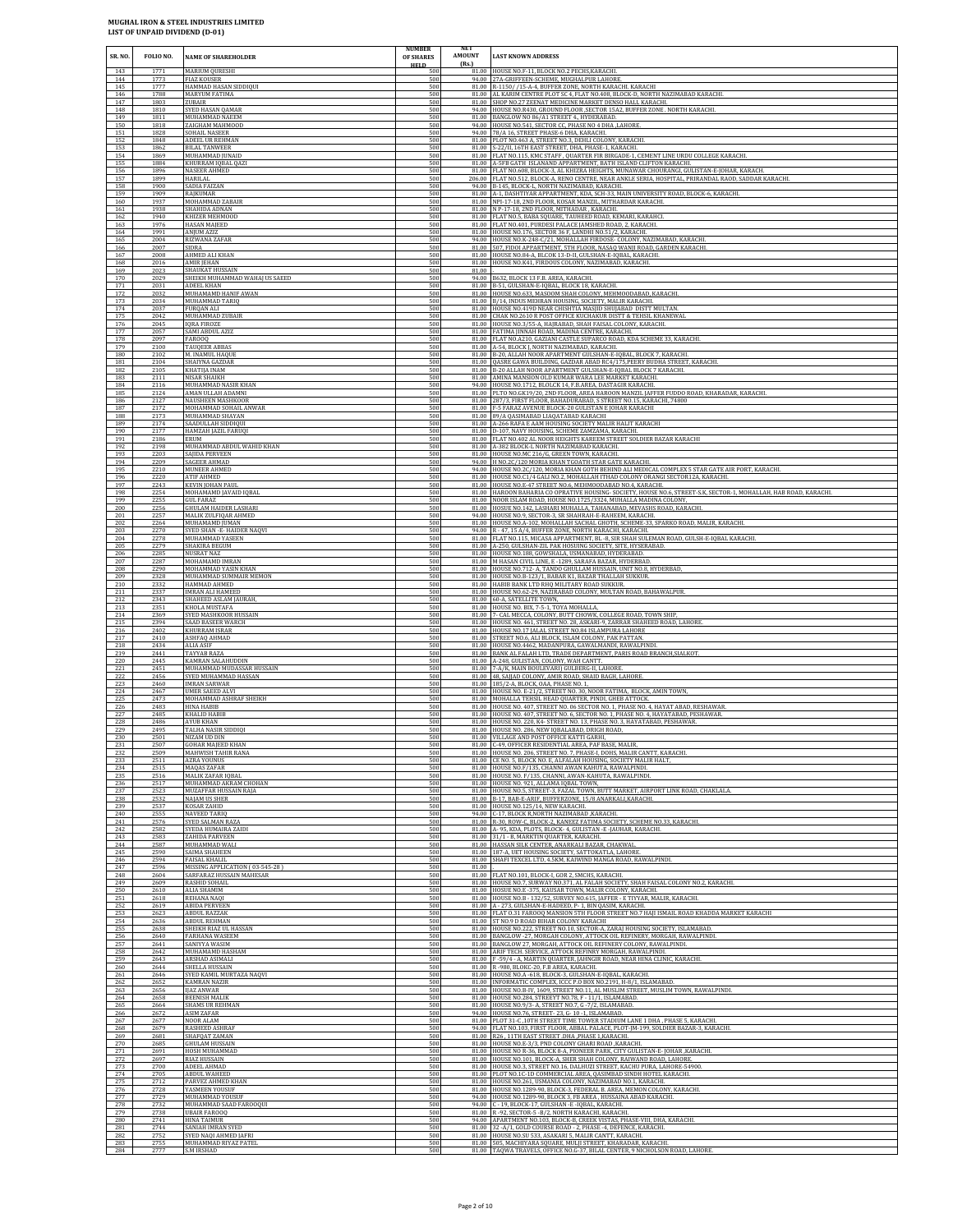| SR. NO.                  | FOLIO NO.                    | <b>NAME OF SHAREHOLDER</b>                                                          | <b>NUMBER</b><br>OF SHARES<br><b>HELD</b> | NET<br>AMOUNT<br>(Rs.) | <b>LAST KNOWN ADDRESS</b>                                                                                                                                                                                                                                               |
|--------------------------|------------------------------|-------------------------------------------------------------------------------------|-------------------------------------------|------------------------|-------------------------------------------------------------------------------------------------------------------------------------------------------------------------------------------------------------------------------------------------------------------------|
| 143                      | 1771                         | <b>MARIUM QURESHI</b>                                                               | 500                                       | 81.00                  | 81.00 HOUSE NO.F-11, BLOCK NO.2 PECHS.KARACHI                                                                                                                                                                                                                           |
| 144                      | 1773                         | <b>FIAZ KOUSER</b>                                                                  | 500                                       |                        | 94.00 27A-GRIFFEEN-SCHEME, MUGHALPUR LAHORE                                                                                                                                                                                                                             |
| 145                      | 1777                         | HAMMAD HASAN SIDDIQUI                                                               | 500                                       |                        | R-1150/ /15-A-4, BUFFER ZONE, NORTH KARACHI. KARACHI                                                                                                                                                                                                                    |
| 146                      | 1788                         | MARYUM FATIMA                                                                       | 500                                       |                        | 81.00 AL KARIM CENTRE PLOT SC 4, FLAT NO.408, BLOCK-D, NORTH NAZIMABAD KARACHI.                                                                                                                                                                                         |
| 147                      | 1803                         | ZUBAIR                                                                              | 500                                       |                        | 81.00 SHOP NO.27 ZEENAT MEDICINE MARKET DENSO HALL KARACHI.                                                                                                                                                                                                             |
| 148                      | 1810                         | SYED HASAN QAMAR                                                                    | 500                                       |                        | 94.00 HOUSE NO.R430, GROUND FLOOR , SECTOR 15A2, BUFFER ZONE. NORTH KARACHI.                                                                                                                                                                                            |
| 149<br>150<br>151        | 1811<br>1818                 | MUHAMMAD NAEEM<br>ZAIGHAM MAHMOOD                                                   | 500<br>500<br>500                         | 81.00<br>94.00         | BANGLOW NO 86/A1 STREET 4., HYDERABAD.<br>HOUSE NO.541, SECTOR CC, PHASE NO 4 DHA, LAHORE                                                                                                                                                                               |
| 152<br>153               | 1828<br>1848<br>1862         | SOHAIL NASEER<br>ADEEL UR REHMAN<br><b>BILAL TANWEER</b>                            | 500<br>500                                | 81.00                  | 94.00 78/A 16, STREET PHASE-6 DHA, KARACHI.<br>81.00 PLOT NO.463 A, STREET NO.3, DEHLI COLONY, KARACHI<br>S-22/II, 16TH EAST STREET, DHA, PHASE-1, KARACHI.                                                                                                             |
| 154                      | 1869                         | MUHAMMAD JUNAID                                                                     | 500                                       |                        | 81.00 FLAT NO.115, KMC STAFF, QUARTER FIR BIRGADE-1, CEMENT LINE URDU COLLEGE KARACHL                                                                                                                                                                                   |
| 155                      | 1884                         | KHURRAM IQBAL QAZI                                                                  | 500                                       |                        | 81.00 A-5FB GATH ISLANAND APPARTMENT, BATH ISLAND CLIFTON KARACHI.                                                                                                                                                                                                      |
| 156                      | 1896                         | NASEER AHMED                                                                        | 500                                       |                        | 81.00 FLAT NO.608, BLOCK-3, AL KHIZRA HEIGHTS, MUNAWAR CHOURANGI, GULISTAN-E-JOHAR, KARACH.                                                                                                                                                                             |
| 157                      | 1899                         | HARILAL                                                                             | 500                                       | 81.00                  | 206.00 FLAT NO.512, BLOCK-A, RENO CENTRE, NEAR ANKLE SERIA, HOSPITAL, PRIRANDAL RAOD, SADDAR KARACHI.                                                                                                                                                                   |
| 158                      | 1900                         | SADIA FAIZAN                                                                        | 500                                       |                        | 94.00 B-145, BLOCK-L, NORTH NAZIMABAD, KARACHI.                                                                                                                                                                                                                         |
| 159                      | 1909                         | RAJKUMAR                                                                            | 500                                       |                        | A-1, DASHTIYAR APPARTMENT, KDA, SCH-33, MAIN UNIVERSITY ROAD, BLOCK-6, KARACHI.                                                                                                                                                                                         |
| 160                      | 1937                         | MOHAMMAD ZABAIR                                                                     | 500                                       |                        | 81.00 NPI-17-18, 2ND FLOOR, KOSAR MANZIL, MITHARDAR KARACHI.                                                                                                                                                                                                            |
| 161                      | 1938                         | SHAHIDA ADNAN                                                                       | 500                                       |                        | 81.00 N P-17-18, 2ND FLOOR, MITHADAR, KARACHI.                                                                                                                                                                                                                          |
| 162                      | 1940                         | KHIZER MEHMOOD                                                                      | 500                                       |                        | 81.00 FLAT NO.5, BABA SQUARE, TAUHEED ROAD, KEMARI, KARAHCI.                                                                                                                                                                                                            |
| 163                      | 1976                         | HASAN MAJEED                                                                        | 500                                       |                        | 81.00 FLAT NO.401, PURDESI PALACE JAMSHED ROAD, 2, KARACHI.                                                                                                                                                                                                             |
| 164                      | 1991                         | <b>ANIUM AZIZ</b>                                                                   | 500                                       | 81.00                  | HOUSE NO.176, SECTOR 36 F. LANDHI NO.51/2, KARACHI,                                                                                                                                                                                                                     |
| 165                      | 2004                         | RIZWANA ZAFAR                                                                       | 500                                       |                        | 94.00 HOUSE NO.K-248-C/21, MOHALLAH FIRDOSE- COLONY, NAZIMABAD, KARACHI.                                                                                                                                                                                                |
| 166                      | 2007                         | SIDRA                                                                               | 500                                       |                        | 81.00 507, FIDOI APPARTMENT, 5TH FLOOR, NASAQ WANJI ROAD, GARDEN KARACHI.                                                                                                                                                                                               |
| 167                      | 2008                         | AHMED ALI KHAN                                                                      | 500                                       | 81.00                  | HOUSE NO.84-A, BLCOK 13-D-II, GULSHAN-E-IQBAL, KARACHI                                                                                                                                                                                                                  |
| 168                      | 2016                         | <b>AMIR JEHAN</b>                                                                   | 500                                       |                        | 81.00 HOUSE NO.K41, FIRDOUS COLONY, NAZIMABAD, KARACHI.                                                                                                                                                                                                                 |
| 169<br>170<br>171        | 2023<br>2029<br>2031         | SHAUKAT HUSSAIN<br>SHEIKH MUHAMMAD WAHAJ US SAEED<br>ADEEL KHAN                     | 500<br>500<br>500                         | 81.00<br>94.00         | B632, BLOCK 13 F.B. AREA, KARACHI.<br>81.00 B-51, GULSHAN-E-IQBAL, BLOCK 18, KARACHI.                                                                                                                                                                                   |
| 172                      | 2032                         | MUHAMAMD HANIF AWAN                                                                 | 500                                       |                        | 81.00 HOUSE NO.633, MASOOM SHAH COLONY, MEHMOODABAD, KARACHI.                                                                                                                                                                                                           |
| 173                      | 2034                         | MUHAMMAD TARIQ                                                                      | 500                                       |                        | 81.00 B/14, INDUS MEHRAN HOUSING, SOCIETY, MALIR KARACHI.                                                                                                                                                                                                               |
| 174                      | 2037                         | FURQAN ALI                                                                          | 500                                       |                        | 81.00 HOUSE NO.419D NEAR CHISHTIA MASJID SHUJABAD DISTT MULTAN                                                                                                                                                                                                          |
| 175                      | 2042                         | MUHAMMAD ZUBAIR                                                                     | 500                                       | 81.00                  | CHAK NO.2610 R POST OFFICE KUCHAKUR DISTT & TEHSIL KHANEWAL                                                                                                                                                                                                             |
| 176                      | 2045                         | <b>IQRA FIROZE</b>                                                                  | 500                                       |                        | 81.00 HOUSE NO.3/55-A, HAJRABAD, SHAH FAISAL COLONY, KARACHI.                                                                                                                                                                                                           |
| 177                      | 2057                         | SAMI ABDUL AZIZ                                                                     | 500                                       |                        | 81.00 FATIMA JINNAH ROAD, MADINA CENTRE, KARACHI.                                                                                                                                                                                                                       |
| 178                      | 2097                         | FAROOQ                                                                              | 500                                       |                        | 81.00 FLAT NO.A210, GAZIANI CASTLE SUPARCO ROAD, KDA SCHEME 33, KARACHI.                                                                                                                                                                                                |
| 179                      | 2100                         | <b>TAUQEER ABBAS</b>                                                                | 500                                       |                        | 81.00 A-54, BLOCK I, NORTH NAZIMABAD, KARACHI,                                                                                                                                                                                                                          |
| 180                      | 2102                         | M. INAMUL HAQUE                                                                     | 500                                       |                        | 81.00 B-20, ALLAH NOOR APARTMENT GULSHAN-E-IQBAL, BLOCK 7, KARACHI.                                                                                                                                                                                                     |
| 181                      | 2104                         | SHAIYNA GAZDAR                                                                      | 500                                       | 81.00                  | QASRE GAWA BUILDING, GAZDAR ABAD RC4/175, PEERY BUDHA STREET, KARACHI.                                                                                                                                                                                                  |
| 182                      | 2105                         | KHATIJA INAM                                                                        | 500                                       |                        | 81.00 B-20 ALLAH NOOR APARTMENT GULSHAN-E-IQBAL BLOCK 7 KARACHI.                                                                                                                                                                                                        |
| 183                      | 2111                         | NISAR SHAIKH                                                                        | 500                                       |                        | 81.00 AMINA MANSION OLD KUMAR WARA LEE MARKET KARACHI.                                                                                                                                                                                                                  |
| 184<br>185<br>186        | 2116<br>2124<br>2127         | MUHAMMAD NASIR KHAN<br>AMAN ULLAH ADAMNI<br><b>NAUSHEEN MASHKOOR</b>                | 500<br>500<br>500                         | 94.00<br>81.00         | HOUSE NO.1712, BLOLCK 14, F.B.AREA, DASTAGIR KARACHI.<br>81.00 PLTO NO.GK19/20, 2ND FLOOR, AREA HAROON MANZIL JAFFER FUDDO ROAD, KHARADAR, KARACHI<br>287/3, FIRST FLOOR, BAHADURABAD, S STREET NO.15, KARACHI, 74800                                                   |
| 187                      | 2172                         | MOHAMMAD SOHAIL ANWAR                                                               | 500                                       | 81.00                  | F-5 FARAZ AVENUE BLOCK-20 GULISTAN E JOHAR KARACHI                                                                                                                                                                                                                      |
| 188                      | 2173                         | MUHAMMAD SHAYAN                                                                     | 500                                       | 81.00                  | 89/A QASIMABAD LIAQATABAD KARACHI                                                                                                                                                                                                                                       |
| 189                      | 2174                         | SAADULLAH SIDDIQUI                                                                  | 500                                       | 81.00                  | A-266 RAFA E AAM HOUSING SOCIETY MALIR HALIT KARACHI                                                                                                                                                                                                                    |
| 190                      | 2177                         | HAMZAH JAZIL FARUQI                                                                 | 500                                       | 81.00                  | 81.00 D-107, NAVY HOUSING, SCHEME ZAMZAMA, KARACHI.                                                                                                                                                                                                                     |
| 191                      | 2186                         | ERUM                                                                                | 500                                       |                        | 81.00 FLAT NO.402 AL NOOR HEIGHTS KAREEM STREET SOLDIER BAZAR KARACHI                                                                                                                                                                                                   |
| 192                      | 2198                         | MUHAMMAD ABDUL WAHID KHAN                                                           | 500                                       |                        | A-382 BLOCK-L NORTH NAZIMABAD KARACHI                                                                                                                                                                                                                                   |
| 193                      | 2203                         | SAJIDA PERVEEN                                                                      | 500                                       | 94.00                  | 81.00 HOUSE NO.MC 216/G, GREEN TOWN, KARACHI.                                                                                                                                                                                                                           |
| 194                      | 2209                         | SAGEER AHMAD                                                                        | 500                                       |                        | 94.00 H NO.2C/120 MORIA KHAN TGOATH STAR GATE KARACHI.                                                                                                                                                                                                                  |
| 195                      | 2210                         | MUNEER AHMED                                                                        | 500                                       |                        | HOUSE NO.2C/120, MORIA KHAN GOTH BEHIND ALI MEDICAL COMPLEX 5 STAR GATE AIR PORT, KARACHI                                                                                                                                                                               |
| 196<br>197<br>198        | 2220<br>2243<br>2254         | ATIF AHMED<br><b>KEVIN JOHAN PAUL</b><br>MOHAMAMD JAVAID IQBAL                      | 500<br>500<br>500                         |                        | 81.00 HOUSE NO.C1/4 GALI NO.2, MOHALLAH ITHAD COLONY ORANGI SECTOR12A, KARACHI.<br>81.00   HOUSE NO.E-47 STREET NO.6, MEHMOODABAD NO.4, KARACHI.<br>81.00   HAROON BAHARIA CO OPRATIVE HOUSING- SOCIETY, HOUSE NO.6, STREET-S.K, SECTOR-1, MOHALLAH, HAB ROAD, KARACHI. |
| 199<br>200<br>201        | 2255<br>2256<br>2257         | <b>GUL FARAZ</b><br><b>GHULAM HAIDER LASHARI</b><br>MALIK ZULFIQAR AHMED            | 500<br>500<br>500                         | 81.00<br>81.00         | NOOR ISLAM ROAD, HOUSE NO.1725/3324, MUHALLA MADINA COLONY<br>HOSUE NO.142, LASHARI MUHALLA, TAHANABAD, MEVASHS ROAD, KARACHI.<br>94.00 HOUSE NO.9, SECTOR-3, SR SHAHRAH-E-RAHEEM, KARACHI.                                                                             |
| 202                      | 2264                         | MUHAMAMD JUMAN                                                                      | 500                                       | 94.00                  | 81.00 HOUSE NO.A-102, MOHALLAH SACHAL GHOTH, SCHEME-33, SPARKO ROAD, MALIR, KARACHI.                                                                                                                                                                                    |
| 203                      | 2270                         | SYED SHAN -E- HAIDER NAQVI                                                          | 500                                       |                        | R - 47, 15 A/4, BUFFER ZONE, NORTH KARACHI, KARACHI.                                                                                                                                                                                                                    |
| 204                      | 2278                         | MUHAMMAD YASEEN                                                                     | 500                                       |                        | 81.00 FLAT NO.115, MICASA APPARTMENT, BL -8, SIR SHAH SULEMAN ROAD, GULSH-E-IQBAL KARACHI.                                                                                                                                                                              |
| 205<br>206<br>207        | 2279<br>2285<br>2287         | SHAKIRA BEGUM<br><b>NUSRAT NAZ</b><br>MOHAMAMD IMRAN                                | 500<br>500<br>500                         | 81.00<br>81.00         | 81.00 A-250, GULSHAN-ZIL PAK HOSUING SOCIETY, SITE, HYSERABAD.<br>HOUSE NO.188, GOWSHALA, USMANABAD, HYDERABAD.<br>M HASAN CIVIL LINE, E-1289, SARAFA BAZAR, HYDERBAD                                                                                                   |
| 208<br>209               | 2290<br>2328                 | MOHAMMAD YASIN KHAN<br>MUHAMMAD SUMMAIR MEMON                                       | 500<br>500<br>500                         |                        | 81.00 HOUSE NO.712- A, TANDO GHULLAM HUSSAIN, UNIT NO.8, HYDERBAD,<br>81.00 HOUSE NO.B-123/1, BABAR K1, BAZAR THALLAH SUKKUR.<br>81.00 HABIB BANK LTD RHQ MILITARY ROAD SUKKUR                                                                                          |
| 210<br>211<br>212        | 2332<br>2337<br>2343         | HAMMAD AHMED<br><b>IMRAN ALI HAMEED</b><br>SHAHEED ASLAM JAURAH,                    | 500<br>500                                | 81.00                  | 81.00 HOUSE NO.62-29, NAZIRABAD COLONY, MULTAN ROAD, BAHAWALPUR.<br>60-A, SATELLITE TOWN,                                                                                                                                                                               |
| 213                      | 2351                         | KHOLA MUSTAFA                                                                       | 500                                       | 81.00                  | 81.00 HOUSE NO. BIX, 7-5-1, TOYA MOHALLA,                                                                                                                                                                                                                               |
| 214                      | 2369                         | SYED MASHKOOR HUSSAIN                                                               | 500                                       |                        | 7- CAL MECCA, COLONY, BUTT CHOWK, COLLEGE ROAD, TOWN SHIP                                                                                                                                                                                                               |
| 215                      | 2394                         | SAAD BASEER WARCH                                                                   | 500                                       |                        | 81.00 HOUSE NO. 461, STREET NO. 28, ASKARI-9, ZARRAR SHAHEED ROAD, LAHORE.                                                                                                                                                                                              |
| 216                      | 2402                         | KHURRAM ISRAR                                                                       | 500                                       | 81.00                  | 81.00 HOUSE NO.17 JALAL STREET NO.84 ISLAMPURA LAHORE                                                                                                                                                                                                                   |
| 217                      | 2410                         | ASHFAQ AHMAD                                                                        | 500                                       |                        | STREET NO.6, ALI BLOCK, ISLAM COLONY, PAK PATTAN                                                                                                                                                                                                                        |
| 218                      | 2434                         | <b>ALIA ASIF</b>                                                                    | 500                                       |                        | 81.00 HOUSE NO.4462, MADANPURA, GAWALMANDI, RAWALPINDI.                                                                                                                                                                                                                 |
| 219<br>220<br>221        | 2441<br>2445<br>2451         | TAYYAB RAZA<br>KAMRAN SALAHUDDIN<br>MUHAMMAD MUDASSAR HUSSAIN                       | 500<br>500<br>500                         | 81.00<br>81.00         | 81.00 BANK AL FALAH LTD, TRADE DEPARTMENT, PARIS ROAD BRANCH, SIALKOT.<br>A-248, GULISTAN, COLONY, WAH CANTT.<br>7-A/K, MAIN BOULEVARI) GULBERG-II, LAHORE.                                                                                                             |
| 222                      | 2456                         | SYED MUHAMMAD HASSAN                                                                | 500                                       |                        | 81.00 48, SAJJAD COLONY, AMIR ROAD, SHAID BAGH, LAHORE.                                                                                                                                                                                                                 |
| 223                      | 2460                         | <b>IMRAN SARWAR</b>                                                                 | 500                                       |                        | 81.00 185/2-A, BLOCK, OAA, PHASE NO. 1,                                                                                                                                                                                                                                 |
| 224                      | 2467                         | <b>UMER SAEED ALV</b>                                                               | 500                                       |                        | 81.00 HOUSE NO. E-21/2, STREET NO. 30, NOOR FATIMA, BLOCK, AMIN TOWN,                                                                                                                                                                                                   |
| 225                      | 2473                         | MOHAMMAD ASHRAF SHEIKH                                                              | 500                                       | 81.00                  | MOHALLA TEHSIL HEAD QUARTER, PINDI, GHEB ATTOCK.                                                                                                                                                                                                                        |
| 226                      | 2483                         | HINA HABIB                                                                          | 500                                       |                        | 81.00 HOUSE NO. 407, STREET NO. 06 SECTOR NO. 1, PHASE NO. 4, HAYAT ABAD, RESHAWAR                                                                                                                                                                                      |
| 227                      | 2485                         | KHALID HABIB                                                                        | 500                                       |                        | 81.00 HOUSE NO. 407, STREET NO. 6, SECTOR NO. 1, PHASE NO. 4, HAYATABAD, PESHAWAR.                                                                                                                                                                                      |
| 228                      | 2486                         | AYUB KHAN                                                                           | 500                                       | 81.00                  | HOUSE NO. 220, K4- STREET NO. 13, PHASE NO. 3, HAYATABAD, PESHAWAR.                                                                                                                                                                                                     |
| 229                      | 2495                         | TALHA NASIR SIDDIQI                                                                 | 500                                       |                        | 81.00 HOUSE NO. 286, NEW IQBALABAD, DRIGH ROAD,                                                                                                                                                                                                                         |
| 230                      | 2501                         | NIZAM UD DIN                                                                        | 500                                       |                        | 81.00 VILLAGE AND POST OFFICE KATTI GARHI,                                                                                                                                                                                                                              |
| 231                      | 2507                         | <b>GOHAR MAJEED KHAN</b>                                                            | 500                                       | 81.00                  | C-49, OFFICER RESIDENTIAL AREA, PAF BASE, MALIR                                                                                                                                                                                                                         |
| 232                      | 2509                         | MAHWISH TAHIR RANA                                                                  | 500                                       |                        | 81.00 HOUSE NO. 206, STREET NO. 7, PHASE-I, DOHS, MALIR CANTT, KARACHI.                                                                                                                                                                                                 |
| 233                      | 2511                         | AZRA YOUNUS                                                                         | 500                                       |                        | 81.00 CE NO. 5, BLOCK NO. E, ALFALAH HOUSING, SOCIETY MALIR HALT,                                                                                                                                                                                                       |
| 234                      | 2515                         | MAQAS ZAFAR                                                                         | 500                                       |                        | 81.00 HOUSE NO.F/135, CHANNI AWAN KAHUTA, RAWALPINDI                                                                                                                                                                                                                    |
| 235                      | 2516                         | MALIK ZAFAR IQBAL                                                                   | 500                                       |                        | 81.00 HOUSE NO. F/135, CHANNI, AWAN-KAHUTA, RAWALPINDI                                                                                                                                                                                                                  |
| 236                      | 2517                         | MUHAMMAD AKRAM CHOHAN                                                               | 500                                       |                        | 81.00 HOUSE NO. 921, ALLAMA IQBAL TOWN,                                                                                                                                                                                                                                 |
| 237                      | 2523                         | MUZAFFAR HUSSAIN RAJA                                                               | 500                                       | 81.00                  | 81.00 HOUSE NO.5, STREET-3, FAZAL TOWN, BUTT MARKET, AIRPORT LINK ROAD, CHAKLALA.                                                                                                                                                                                       |
| 238                      | 2532                         | NAJAM US SHER                                                                       | 500                                       |                        | 81.00 B-17, BAB-E-ARIF, BUFFERZONE, 15/8 ANARKALI, KARACHI.                                                                                                                                                                                                             |
| 239                      | 2537                         | KOSAR ZAHID                                                                         | 500                                       |                        | HOUSE NO.125/14, NEW KARACHI.                                                                                                                                                                                                                                           |
| 240                      | 2555                         | <b>NAVEED TARIO</b>                                                                 | 500                                       | 81.00                  | 94.00 C-17, BLOCK R, NORTH NAZIMABAD, KARACHI.                                                                                                                                                                                                                          |
| 241                      | 2576                         | SYED SALMAN RAZA                                                                    | 500                                       |                        | 81.00 R-30, ROW-C, BLOCK-2, KANEEZ FATIMA SOCIETY, SCHEME NO.33, KARACHI.                                                                                                                                                                                               |
| 242                      | 2582                         | SYEDA HUMAIRA ZAIDI                                                                 | 500                                       |                        | A- 95, KDA, PLOTS, BLOCK- 4, GULISTAN - E-JAUHAR, KARACHI.                                                                                                                                                                                                              |
| 243                      | 2583                         | ZAHIDA PARVEEN                                                                      | 500                                       |                        | 81.00 31/1 - B, MARKTIN QUARTER, KARACHI.                                                                                                                                                                                                                               |
| 244                      | 2587                         | MUHAMMAD WALI                                                                       | 500                                       |                        | 81.00 HASSAN SILK CENTER, ANARKALI BAZAR, CHAKWAL                                                                                                                                                                                                                       |
| 245                      | 2590                         | SAIMA SHAHEEN                                                                       | 500                                       |                        | 81.00 187-A, UET HOUSING SOCIETY, SATTOKATLA, LAHORE                                                                                                                                                                                                                    |
| 246<br>247<br>248        | 2594<br>2596<br>2604         | <b>FAISAL KHALIL</b><br>MISSING APPLICATION (03-545-28)<br>SARFARAZ HUSSAIN MAHESAR | 500<br>500<br>500                         | 81.00                  | 81.00 SHAFI TEXCEL LTD. 4.5KM, KAIWIND MANGA ROAD, RAWALPINDI<br>81.00 FLAT NO.101, BLOCK-I, GOR 2, SMCHS, KARACHI.                                                                                                                                                     |
| 249<br>250<br>251        | 2609<br>2610<br>2618         | RASHID SOHAIL<br><b>ALIA SHAMIM</b><br>REHANA NAQI                                  | 500<br>500<br>500                         | 81.00<br>81.00         | HOUSE NO.7, SURWAY NO.371, AL FALAH SOCIETY, SHAH FAISAL COLONY NO.2, KARACHI.<br>HOSUE NO.E -375, KAUSAR TOWN, MALIR COLONY, KARACHI.<br>81.00 HOUSE NO.B - 132/52, SURVEY NO.615, JAFFER - E TIYYAR, MALIR, KARACHI.                                                  |
| 252<br>253<br>254        | 2619<br>2623<br>2636         | <b>ABIDA PERVEEN</b><br><b>ABDUL RAZZAK</b><br>ABDUL REHMAN                         | 500<br>500<br>500                         | 81.00<br>81.00         | A - 273, GULSHAN-E-HADEED, P- 1, BIN QASIM, KARACHI.<br>FLAT 0.31 FAROOQ MANSION 5TH FLOOR STREET NO.7 HAJI ISMAIL ROAD KHADDA MARKET KARACHI<br>81.00 ST NO.9 D ROAD BIHAR COLONY KARACHI                                                                              |
| 255                      | 2638                         | SHEIKH RIAZ UL HASSAN                                                               | 500                                       | 81.00                  | 81.00 HOUSE NO.222, STREET NO.10, SECTOR-A, ZARAJ HOUSING SOCIETY, ISLAMABAD.                                                                                                                                                                                           |
| 256                      | 2640                         | FARHANA WASEEM                                                                      | 500                                       |                        | BANGLOW -27, MORGAH COLONY, ATTOCK OIL REFINERY, MORGAH, RAWALPINDI.                                                                                                                                                                                                    |
| 257                      | 2641                         | SANIYYA WASIM                                                                       | 500                                       |                        | 81.00 BANGLOW 27, MORGAH, ATTOCK OIL REFINERY COLONY, RAWALPINDI.                                                                                                                                                                                                       |
| 258                      | 2642                         | MUHAMAMD HASHAM                                                                     | 500                                       | 81.00                  | 81.00 ARIF TECH. SERVICE, ATTOCK REFINRY MORGAH, RAWALPINDI.                                                                                                                                                                                                            |
| 259                      | 2643                         | ARSHAD ASIMALI                                                                      | 500                                       |                        | F-59/4 - A, MARTIN QUARTER, JAHNGIR ROAD, NEAR HINA CLINIC, KARACHI.                                                                                                                                                                                                    |
| 260<br>261<br>262        | 2644<br>2646<br>2652         | SHELLA HUSSAIN<br>SYED KAMIL MURTAZA NAQVI<br>KAMRAN NAZIR<br><b>IIAZ ANWAR</b>     | 500<br>500<br>500                         |                        | 81.00 R -980, BLOKC-20, F.B AREA, KARACHI.<br>81.00 HOUSE NO.A -618, BLOCK-3, GULSHAN-E-IQBAL, KARACHI.<br>81.00 INFORMATIC COMPLEX, ICCC P.O BOX NO.2191, H-8/1, ISLAMABAD.<br>81.00 HOUSE NO.B-IV, 1609, STREET NO.11, AL MUSLIM STREET, MUSLIM TOWN, RAWALPINDI.     |
| 263<br>264<br>265<br>266 | 2656<br>2658<br>2664<br>2672 | <b>BEENISH MALIK</b><br>SHAMS UR REHMAN<br>ASIM ZAFAR                               | 500<br>500<br>500<br>500                  | 81.00                  | HOUSE NO.284, STREEYT NO.78, F - 11/1, ISLAMABAD.<br>81.00 HOUSE NO.9/3- A, STREET NO.7, G -7/2, ISLAMABAD.<br>94.00 HOUSE NO.76, STREET-23, G-10-1, ISLAMABAD.                                                                                                         |
| 267                      | 2677                         | NOOR ALAM                                                                           | 500                                       | 81.00                  | PLOT 31-C , 10TH STREET TIME TOWER STADIUM LANE 1 DHA , PHASE 5, KARACHI                                                                                                                                                                                                |
| 268                      | 2679                         | <b>RASHEED ASHRAF</b>                                                               | 500                                       |                        | 94.00 FLAT NO.103, FIRST FLOOR, ABBAL PALACE, PLOT-JM-199, SOLDIER BAZAR-3, KARACHI.                                                                                                                                                                                    |
| 269                      | 2681                         | SHAFQAT ZAMAN                                                                       | 500                                       | 81.00                  | 81.00 R26, 11TH EAST STREET .DHA, PHASE 1, KARACHI.                                                                                                                                                                                                                     |
| 270                      | 2685                         | <b>GHULAM HUSSAIN</b>                                                               | 500                                       |                        | HOUSE NO.E-3/3, PND COLONY GHARI ROAD ,KARACHI.                                                                                                                                                                                                                         |
| 271                      | 2691                         | HOSH MUHAMMAD                                                                       | 500                                       |                        | 81.00 HOUSE NO R-36, BLOCK 8-A, PIONEER PARK, CITY GULISTAN-E-JOHAR , KARACHI.                                                                                                                                                                                          |
| 272                      | 2697                         | RIAZ HUSSAIN                                                                        | 500                                       |                        | 81.00 HOUSE NO.101, BLOCK-A, SHER SHAH COLONY, RAIWAND ROAD, LAHORE.                                                                                                                                                                                                    |
| 273                      | 2700                         | ADEEL AHMAD                                                                         | 500                                       |                        | 81.00 HOUSE NO.3, STREET NO.16, DALHUZI STREET, KACHU PURA, LAHORE-54900.                                                                                                                                                                                               |
| 274                      | 2705                         | ABDUL WAHEED                                                                        | 500                                       |                        | 81.00 PLOT NO.1C-1D COMMERCIAL AREA, QASIMBAD SINDH HOTEL KARACHI.                                                                                                                                                                                                      |
| 275                      | 2712                         | PARVEZ AHMED KHAN                                                                   | 500                                       | 81.00                  | HOUSE NO.261, USMANIA COLONY, NAZIMABAD NO.1, KARACHI                                                                                                                                                                                                                   |
| 276                      | 2728                         | YASMEEN YOUSUF                                                                      | 500                                       |                        | 81.00 HOUSE NO.1289-90, BLOCK-3, FEDERAL B. AREA, MEMON COLONY, KARACHI.                                                                                                                                                                                                |
| 277                      | 2729                         | MUHAMMAD YOUSUF                                                                     | 500                                       |                        | 94.00 HOUSE NO.1289-90, BLOCK 3, FB AREA, HUSSAINA ABAD KARACHI.                                                                                                                                                                                                        |
| 278                      | 2732                         | MUHAMMAD SAAD FAROOQUI                                                              | 500                                       | 94.00                  | C - 19, BLOCK-17, GULSHAN -E -IQBAL, KARACHI.                                                                                                                                                                                                                           |
| 279                      | 2738                         | <b>UBAIR FAROOO</b>                                                                 | 500                                       |                        | 81.00 R -92, SECTOR-5 - B/2, NORTH KARACHI, KARACHI.                                                                                                                                                                                                                    |
| 280                      | 2741                         | <b>HINA TAIMUR</b>                                                                  | 500                                       |                        | 94.00 APARTMENT NO.103, BLOCK-B, CREEK VISTAS, PHASE-VIII, DHA, KARACHI.                                                                                                                                                                                                |
| 281<br>282<br>283        | 2744<br>2752<br>2755         | SANIAH IMRAN SYED<br>SYED NAQI AHMED JAFRI<br>MUHAMMAD RIYAZ PATEL                  | 500<br>500<br>500                         | 81.00<br>81.00         | 32 -A/1, GOLD COURSE ROAD - 2, PHASE -4, DEFENCE, KARACHI<br>HOUSE NO.SU 533, ASAKARI 5, MALIR CANTT, KARACHI.<br>81.00 505, MACHIYARA SQUARE, MULJI STREET, KHARADAR, KARACHI.                                                                                         |
| 284                      | 2777                         | <b>S.M IRSHAD</b>                                                                   | 500                                       |                        | 81.00 TAQWA TRAVELS, OFFICE NO.G-37, BILAL CENTER, 9 NICHOLSON ROAD, LAHORE.                                                                                                                                                                                            |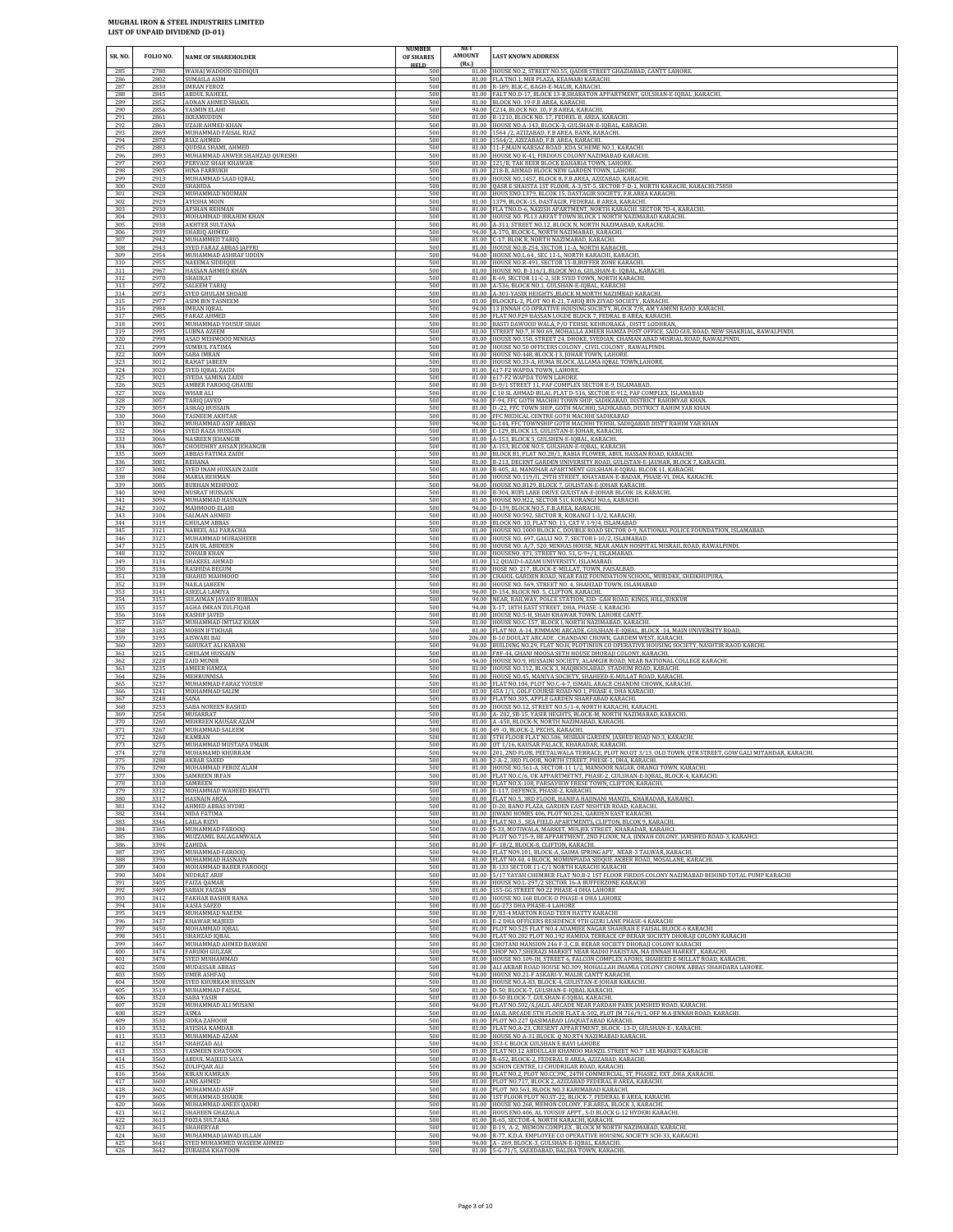| SR. NO.           | FOLIO NO.                    | NAME OF SHAREHOLDER                                                     | <b>NUMBER</b><br>OF SHARES | <b>NET</b><br>AMOUNT<br>(Rs.) | <b>LAST KNOWN ADDRESS</b>                                                                                                                                                                                                                  |
|-------------------|------------------------------|-------------------------------------------------------------------------|----------------------------|-------------------------------|--------------------------------------------------------------------------------------------------------------------------------------------------------------------------------------------------------------------------------------------|
| 285<br>286        | 2780<br>2802                 | WAHAJ WADOOD SIDDIQUI<br>SUMAILA ASIM<br><b>IMRAN FEROZ</b>             | <b>HELD</b><br>500<br>500  |                               | 81.00 HOUSE NO.2, STREET NO.55, QADIR STREET GHAZIABAD, CANTT LAHORE.<br>81.00 FLA TNO.1, MIR PLAZA, KEAMARI KARACHI.                                                                                                                      |
| 287<br>288<br>289 | 2830<br>2845<br>2852         | <b>ABDUL RAHEEL</b><br>ADNAN AHMED SHAKIL                               | 500<br>500<br>500          |                               | 81.00 R-189, BLK-C, BAGH-E-MALIR, KARACHI.<br>81.00 FALT NO.D-17, BLOCK 13-B, SHARATON APPARTMENT, GULSHAN-E-IQBAL, KARACHI.<br>81.00 BLOCK NO. 19-F.B AREA, KARACHI.                                                                      |
| 290               | 2856                         | YASMIN ELAHI                                                            | 500                        |                               | 94.00 C214, BLOCK NO. 10, F.B AREA, KARACHI.                                                                                                                                                                                               |
| 291               | 2861                         | <b>IKRAMUDDIN</b>                                                       | 500                        |                               | 81.00 R-1210, BLOCK NO. 17, FEDREL B, AREA, KARACHI.                                                                                                                                                                                       |
| 292               | 2863                         | UZAIR AHMED KHAN                                                        | 500                        |                               | 81.00 HOUSE NO.A-143, BLOCK-3, GULSHAN-E-IQBAL, KARACHI.                                                                                                                                                                                   |
| 293               | 2869                         | MUHAMMAD FAISAL RIAZ                                                    | 500                        | 81.00                         | 81.00 1564 /2, AZIZABAD, F.B AREA, BANK, KARACHI.                                                                                                                                                                                          |
| 294               | 2870                         | RIAZ AHMED                                                              | 500                        |                               | 81.00 1564/2, AZIZABAD, F.B. AREA, KARACHI.                                                                                                                                                                                                |
| 295               | 2883                         | QUDSIA SHAMI, AHMED                                                     | 500                        |                               | 11-F.MAIN KARSAZ ROAD .KDA SCHEME NO.1. KARACHI                                                                                                                                                                                            |
| 296               | 2893                         | MUHAMMAD ANWER SHAHZAD QURESHI                                          | 500                        |                               | 81.00 HOUSE NO K-41, FIRDOUS COLONY NAZIMABAD KARACHI                                                                                                                                                                                      |
| 297               | 2903                         | PERVAIZ SHAH KHAWAR                                                     | 500                        |                               | 81.00 121/B, TAK BEER BLOCK BAHARIA TOWN, LAHORE.                                                                                                                                                                                          |
| 298               | 2905                         | HINA FARRUKH                                                            | 500                        |                               | 81.00 218-B, AHMAD BLOCK NEW GARDEN TOWN, LAHORE                                                                                                                                                                                           |
| 299               | 2913                         | MUHAMMAD SAAD IQBAL                                                     | 500                        |                               | 81.00 HOUSE NO.1457, BLOCK 8, F.B.AREA, AZIZABAD, KARACHI.                                                                                                                                                                                 |
| 300               | 2920                         | SHAHIDA                                                                 | 500                        |                               | 81.00 QASR E SHAISTA 1ST FLOOR, A-3/ST-5, SECTOR 7-D-1, NORTH KARACHI, KARACHI.75850                                                                                                                                                       |
| 301               | 2928                         | MUHAMMAD NOUMAN                                                         | 500                        |                               | 81.00 HOUS ENO.1379, BLCOK 15, DASTAGIR SOCIETY, F.B.AREA KARACHI.                                                                                                                                                                         |
| 302<br>303<br>304 | 2929<br>2930<br>2933         | AYESHA MOIN<br><b>AFSHAN REHMAN</b><br>MOHAMMAD IBRAHIM KHAN            | 500<br>500<br>500          |                               | 81.00 1379, BLOCK-15, DASTAGIR, FEDERAL B AREA, KARACHI.<br>81.00 FLA TNO.D-6, NAZISH APARTMENT, NORTH KARACHI. SECTOR 7D-4, KARACHI.                                                                                                      |
| 305<br>306        | 2938<br>2939                 | <b>AKHTER SULTANA</b><br><b>SHARIO AHMED</b>                            | 500<br>500                 |                               | 81.00 HOUSE NO. PL13 ARFAT TOWN BLOCK 1 NORTH NAZIMABAD KARACHI.<br>81.00 A-311, STREET NO.12, BLOCK N, NORTH NAZIMABAD, KARACHI.<br>94.00 A-170, BLOCK-L, NORTH NAZIMABAD, KARACHI.                                                       |
| 307               | 2942                         | MUHAMMED TARIQ                                                          | 500                        |                               | 81.00 C-17, BLOK R, NORTH NAZIMABAD, KARACHI.                                                                                                                                                                                              |
| 308               | 2943                         | SYED FARAZ ABBAS JAFFRI                                                 | 500                        |                               | 81.00 HOUSE NO.B-254, SECTOR 11-A, NORTH KARACHI                                                                                                                                                                                           |
| 309               | 2954                         | MUHAMMAD ASHRAF UDDIN                                                   | 500                        |                               | 94.00 HOUSE NO.L 64, SEC 11-L, NORTH KARACHI, KARACHI                                                                                                                                                                                      |
| 310               | 2955                         | NAEEMA SIDDIQUI                                                         | 500                        |                               | 81.00 HOUSE NO.R-491, SECTOR 15-B, BUFFER ZONE KARACHI                                                                                                                                                                                     |
| 311               | 2967                         | HASSAN AHMED KHAN                                                       | 500                        |                               | 81.00 HOUSE NO. B-116/1, BLOCK NO.6, GULSHAN-E- IQBAL, KARACHI.                                                                                                                                                                            |
| 312               | 2970                         | SHAUKAT                                                                 | 500                        |                               | 81.00 R-69, SECTOR 11-C-2, SIR SYED TOWN, NORTH KARACHI                                                                                                                                                                                    |
| 313               | 2972                         | <b>SALEEM TARIQ</b>                                                     | 500                        |                               | 81.00 A-536, BLOCK NO.1, GULSHAN-E-IQBAL, KARACHI                                                                                                                                                                                          |
| 314               | 2973                         | SYED GHULAM SHOAIB                                                      | 500                        |                               | 81.00 A-301-YASIR HEIGHTS ,BLOCK M, NORTH NAZIMBAD KARACHI.                                                                                                                                                                                |
| 315               | 2977                         | ASIM BIN TASNEEM                                                        | 500                        |                               | 81.00 BLOCKFL-2, PLOT NO R-21, TARIQ BIN ZIYAD SOCIETY, KARACHI.                                                                                                                                                                           |
| 316               | 2984                         | <b>IMRAN IQBAL</b>                                                      | 500                        | 81.00                         | 94.00 13 JINNAH CO OPRATIVE HOUSING SOCIETY, BLOCK 7/8, AM YAMENI RAOD ,KARACHI.                                                                                                                                                           |
| 317               | 2985                         | <b>FARAZ AHMED</b>                                                      | 500                        |                               | FLAT NO.F29 HASSAN LOGDE BLOCK 7, FEDRAL B AREA, KARACHI.                                                                                                                                                                                  |
| 318               | 2991                         | MUHAMMAD YOUSUF SHAH                                                    | 500                        |                               | 81.00 BASTI DAWOOD WALA, P/O TEHSIL KEHRORAKA, DISTT LODHRAN,                                                                                                                                                                              |
| 319               | 2995                         | <b>LUBNA AZEEM</b>                                                      | 500                        |                               | 81.00 STREET NO.7, H NO.69, MOHALLA AMEER HAMZA POST OFFICE, SAID GUL ROAD, NEW SHAKRIAL, RAWALPINDI                                                                                                                                       |
| 320               | 2998                         | ASAD MEHMOOD MINHAS                                                     | 500                        |                               | 81.00 HOUSE NO.158, STREET 24, DHOKE, SYEDIAN, CHAMAN ABAD MISRIAL ROAD, RAWALPINDI.                                                                                                                                                       |
| 321               | 2999                         | <b>SUMBUL FATIMA</b>                                                    | 500                        |                               | 81.00 HOUSE NO.50 OFFICERS COLONY, CIVIL COLONY, RAWALPINDI.                                                                                                                                                                               |
| 322               | 3009                         | SABA IMRAN                                                              | 500                        |                               | 81.00 HOUSE NO.448, BLOCK-J 3, JOHAR TOWN, LAHORE.                                                                                                                                                                                         |
| 323               | 3012                         | RAHAT JABEEN                                                            | 500                        |                               | 81.00 HOUSE NO.33-A, HUMA BLOCK, ALLAMA IQBAL TOWN, LAHORE.                                                                                                                                                                                |
| 324               | 3020                         | SYED IQBAL ZAIDI                                                        | 500                        |                               | 81.00 617-F2 WAPDA TOWN, LAHORE.                                                                                                                                                                                                           |
| 325               | 3021                         | SYEDA SAMINA ZAIDI                                                      | 500                        |                               | 81.00 617-F2 WAPDA TOWN LAHORE.                                                                                                                                                                                                            |
| 326               | 3025                         | AMBER FAROOQ GHAURI                                                     | 500                        |                               | 81.00 D-9/1 STREET 11, PAF COMPLEX SECTOR E-9, ISLAMABAD                                                                                                                                                                                   |
| 327               | 3026                         | WHAB ALI                                                                | 500                        |                               | 81.00 C 10 SL AHMAD BILAL FLAT D-516, SECTOR E-912, PAF COMPLEX, ISLAMABAD                                                                                                                                                                 |
| 328               | 3057                         | <b>TARIQ JAVED</b>                                                      | 500                        |                               | 94.00 F-94, FFC GOTH MACHHI TOWN SHIP, SADIKABAD, DISTRICT RAHIMYAR KHAN.                                                                                                                                                                  |
| 329               | 3059                         | ASHAQ HUSSAIN                                                           | 500                        |                               | 81.00 D -22, FFC TOWN SHIP, GOTH MACHHI, SADIKABAD, DISTRICT RAHIM YAR KHAN                                                                                                                                                                |
| 330               | 3060                         | TASNEEM AKHTAR                                                          | 500                        |                               | 81.00 FFC MEDICAL CENTRE GOTH MACHHI SADIKABAD                                                                                                                                                                                             |
| 331               | 3062                         | MUHAMMAD ASIF ABBASI                                                    | 500                        |                               | 94.00 G-144, FFC TOWNSHIP GOTH MACHHI TEHSIL SADIQABAD DISTT RAHIM YAR KHAN                                                                                                                                                                |
| 332               | 3064                         | SYED RAZA HUSSAIN                                                       | 500                        |                               | 81.00 C-129, BLOCK 15, GULISTAN-E-JOHAR, KARACHI.                                                                                                                                                                                          |
| 333               | 3066                         | <b>NASREEN JEHANGIR</b>                                                 | 500                        |                               | 81.00 A-153, BLOCK 5, GULSHEN-E-IQBAL, KARACHI                                                                                                                                                                                             |
| 334               | 3067                         | CHOUDHRY AHSAN JEHANGIR                                                 | 500                        |                               | 81.00 A-153, BLCOK NO.5, GULSHAN-E-IQBAL, KARACHI.                                                                                                                                                                                         |
| 335               | 3069                         | ABBAS FATIMA ZAIDI                                                      | 500                        |                               | 81.00 BLOCK B1, FLAT NO.28/1, RABIA FLOWER, ABUL HASSAN ROAD, KARACHI                                                                                                                                                                      |
| 336               | 3081                         | REHANA                                                                  | 500                        |                               | 81.00 B-213, DECENT GARDEN UNIVERSITY ROAD, GULISTAN-E-JAUHAR, BLOCK 7, KARACHI.                                                                                                                                                           |
| 337               | 3082                         | SYED INAM HUSSAIN ZAIDI                                                 | 500                        |                               | 81.00 B-405, AL MANZHAR APARTMENT GULSHAN-E-IQBAL BLCOK 11, KARACHI                                                                                                                                                                        |
| 338               | 3084                         | MARIA REHMAN                                                            | 500                        |                               | 81.00 HOUSE NO.119/II, 29TH STREET, KHAYABAN-E-BADAR, PHASE-VI, DHA. KARACHI.                                                                                                                                                              |
| 339               | 3085                         | <b>BURHAN MEHFOOZ</b>                                                   | 500                        |                               | 94.00 HOUSE NO.B129, BLOCK 7, GULISTAN-E-JOHAR KARACHI.                                                                                                                                                                                    |
| 340               | 3090                         | NUSRAT HUSSAIN                                                          | 500                        |                               | 81.00 B-304, RUFI LAKE DRIVE GULISTAN-E-JOHAR BLCOK 18, KARACHI.                                                                                                                                                                           |
| 341               | 3094                         | MUHAMMAD HASNAIN                                                        | 500                        |                               | 81.00 HOUSE NO.H22, SECTOR 51C KORANGI NO.6, KARACHI.                                                                                                                                                                                      |
| 342               | 3102                         | MAHMOOD ELAHI                                                           | 500                        | 94.00                         | D-139, BLOCK NO.5, F.B.AREA, KARACHI.                                                                                                                                                                                                      |
| 343               | 3104                         | SALMAN AHMED                                                            | 500                        |                               | 81.00 HOUSE NO.592, SECTOR R, KORANGI 1-1/2, KARACHI.                                                                                                                                                                                      |
| 344               | 3119                         | <b>GHULAM ABBAS</b>                                                     | 500                        |                               | 81.00 BLOCK NO. 10, FLAT NO. 11, CAT V, I-9/4, ISLAMABAD                                                                                                                                                                                   |
| 345               | 3121                         | NABEEL ALI PARACHA                                                      | 500                        | 81.00                         | HOUSE NO.1000 BLOCK C, DOUBLE ROAD SECTOR 0-9, NATIONAL POLICE FOUNDATION, ISLAMABAD.                                                                                                                                                      |
| 346               | 3123                         | MUHAMMAD MUBASHEER                                                      | 500                        |                               | 81.00 HOUSE NO. 697, GALLI NO. 7, SECTOR I-10/2, ISLAMABAD.                                                                                                                                                                                |
| 347               | 3125                         | ZAIN UL ABIDEEN                                                         | 500                        |                               | 81.00 HOUSE NO. A/7, 520, MINHAS HOUSE, NEAR AMAN HOSPITAL MISRAIL ROAD, RAWALPINDI.                                                                                                                                                       |
| 348               | 3132                         | ZOHAIB KHAN                                                             | 500                        |                               | 81.00 HOUSENO. 471, STREET NO. 51, G-9+/1, ISLAMABAD.                                                                                                                                                                                      |
| 349               | 3134                         | <b>SHAKEEL AHMAD</b>                                                    | 500                        |                               | 81.00 12 QUAID-I-AZAM UNIVERSITY, ISLAMABAD.                                                                                                                                                                                               |
| 350               | 3136                         | <b>RASHIDA BEGUM</b>                                                    | 500                        |                               | 81.00 HOSE NO. 217, BLOCK-E-MILLAT, TOWN, FAISALBAD.                                                                                                                                                                                       |
| 351               | 3138                         | SHAHID MAHMOOD                                                          | 500                        |                               | 81.00 CHAHIL GARDEN ROAD, NEAR FAIZ FOUNDATION SCHOOL, MURIDKE, SHEIKHUPURA,                                                                                                                                                               |
| 352               | 3139                         | <b>NAILA JABEEN</b>                                                     | 500                        |                               | 81.00 HOUSE NO. 569, STREET NO. 4, SHAHZAD TOWN, ISLAMABAD                                                                                                                                                                                 |
| 353               | 3141                         | ASEELA LAMIYA                                                           | 500                        |                               | 94.00 D-154, BLOCK NO. 5, CLIFTON, KARACHI.                                                                                                                                                                                                |
| 354               | 3153                         | SULAIMAN JAVAID RUBIAN                                                  | 500                        | 81.00                         | 94.00 NEAR, RAILWAY, POLCE STATION, EID- GAH ROAD, KINGS, HILL, SUKKUR                                                                                                                                                                     |
| 355               | 3157                         | AGHA IMRAN ZULFIQAR                                                     | 500                        |                               | 94.00 X-17, 18TH EAST STREET, DHA, PHASE -I, KARACHI.                                                                                                                                                                                      |
| 356               | 3164                         | <b>KASHIF IAVED</b>                                                     | 500                        |                               | HOUSE NO.5-H, SHAH KHAWAR TOWN, LAHORE CANTT.                                                                                                                                                                                              |
| 357               | 3167                         | MUHAMMAD IMTIAZ KHAN                                                    | 500                        |                               | 81.00 HOUSE NO.C-157, BLOCK I, NORTH NAZIMABAD, KARACHI.                                                                                                                                                                                   |
| 358               | 3183                         | MOBIN IFTIKHAR                                                          | 500                        |                               | 81.00 FLAT NO. A-14, JUMMANI ARCADE, GULSHAN-E-IQBAL, BLOCK -14, MAIN UNIVERSITY ROAD,                                                                                                                                                     |
| 359               | 3195                         | AISWARI BAI                                                             | 500                        |                               | 206.00 B-10 DOULAT ARCADE, CHANDANI CHOWK, GARDEM WEST, KARACHI.                                                                                                                                                                           |
| 360               | 3203                         | SAHUKAT ALI KABANI                                                      | 500                        | 94.00                         | 94.00 BUILDING NO.29, FLAT NO.H, PLOTINIUN CO OPERATIVE HOUSING SOCIETY, NASHTIR RAOD KARCHI.                                                                                                                                              |
| 361               | 3215                         | GHULAM HUSSAIN                                                          | 500                        |                               | 81.00 F#F-44, GHANI MOOSA SETH HOUSE DHORAJI COLONY, KARACHI.                                                                                                                                                                              |
| 362               | 3228                         | ZAID MUNIR                                                              | 500                        |                               | HOUSE NO.9, HUSSAINI SOCIETY, ALAMGIR ROAD, NEAR NATIONAL COLLEGE KARACHI.                                                                                                                                                                 |
| 363               | 3235                         | AMEER HAMZA                                                             | 500                        |                               | 81.00 HOUSE NO.112, BLOCK 3, MAQBOOLABAD, STADIUM ROAD, KARACHI.                                                                                                                                                                           |
| 364               | 3236                         | MEHRUNNISA                                                              | 500                        |                               | 81.00 HOUSE NO.45, MANIYA SOCIETY, SHAHEED-E-MILLAT ROAD, KARACHI.                                                                                                                                                                         |
| 365               | 3237                         | MUHAMMAD FARAZ YOUSUF                                                   | 500                        |                               | 81.00 FLAT NO.104, PLOT NO.C-4-7, ISMAIL ARACE CHANDNI CHOWK, KARACHI.                                                                                                                                                                     |
| 366               | 3241                         | MOHAMMAD SALIM                                                          | 500                        |                               | 81.00 45A 1/1, GOLF COURSE ROAD NO.1, PHASE 4, DHA KARACHI                                                                                                                                                                                 |
| 367               | 3248                         | SANA                                                                    | 500                        |                               | 81.00 FLAT NO 305 APPLE GARDEN SHARFABAD KARACHL                                                                                                                                                                                           |
| 368               | 3253                         | SABA NOREEN RASHID                                                      | 500                        |                               | 81.00 HOUSE NO.12, STREET NO.5/1-4, NORTH KARACHI, KARACHI                                                                                                                                                                                 |
| 369<br>370<br>371 | 3254<br>3260                 | MUSARRAT<br>MEHREEN KAUSAR AZAM                                         | 500<br>500<br>500          |                               | 81.00 A-202, SB-15, YASIR HEGHTS, BLOCK-M, NORTH NAZIMABAD, KARACHI.<br>81.00 A -450, BLOCK-N, NORTH NAZIMABAD, KARACHI.<br>81.00 49 - 0, BLOCK-2, PECHS, KARACHI.                                                                         |
| 372<br>373<br>374 | 3267<br>3268<br>3275<br>3278 | MUHAMMAD SALEEM<br>KAMRAN<br>MUHAMMAD MUSTAFA UMAIR<br>MUHAMAMD KHURRAM | 500<br>500<br>500          |                               | 81.00 5TH FLOOR FLAT NO.506, MISBAH GARDEN, JASHED ROAD NO.3, KARACHI.<br>81.00 OT 1/16, KAUSAR PALACE, KHARADAR, KARACHI.<br>94.00   201, 2ND FLOR, PEETALWALA TERRACE, PLOT NO.OT 3/13, OLD TOWN, QTR STREET, GOW GALI MITAHDAR, KARACHI |
| 375<br>376<br>377 | 3288<br>3290<br>3306         | <b>AKBAR SAEED</b><br>MOHAMMAD FEROZ ALAM                               | 500<br>500<br>500          |                               | 81.00 2-A-2, 3RD FLOOR, NORTH STREET, PHESE-1, DHA, KARACHI.<br>81.00 HOUSE NO.561-A, SECTOR-11 1/2, MANSOOR NAGAR, ORANGI TOWN, KARACHI.                                                                                                  |
| 378<br>379        | 3310<br>3312                 | SAMREEN IRFAN<br>SAMREEN<br>MOHAMMAD WAHEED BHATTI                      | 500<br>500                 |                               | 81.00 FLAT NO.C/6, UK APPARTMETNT, PHASE-2, GULSHAN-E-IQBAL, BLOCK-4, KARACHI<br>81.00 FLAT NO.X-108, PARSAVIEW FRESE TOWN, CLIFTON, KARACHI.<br>81.00 E-117, DEFENCE, PHASE-2, KARACHI.                                                   |
| 380               | 3317                         | HASNAIN ARZA                                                            | 500                        |                               | 81.00 FLAT NO.5, 3RD FLOOR, HANIFA HAJINANI MANZIL, KHARADAR, KARAHCI.                                                                                                                                                                     |
| 381               | 3342                         | AHMED ABBAS HYDRI                                                       | 500                        |                               | 81.00 D-20, BANO PLAZA, GARDEN EAST NISHTER ROAD, KARACHI.                                                                                                                                                                                 |
| 382               | 3344                         | NIDA FATIMA                                                             | 500                        |                               | 81.00 JIWANI HOMES 406, PLOT NO.261, GARDEN EAST KARACHI.                                                                                                                                                                                  |
| 383               | 3346                         | LAILA RIZVI                                                             | 500                        |                               | 81.00 FLAT NO.3, SEA FIELD APARTMENTS, CLIFTON, BLCOK 9, KARACHI.                                                                                                                                                                          |
| 384               | 3365                         | MUHAMMAD FAROOQ                                                         | 500                        |                               | 81.00 S-33, MOTIWALA, MARKET, MULJEE STREET, KHARADAR, KARAHCI                                                                                                                                                                             |
| 385               | 3386                         | MUZZAMIL BALAGAMWALA                                                    | 500                        |                               | 81.00 PLOT NO.715-9, BE APPARTMENT, 2ND FLOOR, M.A. JINNAH COLONY, JAMSHED ROAD-3, KARAHCI                                                                                                                                                 |
| 386               | 3394                         | ZAHIDA                                                                  | 500                        |                               | 81.00 F-18/2, BLOCK-8, CLIFTON, KARACHI.                                                                                                                                                                                                   |
| 387               | 3395                         | MUHAMMAD FAROOQ                                                         | 500                        |                               | 94.00 FLAT NO9.101, BLOCK-A, SAIMA SPRING APT, NEAR-3 TALWAR, KARACHI.                                                                                                                                                                     |
| 388               | 3396                         | MUHAMMAD HASNAIN                                                        | 500                        |                               | 81.00 FLAT NO.40, 4 BLOCK, MOMINPIADA SIDQUE AKBER ROAD, MOSALANE, KARACHI.                                                                                                                                                                |
| 389               | 3400                         | MOHAMMAD BABER FAROOQI                                                  | 500                        |                               | 81.00 R-133 SECTOR 11-C/1 NORTH KARACHI KARACHI                                                                                                                                                                                            |
| 390               | 3404                         | NUDRAT ARIF                                                             | 500                        |                               | 81.00 5/17 YAYAH CHEMBER FLAT NO.B-2 1ST FLOOR FIRDOS COLONY NAZIMABAD BEHIND TOTAL PUMP KARACHI                                                                                                                                           |
| 391               | 3405                         | FAIZA QAMAR                                                             | 500                        |                               | 81.00 HOUSE NO.L-297/2 SECTOR 16-A BUFFERZONE KARACHI                                                                                                                                                                                      |
| 392               | 3409                         | <b>SABAH FAIZAN</b>                                                     | 500                        |                               | 81.00 155-GG STREET NO.22 PHASE-4 DHA LAHORE                                                                                                                                                                                               |
| 393               | 3412                         | FAKHAR BASHIR RANA                                                      | 500                        |                               | 81.00 HOUSE NO.168 BLOCK-D PHASE-4 DHA LAHORE                                                                                                                                                                                              |
| 394               | 3416                         | AASIA SAEED                                                             | 500                        |                               | 81.00 GG-273 DHA PHASE-4 LAHORE                                                                                                                                                                                                            |
| 395               | 3419                         | MUHAMMAD NAEEM                                                          | 500                        | 81.00                         | F/83-4 MARTON ROAD TEEN HATTY KARACHI                                                                                                                                                                                                      |
| 396               | 3437                         | KHAWAR MAJEED                                                           | 500                        |                               | 81.00 E-2 DHA OFFICERS RESIDENCE 9TH GIZRI LANE PHASE-4 KARACHI                                                                                                                                                                            |
| 397               | 3450                         | MOHAMMAD IQBAL                                                          | 500                        |                               | 81.00 PLOT NO.525 FLAT NO.4 ADAMJEE NAGAR SHAHRAH E FAISAL BLOCK-6 KARACHI                                                                                                                                                                 |
| 398               | 3451                         | SHAHZAD IQBAL                                                           | 500                        |                               | 94.00 FLAT NO.202 PLOT NO.192 HAMIDA TERRACE CP BERAR SOCIETY DHORAJI COLONY KARACHI                                                                                                                                                       |
| 399               | 3467                         | MUHAMMAD AHMED BAWANI                                                   | 500                        |                               | 81.00 CHOTANI MANSION 246 F-3, C.B. BERAR SOCIETY DHORAJI COLONY KARACHI                                                                                                                                                                   |
| 400               | 3474                         | <b>FARUKH GULZAR</b>                                                    | 500                        |                               | 94.00 SHOP NO.7, SHERAZI MARKET NEAR RADIO PAKISTAN, MA JINNAH MARKET, KARACHI.                                                                                                                                                            |
| 401               | 3476                         | SYED MUIHAMMAD                                                          | 500                        |                               | 81.00 HOUSE NO.109-IH, STREET 6, FALCON COMPLEX AFOHS, SHAHEED E-MILLAT ROAD, KARACHI                                                                                                                                                      |
| 402               | 3500                         | MUDASSAR ABBAS                                                          | 500                        |                               | 81.00 ALI AKBAR ROAD HOUSE NO.309, MOHALLAH IMAMIA COLONY CHOWK ABBAS SHAHDARA LAHORE.                                                                                                                                                     |
| 403               | 3505                         | <b>UMER ASHFAQ</b>                                                      | 500                        |                               | 94.00 HOUSE NO.21-F ASKARI-V, MALIR CANTT KARACHI.                                                                                                                                                                                         |
| 404               | 3508                         | SYED KHURRAM HUSSAIN                                                    | 500                        | 81.00                         | 81.00 HOUSE NO.A-83, BLOCK-4, GULISTAN-E-JOHAR KARACHI.                                                                                                                                                                                    |
| 405               | 3519                         | MUHAMMAD FAISAL                                                         | 500                        |                               | 81.00 D-50, BLOCK-7, GULSHAN-E-IQBAL KARACHI.                                                                                                                                                                                              |
| 406               | 3520                         | <b>SABA YASIR</b>                                                       | 500                        |                               | D-50 BLOCK-7, GULSHAN-E-IQBAL KARACHI.                                                                                                                                                                                                     |
| 407<br>408<br>409 | 3528<br>3529<br>3530         | MUHAMMAD ALI MUSANI<br>ASMA<br>SIDRA ZAHOOR                             | 500<br>500<br>500          |                               | 94.00 FLAT NO.502/A, JALIL ARCADE NEAR PARDAH PARK JAMSHED ROAD, KARACHI.<br>81.00 JALIL ARCADE 5TH FLOOR FLAT A-502, PLOT JM 716/9/1, OFF M.A JINNAH ROAD, KARACHI.                                                                       |
| 410<br>411        | 3532<br>3533                 | AYESHA KAMDAR<br>MUHAMMAD AZAM                                          | 500<br>500<br>500          |                               | 81.00 PLOT NO.227 QASIMABAD LIAQUATABAD KARACHI.<br>81.00 FLAT NO.A-23, CRESENT APPARTMENT, BLOCK -13-D, GULSHAN-E-, KARACHI.<br>81.00 HOUSE NO A-31 BLOCK Q NO.RT4 NAZIMABAD KARACHI.                                                     |
| 412<br>413<br>414 | 3547<br>3553<br>3560         | SHAHZAD ALI<br>YASMEEN KHATOON<br>ABDUL MAJEED SAYA                     | 500<br>500                 |                               | 94.00 353-C BLOCK GULSHAN E RAVI LAHORE<br>81.00 FLAT NO.12 ABDULLAH KHAMOO MANZIL STREET NO.7 LEE MARKET KARACHI<br>81.00 R-652, BLOCK-2, FEDERAL B AREA, AZIZABAD, KARACHI.                                                              |
| 415               | 3562                         | ZULIFQAR ALI                                                            | 500                        | 81.00                         | 81.00 SCHON CENTRE, I.I CHUDRIGAR ROAD, KARACHI.                                                                                                                                                                                           |
| 416               | 3566                         | <b>KIRAN KAMRAN</b>                                                     | 500                        |                               | 81.00 FLAT NO.2, PLOT NO.CC39C, 24TH COMMERCIAL, ST, PHASE2, EXT .DHA ,KARACHI                                                                                                                                                             |
| 417               | 3600                         | ANIS AHMED                                                              | 500                        |                               | PLOT NO.717, BLOCK 2, AZIZABAD FEDERAL B AREA, KARACHI.                                                                                                                                                                                    |
| 418               | 3602                         | MUHAMMAD ASIF                                                           | 500                        |                               | 81.00 PLOT NO.563, BLOCK NO.3 KARIMABAD KARACHI.                                                                                                                                                                                           |
| 419               | 3605                         | MUHAMMAD SHAKIR                                                         | 500                        |                               | 81.00 1ST FLOOR PLOT NO.ST-22, BLOCK-7, FEDERAL B AREA, KARACHI.                                                                                                                                                                           |
| 420               | 3606                         | MUHAMMAD ANEES OADRI                                                    | 500                        |                               | 81.00 HOUSE NO.268, MEMON COLONY, F.B.AREA, BLOCK 3, KARACHI.                                                                                                                                                                              |
| 421               | 3612                         | SHAHEEN GHAZALA                                                         | 500                        |                               | 81.00 HOUS ENO.406, AL YOUSUF APPT., S-D BLOCK G-12 HYDERI KARACHI                                                                                                                                                                         |
| 422               | 3613                         | FOZIA SULTANA                                                           | 500                        |                               | 81.00 R-65, SECTOR-4, NORTH KARACHI, KARACHI.                                                                                                                                                                                              |
| 423               | 3615                         | <b>SHAHERYAR</b>                                                        | 500                        |                               | 81.00 B-19, A-2, MEMON COMPLEX, BLOCK M NORTH NAZIMABAD, KARACHI.                                                                                                                                                                          |
| 424               | 3630                         | MUHAMMAD JAWAD ULLAH                                                    | 500                        |                               | 94.00 R-77, K.D.A. EMPLOYEE CO OPERATIVE HOUSING SOCIETY SCH-33, KARACHL                                                                                                                                                                   |
| 425               | 3641                         | SYED MUHAMMED WASEEM AHMED                                              | 500                        |                               | 94.00 A - 269, BLOCK-3, GULSHAN-E-IQBAL, KARACHI.                                                                                                                                                                                          |
| 426               | 3642                         | ZUBAIDA KHATOON                                                         | 500                        |                               | 81.00 5-G-71/5, SAEEDABAD, BALDIA TOWN, KARACHI                                                                                                                                                                                            |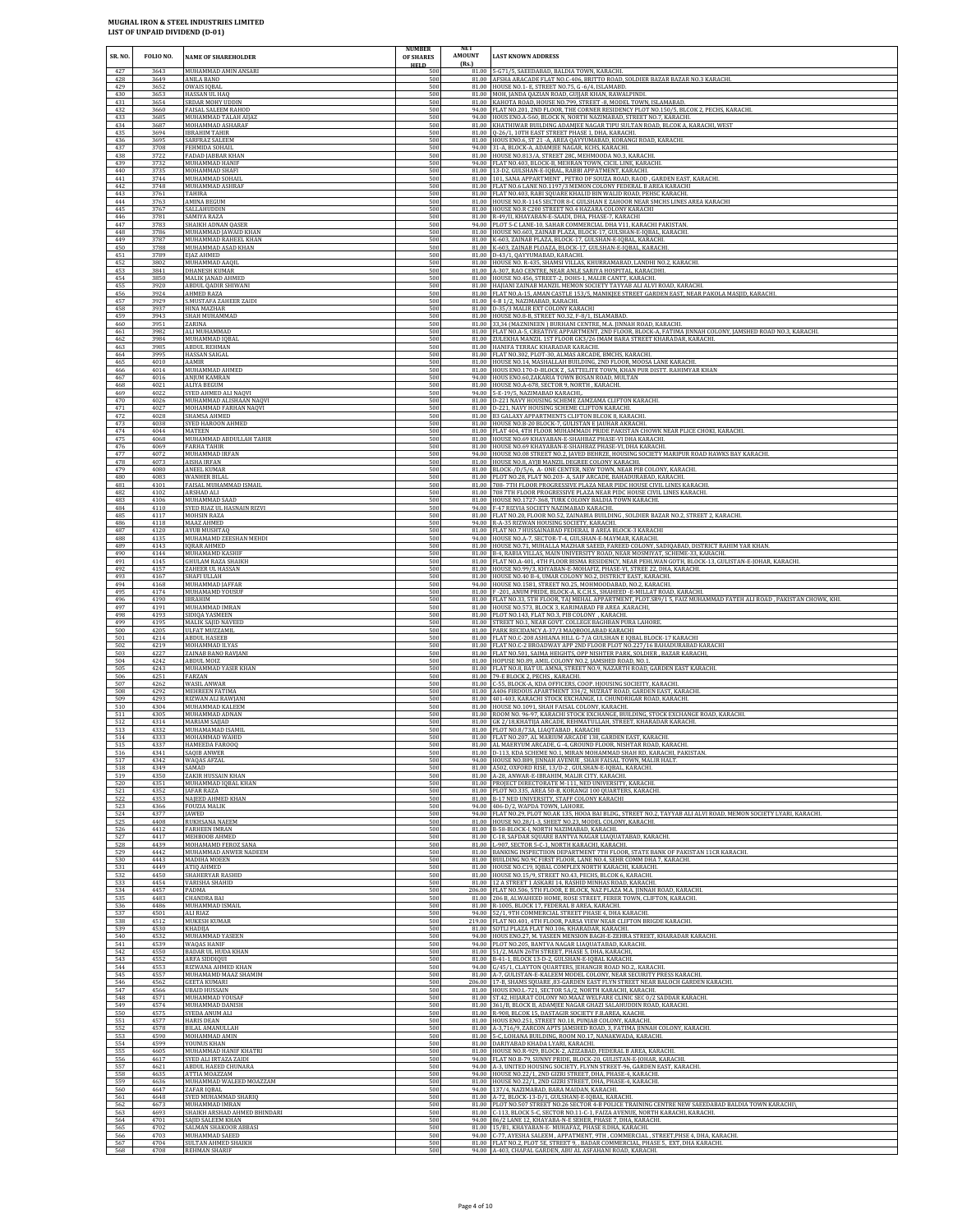| SR. NO.           | FOLIO NO.            | <b>NAME OF SHAREHOLDER</b>                                    | <b>NUMBER</b><br>OF SHARES       | NET<br>AMOUNT<br>(Rs.) | <b>LAST KNOWN ADDRESS</b>                                                                                                                                                                                         |
|-------------------|----------------------|---------------------------------------------------------------|----------------------------------|------------------------|-------------------------------------------------------------------------------------------------------------------------------------------------------------------------------------------------------------------|
| 427<br>428<br>429 | 3643<br>3649<br>3652 | MUHAMMAD AMIN ANSARI<br>ANILA BANO<br>OWAIS IQBAL             | <b>HELD</b><br>500<br>500<br>500 |                        | 81.00 5-G71/5, SAEEDABAD, BALDIA TOWN, KARACHI.<br>81.00 AFSHA ARACADE FLAT NO.C-406, BRITTO ROAD, SOLDIER BAZAR BAZAR NO.3 KARACHI<br>81.00 HOUSE NO.1- E, STREET NO.75, G -6/4, ISLAMABD.                       |
| 430               | 3653                 | <b>HASSAN UL HAO</b>                                          | 500                              |                        | 81.00 MOH, JANDA QAZIAN ROAD, GUJJAR KHAN, RAWALPINDI.                                                                                                                                                            |
| 431               | 3654                 | SRDAR MOHY UDDIN                                              | 500                              |                        | 81.00 KAHOTA ROAD, HOUSE NO.799, STREET -8, MODEL TOWN, ISLAMABAD.                                                                                                                                                |
| 432               | 3660                 | FAISAL SALEEM RAHOD                                           | 500                              |                        | 94.00 FLAT NO.201, 2ND FLOOR, THE CORNER RESIDENCY PLOT NO.150/5, BLCOK 2, PECHS, KARACHI.                                                                                                                        |
| 433<br>434<br>435 | 3685<br>3687<br>3694 | MUHAMMAD TALAH AIJAZ<br>MOHAMMAD ASHARAF                      | 500<br>500<br>500                |                        | 94.00 HOUS ENO.A-560, BLOCK N, NORTH NAZIMABAD, STREET NO.7, KARACHI.<br>81.00 KHATHIWAR BUILDING ADAMJEE NAGAR TIPU SULTAN ROAD, BLCOK A, KARACHI, WEST<br>81.00 Q-26/1, 10TH EAST STREET PHASE 1, DHA, KARACHI. |
| 436<br>437        | 3695<br>3708         | <b>IBRAHIM TAHIR</b><br>SARFRAZ SALEEM<br>FEHMIDA SOHAIL      | 500<br>500                       | 94.00                  | 81.00 HOUS ENO.6, ST 21 - A, AREA QAYYUMABAD, KORANGI ROAD, KARACHI.<br>31-A, BLOCK-A, ADAMJEE NAGAR, KCHS, KARACHI.                                                                                              |
| 438               | 3722                 | FADAD JABBAR KHAN                                             | 500                              |                        | 81.00 HOUSE NO.813/A, STREET 28C, MEHMOODA NO.3, KARACHI                                                                                                                                                          |
| 439               | 3732                 | MUHAMMAD HANIF                                                | 500                              |                        | 94.00 FLAT NO.403, BLOCK-B, MEHRAN TOWN, CICIL LINE, KARACHI.                                                                                                                                                     |
| 440               | 3735                 | MOHAMMAD SHAFI                                                | 500                              |                        | 81.00 13-D2, GULSHAN-E-IQBAL, RABBI APPATMENT, KARACHI.                                                                                                                                                           |
| 441               | 3744                 | MUHAMMAD SOHAIL                                               | 500                              |                        | 81.00 101, SANA APPARTMENT, PETRO DF SOUZA ROAD, RAOD, GARDEN EAST, KARACHI.                                                                                                                                      |
| 442               | 3748                 | MUHAMMAD ASHRAF                                               | 500                              |                        | 81.00 FLAT NO.6 LANE NO.1197/3 MEMON COLONY FEDERAL B AREA KARACHI                                                                                                                                                |
| 443               | 3761                 | TAHIRA                                                        | 500                              |                        | 81.00 FLAT NO.403, RABI SQUARE KHALID BIN WALID ROAD, PEHSC KARACHI.                                                                                                                                              |
| 444               | 3763                 | AMINA BEGUM                                                   | 500                              |                        | 81.00 HOUSE NO.R-1145 SECTOR 8-C GULSHAN E ZAHOOR NEAR SMCHS LINES AREA KARACHI                                                                                                                                   |
| 445               | 3767                 | SALLAHUDDIN                                                   | 500                              |                        | 81.00 HOUSE NO.R C200 STREET NO.4 HAZARA COLONY KARACHI                                                                                                                                                           |
| 446               | 3781                 | SAMIYA RAZA                                                   | 500                              |                        | 81.00 R-49/II, KHAYABAN-E-SAADI, DHA, PHASE-7, KARACHI                                                                                                                                                            |
| 447               | 3783                 | SHAIKH ADNAN QASER                                            | 500                              | 81.00                  | 94.00 PLOT 5-C LANE-10, SAHAR COMMERCIAL DHA V11, KARACHI PAKISTAN                                                                                                                                                |
| 448               | 3786                 | MUHAMMAD JAWAID KHAN                                          | 500                              |                        | HOUSE NO.603, ZAINAB PLAZA, BLOCK-17, GULSHAN-E-IQBAL, KARACHI.                                                                                                                                                   |
| 449               | 3787                 | MUHAMMAD RAHEEL KHAN                                          | 500                              |                        | 81.00 K-603, ZAINAB PLAZA, BLOCK-17, GULSHAN-E-IQBAL, KARACHI.                                                                                                                                                    |
| 450               | 3788                 | MUHAMMAD ASAD KHAN                                            | 500                              |                        | 81.00 K-603, ZAINAB PLOAZA, BLOCK-17, GULSHAN-E-IQBAL, KARACHI.                                                                                                                                                   |
| 451               | 3789                 | EJAZ AHMED                                                    | 500                              |                        | 81.00 D-43/1, QAYYUMABAD, KARACHI.                                                                                                                                                                                |
| 452               | 3802                 | MUHAMMAD AAOII                                                | 500                              |                        | 81.00 HOUSE NO. R-435, SHAMSI VILLAS, KHURRAMABAD, LANDHI NO.2, KARACHI.                                                                                                                                          |
| 453               | 3841                 | <b>DHANESH KUMAR</b>                                          | 500                              |                        | 81.00 A-307, RAO CENTRE, NEAR ANLE SARIYA HOSPITAL, KARACDHI.                                                                                                                                                     |
| 454               | 3850                 | MALIK JANAD AHMED                                             | 500                              |                        | 81.00 HOUSE NO.456, STREET-2, DOHS-1, MALIR CANTT, KARACHI.                                                                                                                                                       |
| 455               | 3920                 | <b>ABDUL QADIR SHIWANI</b>                                    | 500                              |                        | 81.00 HAJIANI ZAINAB MANZIL MEMON SOCIETY TAYYAB ALI ALVI ROAD, KARACHI.                                                                                                                                          |
| 456               | 3924                 | AHMED RAZA                                                    | 500                              |                        | 81.00 FLAT NO.A-15, AMAN CASTLE 153/5, MANIKJEE STREET GARDEN EAST, NEAR PAKOLA MASJID, KARACHI.                                                                                                                  |
| 457               | 3929                 | S.MUSTAFA ZAHEER ZAIDI                                        | 500                              |                        | 81.00 4-B 1/2, NAZIMABAD, KARACHI.                                                                                                                                                                                |
| 458               | 3937                 | HINA MAZHAR                                                   | 500                              |                        | 81.00 D-35/3 MALIR EXT COLONY KARACHI                                                                                                                                                                             |
| 459               | 3943                 | SHAH MUHAMMAD                                                 | 500                              | 81.00                  | HOUSE NO.8-B, STREET NO.32, F-8/1, ISLAMABAD.                                                                                                                                                                     |
| 460               | 3951                 | ZARINA                                                        | 500                              |                        | 81.00 33,34 (MAZNINEEN) BURHANI CENTRE, M.A. JINNAH ROAD, KARACHI.                                                                                                                                                |
| 461               | 3982                 | ALI MUHAMMAD                                                  | 500                              |                        | 81.00 FLAT NO.A-5, CREATIVE APPARTMENT, 2ND FLOOR, BLOCK-A, FATIMA JINNAH COLONY, JAMSHED ROAD NO.3, KARACHI.                                                                                                     |
| 462               | 3984                 | MUHAMMAD IQBAL                                                | 500                              |                        | 81.00 ZULEKHA MANZIL 1ST FLOOR GK3/26 IMAM BARA STREET KHARADAR, KARACHI.                                                                                                                                         |
| 463               | 3985                 | ABDUL REHMAN                                                  | 500                              |                        | 81.00 HANIFA TERRAC KHARADAR KARACHI.                                                                                                                                                                             |
| 464               | 3995                 | <b>HASSAN SAIGAL</b>                                          | 500                              |                        | 81.00 FLAT NO.302, PLOT-30, ALMAS ARCADE, BMCHS, KARACHI.                                                                                                                                                         |
| 465               | 4010                 | AAMIR                                                         | 500                              |                        | 81.00 HOUSE NO.14, MASHALLAH BUILDING, 2ND FLOOR, MOOSA LANE KARACHI.                                                                                                                                             |
| 466               | 4014                 | MUHAMMAD AHMED                                                | 500                              |                        | 81.00 HOUS ENO.170-D-BLOCK Z, SATTELITE TOWN, KHAN PUR DISTT. RAHIMYAR KHAN                                                                                                                                       |
| 467               | 4016                 | ANJUM KAMRAN                                                  | 500                              |                        | 94.00 HOUS ENO.60, ZAKARIA TOWN BOSAN ROAD, MULTAN                                                                                                                                                                |
| 468               | 4021                 | ALIYA BEGUM                                                   | 500                              |                        | 81.00 HOUSE NO.A-678, SECTOR 9, NORTH, KARACHI.                                                                                                                                                                   |
| 469               | 4022                 | SYED AHMED ALI NAQVI                                          | 500                              |                        | 94.00 5-E-19/5, NAZIMABAD KARACHI,                                                                                                                                                                                |
| 470               | 4026                 | MUHAMMAD ALISHAAN NAQVI                                       | 500                              |                        | 81.00 D-221 NAVY HOUSING SCHEME ZAMZAMA CLIFTON KARACHI.                                                                                                                                                          |
| 471               | 4027                 | MOHAMMAD FARHAN NAQVI                                         | 500                              |                        | 81.00 D-221, NAVY HOUSING SCHEME CLIFTON KARACHI.                                                                                                                                                                 |
| 472               | 4028                 | SHAMSA AHMED                                                  | 500                              |                        | 81.00 B3 GALAXY APPARTMENTS CLIFTON BLCOK 8, KARACHI                                                                                                                                                              |
| 473               | 4038                 | SYED HAROON AHMED                                             | 500                              |                        | 81.00 HOUSE NO.B-20 BLOCK-7, GULISTAN E JAUHAR AKRACHI                                                                                                                                                            |
| 474               | 4044                 | MATEEN                                                        | 500                              | 81.00                  | 81.00 FLAT 404, 4TH FLOOR MUHAMMADI PRIDE PAKISTAN CHOWK NEAR PLICE CHOKI, KARACHI.                                                                                                                               |
| 475               | 4068                 | MUHAMMAD ABDULLAH TAHIR                                       | 500                              |                        | 81.00 HOUSE NO.69 KHAYABAN-E-SHAHBAZ PHASE-VI DHA KARACHI.                                                                                                                                                        |
| 476               | 4069                 | FARHA TAHIR                                                   | 500                              |                        | HOUSE NO.69 KHAYABAN-E-SHAHBAZ PHASE-VI, DHA KARACHI.                                                                                                                                                             |
| 477               | 4072                 | MUHAMMAD IRFAN                                                | 500                              |                        | 94.00 HOUSE NO.08 STREET NO.2, JAVED BEHRZE, HOUSING SOCIETY MARIPUR ROAD HAWKS BAY KARACHI                                                                                                                       |
| 478               | 4073                 | AISHA IRFAN                                                   | 500                              |                        | 81.00 HOUSE NO.8, AYJB MANZIL DEGREE COLONY KARACHI.                                                                                                                                                              |
| 479               | 4080                 | ANEEL KUMAR                                                   | 500                              |                        | 81.00 BLOCK-/D/5/6, A-ONE CENTER, NEW TOWN, NEAR PIB COLONY, KARACHI.                                                                                                                                             |
| 480               | 4083                 | WANHER BILAL                                                  | 500                              |                        | 81.00 PLOT NO.28, FLAT NO.203- A, SAIF ARCADE, BAHADURABAD, KARACHI.                                                                                                                                              |
| 481               | 4101                 | FAISAL MUHAMMAD ISMAIL                                        | 500                              |                        | 81.00 708-7TH FLOOR PROGRESSIVE PLAZA NEAR PIDC HOUSE CIVIL LINES KARACHI.                                                                                                                                        |
| 482               | 4102                 | ARSHAD ALI                                                    | 500                              |                        | 81.00 708 7TH FLOOR PROGRESSIVE PLAZA NEAR PIDC HOUSE CIVIL LINES KARACHI.                                                                                                                                        |
| 483               | 4106                 | MUHAMMAD SAAD                                                 | 500                              | 94.00                  | 81.00 HOUSE NO.1727-368, TURK COLONY BALDIA TOWN KARACHI                                                                                                                                                          |
| 484               | 4110                 | SYED RIAZ UL HASNAIN RIZVI                                    | 500                              |                        | F-47 RIZVIA SOCIETY NAZIMABAD KARACHI.                                                                                                                                                                            |
| 485               | 4117                 | MOHSIN RAZA                                                   | 500                              |                        | 81.00 FLAT NO.20, FLOOR NO.52, ZAINABIA BUILDING, SOLDIER BAZAR NO.2, STREET 2, KARACHI.                                                                                                                          |
| 486               | 4118                 | MAAZ AHMED                                                    | 500                              | 81.00                  | 94.00 R-A-35 RIZWAN HOUSING SOCIETY, KARACHI.                                                                                                                                                                     |
| 487               | 4120                 | <b>AYUB MUSHTAO</b>                                           | 500                              |                        | FLAT NO.7 HUSSAINABAD FEDERAL B AREA BLOCK-3 KARACHI                                                                                                                                                              |
| 488               | 4135                 | MUHAMAMD ZEESHAN MEHDI                                        | 500                              |                        | 94.00 HOUSE NO.A-7, SECTOR-T-4, GULSHAN-E-MAYMAR, KARACHI.                                                                                                                                                        |
| 489               | 4143                 | <b>IQRAR AHMED</b>                                            | 500                              |                        | 81.00 HOUSE NO.71, MUHALLA MAZHAR SAEED, FAREED COLONY, SADIQABAD, DISTRICT RAHIM YAR KHAN.                                                                                                                       |
| 490               | 4144                 | MUHAMAMD KASHIF                                               | 500                              |                        | 81.00 B-4, RABIA VILLAS, MAIN UNIVERSITY ROAD, NEAR MOSMIYAT, SCHEME-33, KARACHI.                                                                                                                                 |
| 491               | 4145                 | <b>GHULAM RAZA SHAIKH</b>                                     | 500                              |                        | 81.00 FLAT NO.A-401, 4TH FLOOR BISMA RESIDENCY, NEAR PEHLWAN GOTH, BLOCK-13, GULISTAN-E-JOHAR, KARACHI.                                                                                                           |
| 492               | 4157                 | ZAHEER UL HASSAN                                              | 500                              |                        | 81.00 HOUSE NO.99/3, KHYABAN-E-MOHAFIZ, PHASE-VI, STREE 22, DHA, KARACHI.                                                                                                                                         |
| 493               | 4167                 | SHAFI ULLAH                                                   | 500                              |                        | 81.00 HOUSE NO.40 B-4, UMAR COLONY NO.2, DISTRICT EAST, KARACHI                                                                                                                                                   |
| 494               | 4168                 | MUHAMMAD JAFFAR                                               | 500                              |                        | 94.00 HOUSE NO.1581, STREET NO.25, MOHMOODABAD, NO.2, KARACHI.                                                                                                                                                    |
| 495               | 4174                 | MUHAMAMD YOUSUF                                               | 500                              |                        | 81.00 F-201, ANUM PRIDE, BLOCK-A, K.C.H.S., SHAHEED -E-MILLAT ROAD, KARACHI.                                                                                                                                      |
| 496               | 4190                 | IBRAHIM                                                       | 500                              |                        | 81.00 FLAT NO.33, 5TH FLOOR, TAJ MEHAL APPARTMENT, PLOT.SR9/15, FAIZ MUHAMMAD FATEH ALI ROAD, PAKISTAN CHOWK, KHI.                                                                                                |
| 497               | 4191                 | MUHAMMAD IMRAN                                                | 500                              | 81.00                  | 81.00 HOUSE NO.573, BLOCK 3, KARIMABAD FB AREA , KARACHI,                                                                                                                                                         |
| 498               | 4193                 | SIDIQA YASMEEN                                                | 500                              |                        | PLOT NO.143, FLAT NO.3, PIB COLONY , KARACHI.                                                                                                                                                                     |
| 499               | 4195                 | <b>MALIK SAJID NAVEED</b>                                     | 500                              |                        | 81.00 STREET NO.1, NEAR GOVT. COLLEGE BAGHBAN PURA LAHORE.                                                                                                                                                        |
| 500               | 4205                 | ULFAT MUZZAMIL                                                | 500                              |                        | 81.00 PARK RECIDANCY A-37/3 MAQBOOLABAD KARACHI                                                                                                                                                                   |
| 501               | 4214                 | <b>ABDUL HASEEB</b>                                           | 500                              |                        | 81.00 FLAT NO.C-208 ASHIANA HILL G-7/A GULSHAN E IQBAL BLOCK-17 KARACHI                                                                                                                                           |
| 502               | 4219                 | MOHAMMAD ILYAS                                                | 500                              |                        | 81.00 FLAT NO.C-2 BROADWAY APP 2ND FLOOR PLOT NO.227/16 BAHADURABAD KARACHI                                                                                                                                       |
| 503               | 4227                 | ZAINAB BANO RAVJANI                                           | 500                              |                        | 81.00 FLAT NO.501, SAIMA HEIGHTS, OPP NISHTER PARK, SOLDIER, BAZAR KARACHI,                                                                                                                                       |
| 504               | 4242                 | ABDUL MOIZ                                                    | 500                              |                        | 81.00 HOPUSE NO.89, AMIL COLONY NO.2, JAMSHED ROAD, NO.1                                                                                                                                                          |
| 505               | 4243                 | MUHAMMAD YASIR KHAN                                           | 500                              |                        | 81.00 FLAT NO.8, BAT UL AMNA, STREET NO.9, NAZARTH ROAD, GARDEN EAST KARACHI.                                                                                                                                     |
| 506               | 4251                 | FARZAN                                                        | 500                              |                        | 81.00 79-E BLOCK 2, PECHS, KARACHI.                                                                                                                                                                               |
| 507               | 4262                 | WASIL ANWAR                                                   | 500                              |                        | 81.00 C-55, BLOCK-A, KDA OFFICERS, COOP. HJOUSING SOCIEITY, KARACHI.                                                                                                                                              |
| 508               | 4292                 | MEHREEN FATIMA                                                | 500                              |                        | 81.00 A406 FIRDOUS APARTMENT 334/2, NUZRAT ROAD, GARDEN EAST, KARACHI                                                                                                                                             |
| 509               | 4293                 | RIZWAN ALI RAWIANI                                            | 500                              | 81.00                  | 401-403, KARACHI STOCK EXCHANGE, I.I. CHUNDRIGAR ROAD, KARACHI.                                                                                                                                                   |
| 510               | 4304                 | MUHAMMAD KALEEM                                               | 500                              |                        | 81.00 HOUSE NO.1091, SHAH FAISAL COLONY, KARACHI.                                                                                                                                                                 |
| 511               | 4305                 | MUHAMMAD ADNAN                                                | 500                              |                        | 81.00 ROOM NO. 96-97, KARACHI STOCK EXCHANGE, BUILDING, STOCK EXCHANGE ROAD, KARACHI.                                                                                                                             |
| 512               | 4314                 | MARIAM SAIIAD                                                 | 500                              |                        | 81.00 GK 2/18, KHATIJA ARCADE, REHMATULLAH, STREET, KHARADAR KARACHI.                                                                                                                                             |
| 513               | 4332                 | MUHAMAMAD ISAMIL                                              | 500                              |                        | 81.00 PLOT NO.8/73A, LIAOTABAD, KARACHI                                                                                                                                                                           |
| 514               | 4333                 | MOHAMMAD WAHID                                                | 500                              |                        | 81.00 FLAT NO.207, AL MARIUM ARCADE 138, GARDEN EAST, KARACHI.                                                                                                                                                    |
| 515               | 4337                 | HAMEEDA FAROOQ                                                | 500                              |                        | 81.00 AL MAERYUM ARCADE, G -4, GROUND FLOOR, NISHTAR ROAD, KARACHI                                                                                                                                                |
| 516               | 4341                 | SAOIR ANWER                                                   | 500                              |                        | 81.00 D-113, KDA SCHEME NO.1, MIRAN MOHAMMAD SHAH RD, KARACHI, PAKISTAN.                                                                                                                                          |
| 517               | 4342                 | WAQAS AFZAL                                                   | 500                              |                        | 94.00 HOUSE NO.B89, JINNAH AVENUE, SHAH FAISAL TOWN, MALIR HALT.                                                                                                                                                  |
| 518               | 4349                 | SAMAD                                                         | 500                              |                        | 81.00 A502, OXFORD RISE, 13/D-2, GULSHAN-E-IQBAL, KARACHI.                                                                                                                                                        |
| 519               | 4350                 | ZAKIR HUSSAIN KHAN                                            | 500                              |                        | 81.00 A-28. ANWAR-E-IBRAHIM, MALIR CITY, KARACHI,                                                                                                                                                                 |
| 520               | 4351                 | MUHAMMAD IQBAL KHAN                                           | 500                              |                        | 81.00 PROJECT DIRECTORATE M-111, NED UNIVERSITY, KARACHI.                                                                                                                                                         |
| 521<br>522<br>523 | 4352<br>4353<br>4366 | JAFAR RAZA<br><b>NAJEED AHMED KHAN</b><br><b>FOUZIA MALIK</b> | 500<br>500<br>500                | 81.00<br>94.00         | 81.00 PLOT NO.335, AREA 50-B, KORANGI 100 QUARTERS, KARACHI.<br>B-17 NED UNIVERSITY, STAFF COLONY KARACHI<br>406-D/2, WAPDA TOWN, LAHORE.                                                                         |
| 524               | 4377                 | <b>IAWED</b>                                                  | 500                              |                        | 94.00 FLAT NO.29, PLOT NO.AK 135, HOOA BAI BLDG., STREET NO.2, TAYYAB ALI ALVI ROAD, MEMON SOCIETY LYARI, KARACHI.                                                                                                |
| 525               | 4408                 | .<br>RUKHSANA NAEEM                                           | 500                              |                        | 81.00 HOUSE NO.28/1-3, SHEET NO.23, MODEL COLONY, KARACHI.                                                                                                                                                        |
| 526               | 4412                 | FARHEEN IMRAN                                                 | 500                              |                        | 81.00 B-58-BLOCK-I, NORTH NAZIMABAD, KARACHI.                                                                                                                                                                     |
| 527               | 4417                 | MEHBOOB AHMED                                                 | 500                              |                        | 81.00 C-18, SAFDAR SQUARE BANTVA NAGAR LIAQUATABAD, KARACHI.                                                                                                                                                      |
| 528               | 4439                 | MOHAMAMD FEROZ SANA                                           | 500                              |                        | 81.00 L-907, SECTOR 5-C-1, NORTH KARACHI, KARACHI.                                                                                                                                                                |
| 529               | 4442                 | MUHAMMAD ANWER NADEEM                                         | 500                              |                        | 81.00 BANKING INSPECTIION DEPARTMENT 7TH FLOOR, STATE BANK OF PAKISTAN 11CR KARACHI.                                                                                                                              |
| 530               | 4443                 | MADIHA MOEEN                                                  | 500                              |                        | 81.00 BUILDING NO.9C FIRST FLOOR, LANE NO.4, SEHR COMM DHA 7, KARACHI.                                                                                                                                            |
| 531               | 4449                 | ATIQ AHMED                                                    | 500                              |                        | 81.00 HOUSE NO.C19, IQBAL COMPLEX NORTH KARACHI, KARACHI.                                                                                                                                                         |
| 532               | 4450                 | SHAHERYAR RASHID                                              | 500                              |                        | 81.00 HOUSE NO.15/9, STREET NO.43, PECHS, BLCOK 6, KARACHI.                                                                                                                                                       |
| 533               | 4454                 | VARISHA SHAHID                                                | 500                              | 81.00                  | 12 A STREET 1 ASKARI 14, RASHID MINHAS ROAD, KARACHI.                                                                                                                                                             |
| 534               | 4457                 | PADMA                                                         | 500                              |                        | 206.00 FLAT NO.506, 5TH FLOOR, E BLOCK, NAZ PLAZA M.A. JINNAH ROAD, KARACHI.                                                                                                                                      |
| 535               | 4483                 | <b>CHANDRA BAI</b>                                            | 500                              |                        | 81.00 206 B, ALWAHEED HOME, ROSE STREET, FERER TOWN, CLIFTON, KARACHI.                                                                                                                                            |
| 536               | 4486                 | MUHAMMAD ISMAIL                                               | 500                              | 94.00                  | 81.00 R-1005, BLOCK 17, FEDERAL B AREA, KARACHI.                                                                                                                                                                  |
| 537               | 4501                 | ALI RIAZ                                                      | 500                              |                        | 52/1, 9TH COMMERCIAL STREET PHASE 4, DHA KARACHI.                                                                                                                                                                 |
| 538               | 4512                 | MUKESH KUMAR                                                  | 500                              |                        | 219.00 FLAT NO.401, 4TH FLOOR, PARSA VIEW NEAR CLIFTON BRIGDE KARACHI.                                                                                                                                            |
| 539               | 4530                 | KHADIJA                                                       | 500                              |                        | 81.00 SOTLI PLAZA FLAT NO.106, KHARADAR, KARACHI.                                                                                                                                                                 |
| 540               | 4532                 | MUHAMMAD YASEEN                                               | 500                              |                        | 94.00 HOUS ENO.27, M. YASEEN MENSION BAGH-E-ZEHRA STREET, KHARADAR KARACHI                                                                                                                                        |
| 541               | 4539                 | WAQAS HANIF                                                   | 500                              |                        | 94.00 PLOT NO.205, BANTVA NAGAR LIAQUATABAD, KARACHI.                                                                                                                                                             |
| 542               | 4550                 | BADAR UL HUDA KHAN                                            | 500                              |                        | 81.00 51/2, MAIN 26TH STREET, PHASE 5, DHA, KARACHI,                                                                                                                                                              |
| 543               | 4552                 | <b>ARFA SIDDIQUI</b>                                          | 500                              |                        | 81.00 B-41-1, BLOCK 13-D-2, GULSHAN-E-IQBAL KARACHI.                                                                                                                                                              |
| 544               | 4553                 | RIZWANA AHMED KHAN                                            | 500                              |                        | 94.00 G/45/1, CLAYTON QUARTERS, JEHANGIR ROAD NO.2,. KARACHI.                                                                                                                                                     |
| 545               | 4557                 | MUHAMAMD MAAZ SHAMIM                                          | 500                              |                        | 81.00 A-7, GULISTAN-E-KALEEM MODEL COLONY, NEAR SECURITY PRESS KARACHI.                                                                                                                                           |
| 546               | 4562                 | GEETA KUMARI                                                  | 500                              |                        | 206.00 17-B, SHAMS SQUARE ,83-GARDEN EAST FLYN STREET NEAR BALOCH GARDEN KARACHI.                                                                                                                                 |
| 547               | 4566                 | <b>UBAID HUSSAIN</b>                                          | 500                              |                        | 81.00 HOUS ENO.L-721, SECTOR 5A/2, NORTH KARACHI, KARACHI.                                                                                                                                                        |
| 548               | 4571                 | MUHAMMAD YOUSAF                                               | 500                              | 81.00                  | ST.42, HIJARAT COLONY NO.MAAZ WELFARE CLINIC SEC 0/2 SADDAR KARACHI                                                                                                                                               |
| 549               | 4574                 | MUHAMMAD DANISH                                               | 500                              |                        | 81.00 361/B, BLOCK B, ADAMJEE NAGAR GHAZI SALAHUDDIN ROAD, KARACHI.                                                                                                                                               |
| 550               | 4575                 | SYEDA ANUM ALI                                                | 500                              |                        | 81.00 R-908, BLCOK 15, DASTAGIR SOCIETY F.B.AREA, KAACHI.                                                                                                                                                         |
| 551               | 4577                 | <b>HARIS DEAN</b>                                             | 500                              |                        | 81.00 HOUS ENO.251, STREET NO.18, PUNJAB COLONY, KARACHI.                                                                                                                                                         |
| 552               | 4578                 | BILAL AMANULLAH                                               | 500                              |                        | 81.00 A-3,716/9, ZARCON APTS JAMSHED ROAD, 3, FATIMA JINNAH COLONY, KARACHI.                                                                                                                                      |
| 553               | 4590                 | MOHAMMAD AMIN                                                 | 500                              |                        | 81.00 5-C, LOHANA BUILDING, ROOM NO.17, NANAKWADA, KARACHI.                                                                                                                                                       |
| 554               | 4599                 | YOUNUS KHAN                                                   | 500                              |                        | 81.00 DARIYABAD KHADA LYARI, KARACHI.                                                                                                                                                                             |
| 555               | 4605                 | MUHAMMAD HANIF KHATRI                                         | 500                              |                        | 81.00 HOUSE NO.R-929, BLOCK-2, AZIZABAD, FEDERAL B AREA, KARACHI.                                                                                                                                                 |
| 556               | 4617                 | SYED ALI IRTAZA ZAIDI                                         | 500                              |                        | 94.00 FLAT NO.B-79, SUNNY PRIDE, BLOCK-20, GULISTAN-E-JOHAR, KARACHI.                                                                                                                                             |
| 557               | 4621                 | ABDUL HAEED CHUNARA                                           | 500                              | 81.00                  | 94.00 A-3, UNITED HOUSING SOCIETY, FLYNN STREET-96, GARDEN EAST, KARACHI.                                                                                                                                         |
| 558               | 4635                 | ATTIA MOAZZAM                                                 | 500                              |                        | 94.00 HOUSE NO.22/1, 2ND GIZRI STREET, DHA, PHASE-4, KARACHI.                                                                                                                                                     |
| 559               | 4636                 | MUHAMMAD WALEED MOAZZAM                                       | 500                              |                        | HOUSE NO.22/1, 2ND GIZRI STREET, DHA, PHASE-4, KARACHI.                                                                                                                                                           |
| 560               | 4647                 | ZAFAR IQBAL                                                   | 500                              | 81.00                  | 94.00 137/4, NAZIMABAD, BARA MAIDAN, KARACHI.                                                                                                                                                                     |
| 561               | 4648                 | SYED MUHAMMAD SHARIQ                                          | 500                              |                        | 81.00 A-72, BLOCK-13-D/1, GULSHANJ-E-IQBAL, KARACHI.                                                                                                                                                              |
| 562               | 4673                 | MUHAMMAD IMRAN                                                | 500                              |                        | PLOT NO.507 STREET NO.26 SECTOR 4-B POLICE TRAINING CENTRE NEW SAEEDABAD BALDIA TOWN KARACHI\                                                                                                                     |
| 563               | 4693                 | SHAIKH ARSHAD AHMED BHINDARI                                  | 500                              | 81.00                  | C-113, BLOCK 5-C, SECTOR NO.11-C-1, FAIZA AVENUE, NORTH KARACHI, KARACHI.                                                                                                                                         |
| 564               | 4701                 | SAJID SALEEM KHAN                                             | 500                              | 94.00                  | 86/2 LANE 12, KHAYABA-N-E SEHER, PHASE 7, DHA, KARACHI.                                                                                                                                                           |
| 565               | 4702                 | SALMAN SHAKOOR ABBASI                                         | 500                              | 81.00                  | 15/B1, KHAYABAN-E- MUHAFAZ, PHASE 8.DHA, KARACHI.                                                                                                                                                                 |
| 566               | 4703                 | MUHAMMAD SAEED                                                | 500                              |                        | 94.00 C-77, AYESHA SALEEM, APPATMENT, 9TH, COMMERCIAL, STREET, PHSE 4, DHA, KARACHI.                                                                                                                              |
| 567               | 4704                 | SULTAN AHMED SHAIKH                                           | 500                              |                        | 81.00 FLAT NO.2, PLOT 5E, STREET 9, , BADAR COMMERCIAL, PHASE 5, EXT, DHA KARACHI.                                                                                                                                |
| 568               | 4708                 | REHMAN SHARIF                                                 | 500                              |                        | 94.00 A-403, CHAPAL GARDEN, ABU AL ASFAHANI ROAD, KARACHI.                                                                                                                                                        |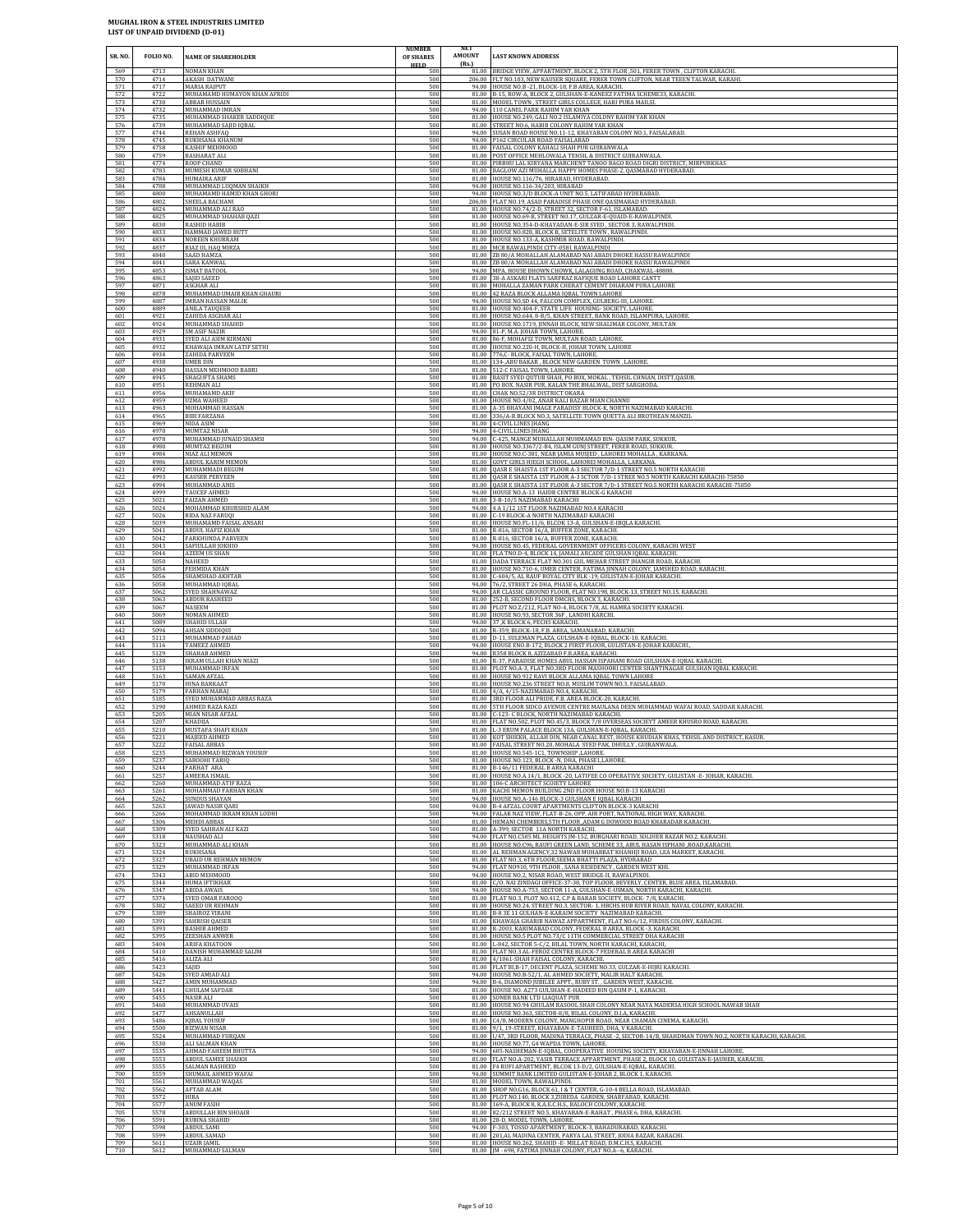| SR. NO.                  | FOLIO NO.                    | NAME OF SHAREHOLDER                                                                    | <b>NUMBER</b><br>OF SHARES<br><b>HELD</b> | NE I<br>AMOUNT<br>(Rs.) | <b>LAST KNOWN ADDRESS</b>                                                                                                                                                                                                                                                                      |
|--------------------------|------------------------------|----------------------------------------------------------------------------------------|-------------------------------------------|-------------------------|------------------------------------------------------------------------------------------------------------------------------------------------------------------------------------------------------------------------------------------------------------------------------------------------|
| 569                      | 4713                         | <b>NOMAN KHAN</b>                                                                      | 500                                       |                         | 81.00 BRIDGE VIEW, APPARTMENT, BLOCK 2, 5TH FLOR, 501, FERER TOWN, CLIFTON KARACHI.                                                                                                                                                                                                            |
| 570                      | 4714                         | <b>AKASH DATWANI</b>                                                                   | 500                                       |                         | 206.00 FLT NO.103, NEW KAUSER SQUARE, FERER TOWN CLIFTON, NEAR TEEEN TALWAR, KARAHI                                                                                                                                                                                                            |
| 571                      | 4717                         | MARIA RAJPUT                                                                           | 500                                       |                         | 94.00 HOUSE NO.B -21, BLOCK-18, F.B AREA, KARACHI.                                                                                                                                                                                                                                             |
| 572                      | 4722                         | MUHAMAMD HUMAYON KHAN AFRIDI                                                           | 500                                       |                         | 81.00 B-15, ROW-A, BLOCK 2, GULSHAN-E-KANEEZ FATIMA SCHEME33, KARACHI.                                                                                                                                                                                                                         |
| 573                      | 4730                         | ABRAR HUSSAIN                                                                          | 500                                       |                         | 81.00 MODEL TOWN, STREET GIRLS COLLEGE, HARI PURA MAILSI.                                                                                                                                                                                                                                      |
| 574                      | 4732                         | MUHAMMAD IMRAN                                                                         | 500                                       |                         | 94.00 110 CANEL PARK RAHIM YAR KHAN                                                                                                                                                                                                                                                            |
| 575                      | 4735                         | MUHAMMAD SHAKER SADDIQUE                                                               | 500                                       |                         | 81.00 HOUSE NO.249, GALI NO.2 ISLAMIYA COLDNY RAHIM YAR KHAN                                                                                                                                                                                                                                   |
| 576                      | 4739                         | MUHAMMAD SAJID IQBAL                                                                   | 500                                       |                         | 81.00 STREET NO.6, HABIB COLONY RAHIM YAR KHAN                                                                                                                                                                                                                                                 |
| 577                      | 4744                         | REHAN ASHFAQ                                                                           | 500                                       |                         | 94.00 SUSAN ROAD HOUSE NO.11-12, KHAYABAN COLONY NO.1, FAISALABAD.                                                                                                                                                                                                                             |
| 578                      | 4745                         | RUKHSANA KHANUM                                                                        | 500                                       |                         | 94.00 P162 CIRCULAR ROAD FAISALABAD                                                                                                                                                                                                                                                            |
| 579                      | 4758                         | KASHIF MEHMOOD                                                                         | 500                                       |                         | 81.00 FAISAL COLONY KAHALI SHAH PUR GUJRANWALA                                                                                                                                                                                                                                                 |
| 580                      | 4759                         | <b>BASHARAT ALI</b>                                                                    | 500                                       |                         | 81.00 POST OFFICE MEHLOWALA TEHSIL & DISTRICT GUJRANWALA                                                                                                                                                                                                                                       |
| 581                      | 4774                         | ROOP CHAND                                                                             | 500                                       |                         | 81.00 PIRBHU LAL KIRYANA MARCHENT TANOO BAGO ROAD DIGRI DISTRICT, MIRPURKHAS                                                                                                                                                                                                                   |
| 582                      | 4783                         | MUMESH KUMAR SOBHANI                                                                   | 500                                       |                         | 81.00 BAGLOW AZI MUHALLA HAPPY HOMES PHASE-2, QASMABAD HYDERABAD                                                                                                                                                                                                                               |
| 583                      | 4784                         | HUMAIRA ARIF                                                                           | 500                                       |                         | 81.00 HOUSE NO.116/76, HIRABAD, HYDERABAD.                                                                                                                                                                                                                                                     |
| 584                      | 4788                         | MUHAMMAD LUQMAN SHAIKH                                                                 | 500                                       |                         | 94.00 HOUSE NO.116-34/203, HIRABAD                                                                                                                                                                                                                                                             |
| 585                      | 4800                         | MUHAMAMD HAMID KHAN GHORI                                                              | 500                                       |                         | 94.00 HOUSE NO.3/D BLOCK-A UNIT NO.5, LATIFABAD HYDERABAD                                                                                                                                                                                                                                      |
| 586                      | 4802                         | SHEELA BACHANI                                                                         | 500                                       |                         | 206.00 FLAT NO.19, ASAD PARADISE PHASE ONE QASIMABAD HYDERABAD.                                                                                                                                                                                                                                |
| 587                      | 4824                         | MUHAMMAD ALI RAO                                                                       | 500                                       |                         | 81.00 HOUSE NO.74/2-D, STREET 32, SECTOR F-61, ISLAMABAD.                                                                                                                                                                                                                                      |
| 588                      | 4825                         | MUHAMMAD SHAHAB QAZI                                                                   | 500                                       |                         | 81.00 HOUSE NO.69-B, STREET NO.17, GULZAR-E-QUAID-E-RAWALPINDI.                                                                                                                                                                                                                                |
| 589                      | 4830                         | <b>RASHID HABIB</b>                                                                    | 500                                       |                         | 81.00 HOUSE NO.354-D-KHAYADAN-E-SIR SYED, SECTOR 3, RAWALPINDI.                                                                                                                                                                                                                                |
| 590                      | 4833                         | HAMMAD JAWED BUTT                                                                      | 500                                       |                         | 81.00 HOUSE NO.828, BLOCK B, SETELITE TOWN, RAWALPINDI.                                                                                                                                                                                                                                        |
| 591                      | 4834                         | NOREEN KHURRAM                                                                         | 500                                       |                         | 81.00 HOUSE NO.133-A, KASHMIR ROAD, RAWALPINDI.                                                                                                                                                                                                                                                |
| 592                      | 4837                         | RIAZ UL HAQ MIRZA                                                                      | 500                                       |                         | 81.00 MCB RAWALPINDI CITY-0581 RAWALPINDI                                                                                                                                                                                                                                                      |
| 593                      | 4840                         | SAAD HAMZA                                                                             | 500                                       |                         | 81.00 ZB 80/A MOHALLAH ALAMABAD NAI ABADI DHOKE HASSU RAWALPINDI                                                                                                                                                                                                                               |
| 594                      | 4841                         | SARA KANWAI                                                                            | 500                                       |                         | 81.00 ZB 80/A MOHALLAH ALAMABAD NAI ABADI DHOKE HASSU RAWALPINDI                                                                                                                                                                                                                               |
| 595                      | 4853                         | <b>ISMAT BATOOL</b>                                                                    | 500                                       |                         | 94.00 MPA. HOUSE BHOWN CHOWK, LALAGUNG ROAD, CHAKWAL-48800                                                                                                                                                                                                                                     |
| 596                      | 4863                         | SAJID SAEED                                                                            | 500                                       |                         | 81.00 38-A ASKARI FLATS SARFRAZ RAFIQUE ROAD LAHORE CANTT                                                                                                                                                                                                                                      |
| 597                      | 4871                         | ASGHAR ALI                                                                             | 500                                       |                         | 81.00 MOHALLA ZAMAN PARK CHERAT CEMENT DHARAM PURA LAHORE                                                                                                                                                                                                                                      |
| 598                      | 4878                         | MUHAMMAD UMAIR KHAN GHAURI                                                             | 500                                       |                         | 81.00 42 RAZA BLOCK ALLAMA IQBAL TOWN LAHORE                                                                                                                                                                                                                                                   |
| 599                      | 4887                         | <b>IMRAN HASSAN MALIK</b>                                                              | 500                                       |                         | 94.00 HOUSE NO.SD 44, FALCON COMPLEX, GULBERG-III, LAHORE                                                                                                                                                                                                                                      |
| 600                      | 4889                         | ANILA TAUQEER                                                                          | 500                                       |                         | 81.00 HOUSE NO.404-F, STATE LIFE HOUSING- SOCIETY, LAHORE                                                                                                                                                                                                                                      |
| 601                      | 4921                         | ZAHIDA ASGHAR ALI                                                                      | 500                                       |                         | 81.00 HOUSE NO.644, 8-B/5, KHAN STREET, BANK ROAD, ISLAMPURA, LAHORE                                                                                                                                                                                                                           |
| 602<br>603<br>604        | 4924<br>4929<br>4931         | MUHAMMAD SHAHID<br><b>SM ASIF NAZIR</b><br>SYED ALI ASIM KIRMANI                       | 500<br>500<br>500                         |                         | 81.00 HOUSE NO.1719, JINNAH BLOCK, NEW SHALIMAR COLONY, MULTAN<br>94.00 81-P, M.A. JOHAR TOWN, LAHORE.<br>81.00 86-F, MOHAFIZ TOWN, MULTAN ROAD, LAHORE.<br>81.00 HOUSE NO.220-H, BLOCK-H, JOHAR TOWN, LAHORE                                                                                  |
| 605<br>606<br>607<br>608 | 4932<br>4934<br>4938<br>4940 | KHAWAJA IMRAN LATIF SETHI<br>ZAHIDA PARVEEN<br><b>UMER DIN</b><br>HASSAN MEHMOOD BABRI | 500<br>500<br>500<br>500                  |                         | 81.00 776,C- BLOCK, FAISAL TOWN, LAHORE.<br>81.00 134-ABU BAKAR, BLOCK NEW GARDEN TOWN, LAHORE.<br>81.00 512-C FAISAL TOWN, LAHORE.                                                                                                                                                            |
| 609<br>610<br>611        | 4945<br>4951<br>4956         | SHAGUFTA SHAMS<br>REHMAN ALI                                                           | 500<br>500<br>500                         |                         | 81.00 BASIT SYED QUTUB SHAH, PO BOX, MOKAL, TEHSIL CHNIAN, DISTT, QASUR.<br>81.00 PO BOX. NASIR PUR, KALAN THE BHALWAL, DIST SARGHODA.                                                                                                                                                         |
| 612<br>613<br>614        | 4959<br>4963<br>4965         | MUHAMAMD AKIF<br><b>UZMA WAHEED</b><br>MOHAMMAD HASSAN<br><b>BIBI FARZANA</b>          | 500<br>500<br>500                         |                         | 81.00 CHAK NO.52/3R DISTRICT OKARA<br>81.00 HOUSE NO.4/02, ANAR KALI BAZAR MIAN CHANNU<br>81.00 A-35 BHAYANI IMAGE PARADISY BLOCK-K, NORTH NAZIMABAD KARACHI.<br>81.00 336/A-R BLOCK NO.3, SATELLITE TOWN QUETTA ALI BROTHEAN MANZIL                                                           |
| 615                      | 4969                         | NIDA ASIM                                                                              | 500                                       |                         | 81.00 4-CIVIL LINES JHANG                                                                                                                                                                                                                                                                      |
| 616                      | 4970                         | MUMTAZ NISAR                                                                           | 500                                       |                         | 94.00 4-CIVIL LINES IHANG                                                                                                                                                                                                                                                                      |
| 617                      | 4978                         | MUHAMMAD JUNAID SHAMSI                                                                 | 500                                       |                         | 94.00 C-425, MANGE MUHALLAH MUHMAMAD BIN- QASIM PARK, SUKKUR.                                                                                                                                                                                                                                  |
| 618                      | 4980                         | MUMTAZ BEGUM                                                                           | 500                                       |                         | 81.00 HOUSE NO.3367/2-B4, ISLAM GUNJ STREET, FERER ROAD, SUKKUR                                                                                                                                                                                                                                |
| 619                      | 4984                         | NIAZ ALI MEMON                                                                         | 500                                       |                         | 81.00 HOUSE NO.C-381, NEAR JAMIA MUSJED, LAHOREI MOHALLA, KARKANA.                                                                                                                                                                                                                             |
| 620                      | 4986                         | ABDUL KARIM MEMON                                                                      | 500                                       |                         | 81.00 GOVT GIRLS HIEGH SCHOOL, LAHOREI MOHALLA, LARKANA.                                                                                                                                                                                                                                       |
| 621                      | 4992                         | MUHAMMADI BEGUM                                                                        | 500                                       |                         | 81.00 QASR E SHAISTA 1ST FLOOR A-3 SECTOR 7/D-1 STREET NO.5 NORTH KARACHI                                                                                                                                                                                                                      |
| 622                      | 4993                         | <b>KAUSER PERVEEN</b>                                                                  | 500                                       |                         | 81.00 QASR E SHAISTA 1ST FLOOR A-3 SCTOR 7/D-1 STREE NO.5 NORTH KARACHI KARACHI-75850                                                                                                                                                                                                          |
| 623                      | 4994                         | MUHAMMAD ANIS                                                                          | 500                                       |                         | 81.00 QASR E SHAISTA 1ST FLOOR A-3 SECTOR 7/D-1 STREET NO.5 NORTH KARACHI KARACHI-75850                                                                                                                                                                                                        |
| 624                      | 4999                         | TAUCEF AHMED                                                                           | 500                                       |                         | 94.00 HOUSE NO.A-13 HAIDR CENTRE BLOCK-G KARACHI                                                                                                                                                                                                                                               |
| 625                      | 5021                         | FAIZAN AHMED                                                                           | 500                                       |                         | 81.00 3-B-10/5 NAZIMABAD KARACHI                                                                                                                                                                                                                                                               |
| 626                      | 5024                         | MOHAMMAD KHURSHID ALAM                                                                 | 500                                       |                         | 94.00 4 A 1/12 1ST FLOOR NAZIMABAD NO.4 KARACHI                                                                                                                                                                                                                                                |
| 627                      | 5026                         | RIDA NAZ FARUQI                                                                        | 500                                       |                         | 81.00 C-19 BLOCK-A NORTH NAZIMABAD KARACHI                                                                                                                                                                                                                                                     |
| 628                      | 5039                         | MUHAMAMD FAISAL ANSARI                                                                 | 500                                       |                         | 81.00 HOUSE NO.FL-11/6, BLCOK 13-A, GULSHAN-E-IBQLA KARACHI.                                                                                                                                                                                                                                   |
| 629                      | 5041                         | ABDUL HAFIZ KHAN                                                                       | 500                                       |                         | 81.00 R-816, SECTOR 16/A, BUFFER ZONE, KARACHI.                                                                                                                                                                                                                                                |
| 630                      | 5042                         | FARKHUNDA PARVEEN                                                                      | 500                                       |                         | 81.00 R-816, SECTOR 16/A, BUFFER ZONE, KARACHI.                                                                                                                                                                                                                                                |
| 631                      | 5043                         | SAFIULLAH JOKHIO                                                                       | 500                                       |                         | 94.00 HOUSE NO.45, FEDERAL GOVERNMENT OFFICERS COLONY, KARACHI WEST                                                                                                                                                                                                                            |
| 632                      | 5044                         | AZEEM US SHAN                                                                          | 500                                       |                         | 81.00 FLA TNO.D-4, BLOCK 14, JAMALI ARCADE GULSHAN IQBAL KARACHI.                                                                                                                                                                                                                              |
| 633                      | 5050                         | NAHEED                                                                                 | 500                                       |                         | 81.00 DADA TERRACE FLAT NO.301 GUL MEHAR STREET JHANGIR ROAD, KARACHI.                                                                                                                                                                                                                         |
| 634                      | 5054                         | FEHMIDA KHAN                                                                           | 500                                       |                         | 81.00 HOUSE NO.710-6, UMER CENTER, FATIMA JINNAH COLONY, JAMSHED ROAD, KARACHI.                                                                                                                                                                                                                |
| 635                      | 5056                         | SHAMSHAD AKHTAR                                                                        | 500                                       |                         | 81.00 C-404/5, AL RAUF ROYAL CITY BLK -19, GULISTAN-E-JOHAR KARACHI                                                                                                                                                                                                                            |
| 636                      | 5058                         | MUHAMMAD IQBAL                                                                         | 500                                       |                         | 94.00 76/2, STREET 26 DHA, PHASE 6, KARACHI.                                                                                                                                                                                                                                                   |
| 637                      | 5062                         | SYED SHAHNAWAZ                                                                         | 500                                       |                         | 94.00 AR CLASSIC GROUND FLOOR, FLAT NO.198, BLOCK-13, STREET NO.15, KARACHI.                                                                                                                                                                                                                   |
| 638                      | 5063                         | ABDUR RASHEED                                                                          | 500                                       |                         | 81.00 252-B, SECOND FLOOR DMCHS, BLOCK 3, KARACHI.                                                                                                                                                                                                                                             |
| 639                      | 5067                         | NASEEM                                                                                 | 500                                       |                         | 81.00 PLOT NO.Z/212, FLAT NO-4, BLOCK 7/8, AL HAMRA SOCIETY KARACHI                                                                                                                                                                                                                            |
| 640                      | 5069                         | NOMAN AHMED                                                                            | 500                                       |                         | 81.00 HOUSE NO.93, SECTOR 36F, LANDHI KARCHI.                                                                                                                                                                                                                                                  |
| 641                      | 5089                         | SHAHID ULLAH                                                                           | 500                                       |                         | 94.00 37, K BLOCK 6, PECHS KARACHI.                                                                                                                                                                                                                                                            |
| 642                      | 5094                         | AHSAN SIDDIQUI                                                                         | 500                                       |                         | 81.00 R-359, BLOCK-18, F.B. AREA, SAMANABAD, KARACHI.                                                                                                                                                                                                                                          |
| 643                      | 5113                         | MUHAMMAD FAHAD                                                                         | 500                                       |                         | 81.00 D-11, SULEMAN PLAZA, GULSHAN-E-IQBAL, BLOCK-10, KARACHI                                                                                                                                                                                                                                  |
| 644                      | 5116                         | TAMEEZ AHMED                                                                           | 500                                       |                         | 94.00 HOUSE ENO.B-172, BLOCK 2 FIRST FLOOR, GULISTAN-E-JOHAR KARACHI.                                                                                                                                                                                                                          |
| 645                      | 5129                         | SHAHAB AHMED                                                                           | 500                                       |                         | 94.00 R358 BLOCK 8, AZIZABAD F.B.AREA, KARACHI.                                                                                                                                                                                                                                                |
| 646                      | 5138                         | IKRAM ULLAH KHAN NIAZI                                                                 | 500                                       |                         | 81.00 R-37, PARADISE HOMES ABUL HASSAN ISPAHANI ROAD GULSHAN-E-IQBAL KARACHI                                                                                                                                                                                                                   |
| 647                      | 5153                         | MUHAMMAD IRFAN                                                                         | 500                                       |                         | 81.00 PLOT NO.A-3, FLAT NO.3RD FLOOR MASHOORI CENTER SHANTINAGAR GULSHAN IQBAL KARACHI.                                                                                                                                                                                                        |
| 648                      | 5163                         | <b>SAMAN AFZAL</b>                                                                     | 500                                       |                         | 81.00 HOUSE NO.912 RAVI BLOCK ALLAMA IQBAL TOWN LAHORE                                                                                                                                                                                                                                         |
| 649                      | 5170                         | HINA BARKAAT                                                                           | 500                                       |                         | 81.00 HOUSE NO.236 STREET NO.8, MUSLIM TOWN NO.3, FAISALABAD.                                                                                                                                                                                                                                  |
| 650                      | 5179                         | <b>FARHAN MARAJ</b>                                                                    | 500                                       |                         | 81.00 4/A, 4/15-NAZIMABAD NO.4, KARACHI.                                                                                                                                                                                                                                                       |
| 651                      | 5185                         | SYED MUHAMMAD ABBAS RAZA                                                               | 500                                       |                         | 81.00 3RD FLOOR ALI PRIDE, F.B. AREA BLOCK-20, KARACHI.                                                                                                                                                                                                                                        |
| 652                      | 5190                         | AHMED RAZA KAZI                                                                        | 500                                       |                         | 81.00 5TH FLOOR SIDCO AVENUE CENTRE MAULANA DEEN MUHAMMAD WAFAI ROAD, SADDAR KARACHI.                                                                                                                                                                                                          |
| 653                      | 5205                         | MIAN NISAR AFZAL                                                                       | 500                                       |                         | 81.00 C-123- C BLOCK, NORTH NAZIMABAD KARACHI.                                                                                                                                                                                                                                                 |
| 654                      | 5207                         | KHADIJA                                                                                | 500                                       |                         | 81.00 FLAT NO.502, PLOT NO.45/3, BLOCK 7/8 OVERSEAS SOCIEYT AMEER KHUSRO ROAD, KARACHL                                                                                                                                                                                                         |
| 655                      | 5210                         | MUSTAFA SHAFI KHAN                                                                     | 500                                       |                         | 81.00 L-3 ERUM PALACE BLOCK 13A, GULSHAN-E-IQBAL, KARACHI.                                                                                                                                                                                                                                     |
| 656                      | 5221                         | MAJEED AHMED                                                                           | 500                                       |                         | 81.00 KOT SHIEKH, ALLAH DIN, NEAR CANAL REST, HOUSE KHUDIAN KHAS, TEHSIL AND DISTRICT, KASUR                                                                                                                                                                                                   |
| 657                      | 5222                         | <b>FAISAL ABBAS</b>                                                                    | 500                                       |                         | 81.00 FAISAL STREET NO.20, MOHALA SYED PAK, DHULLY, GUJRANWALA                                                                                                                                                                                                                                 |
| 658                      | 5235                         | MUHAMMAD RIZWAN YOUSUF                                                                 | 500                                       |                         | 81.00 HOUSE NO.545-1C1, TOWNSHIP ,LAHORE.                                                                                                                                                                                                                                                      |
| 659                      | 5237                         | SABOOHI TARIQ                                                                          | 500                                       |                         | 81.00 HOUSE NO.123, BLOCK -N, DHA, PHASE1,LAHORE.                                                                                                                                                                                                                                              |
| 660                      | 5244                         | FARHAT ARA                                                                             | 500                                       |                         | 81.00 B-146/11 FEDERAL B AREA KARACHI                                                                                                                                                                                                                                                          |
| 661                      | 5257                         | AMEERA ISMAIL                                                                          | 500                                       |                         | 81.00 HOUSE NO.A 14/1, BLOCK -20, LATIFEE CO OPERATIVE SOCIETY, GULISTAN -E-JOHAR, KARACHI.                                                                                                                                                                                                    |
| 662                      | 5260                         | MUHAMMAD ATIF RAZA                                                                     | 500                                       |                         | 81.00 106-C ARCHITECT SCOIETY LAHORE                                                                                                                                                                                                                                                           |
| 663                      | 5261                         | MOHAMMAD FARHAN KHAN                                                                   | 500                                       |                         | 81.00 KACHI MEMON BUILDING 2ND FLOOR HOUSE NO.B-13 KARACHI                                                                                                                                                                                                                                     |
| 664                      | 5262                         | <b>SUNDUS SHAYAN</b>                                                                   | 500                                       |                         | 94.00 HOUSE NO.A-146 BLOCK-3 GULSHAN E IOBAL KARACHI                                                                                                                                                                                                                                           |
| 665                      | 5263                         | JAWAD NASIR QARI                                                                       | 500                                       |                         | 94.00 B-4 AFZAL COURT APARTMENTS CLIFTON BLOCK-3 KARACHI                                                                                                                                                                                                                                       |
| 666                      | 5266                         | MOHAMMAD IKRAM KHAN LODHI                                                              | 500                                       |                         | 94.00 FALAK NAZ VIEW, FLAT-B-26, OPP. AIR PORT, NATIONAL HIGH WAY, KARACHI.                                                                                                                                                                                                                    |
| 667                      | 5306                         | <b>MEHDI ABBAS</b>                                                                     | 500                                       |                         | 81.00 HEMANI CHEMBERS, 5TH FLOOR, ADAM G DOWOOD ROAD KHARADAR KARACHI.                                                                                                                                                                                                                         |
| 668                      | 5309                         | SYED SAHBAN ALI KAZI                                                                   | 500                                       |                         | 81.00 A-399, SECTOR 11A NORTH KARACHI.                                                                                                                                                                                                                                                         |
| 669                      | 5318                         | NAUSHAD ALI                                                                            | 500                                       |                         | 94.00 FLAT NO.C505 ML HEIGHTS [M-152, BURGHARI ROAD, SOLDIER BAZAR NO.2, KARACHI.                                                                                                                                                                                                              |
| 670                      | 5323                         | MUHAMMAD ALI KHAN                                                                      | 500                                       |                         | 81.00 HOUSE NO.C96, RAUFI GREEN LAND, SCHEME 33, ABUL HASAN ISPHANI ,ROAD,KARACHI.                                                                                                                                                                                                             |
| 671                      | 5324                         | RUKHSANA                                                                               | 500                                       |                         | 81.00 AL REHMAN AGENCY, 32 NAWAB MUHABBAT KHANHJI ROAD, LEA MARKET, KARACHI.                                                                                                                                                                                                                   |
| 672                      | 5327                         | <b>UBAID UR REHMAN MEMON</b>                                                           | 500                                       |                         | 81.00 FLAT NO.3, 6TH FLOOR, SEEMA BHATTI PLAZA, HYDRABAD                                                                                                                                                                                                                                       |
| 673                      | 5329                         | MUHAMMAD IRFAN                                                                         | 500                                       |                         | 94.00 FLAT N0910, 9TH FLOOR, SANA RESIDENCY, GARDEN WEST KHI.                                                                                                                                                                                                                                  |
| 674                      | 5343                         | ABID MEHMOOD                                                                           | 500                                       |                         | 94.00 HOUSE NO.2, NISAR ROAD, WEST BRIDGE-II, RAWALPINDI.                                                                                                                                                                                                                                      |
| 675                      | 5344                         | HUMA IFTIKHAR                                                                          | 500                                       |                         | 81.00 C/O. NAI ZINDAGI OFFICE-37-38, TOP FLOOR, BEVERLY, CENTER, BLUE AREA, ISLAMABAD.                                                                                                                                                                                                         |
| 676                      | 5347                         | ABIDA AWAIS                                                                            | 500                                       |                         | 94.00 HOUSE NO.A-753, SECTOR 11-A, GULSHAN-E-USMAN, NORTH KARACHI, KARACHI.                                                                                                                                                                                                                    |
| 677                      | 5374                         | SYED OMAR FAROOQ                                                                       | 500                                       |                         | 81.00 FLAT NO.3, PLOT NO.412, C.P & BARAR SOCIETY, BLOCK- 7/8, KARACHI.                                                                                                                                                                                                                        |
| 678                      | 5382                         | SAEED UR REHMAN                                                                        | 500                                       |                         | 81.00 HOUSE NO.24, STREET NO.3, SECTOR- 1, HBCHS HUB RIVER ROAD, NAVAL COLONY, KARACHI.                                                                                                                                                                                                        |
| 679                      | 5389                         | SHAIROZ VIRANI                                                                         | 500                                       |                         | 81.00 B-8 3E 11 GULHAN-E-KARAIM SOCIETY NAZIMABAD KARACHI.                                                                                                                                                                                                                                     |
| 680                      | 5391                         | SAHRISH QAISER                                                                         | 500                                       |                         | 81.00 KHAWAJA GHARIB NAWAZ APPARTMENT, FLAT NO.6/12, FIRDUS COLONY, KARACHI.                                                                                                                                                                                                                   |
| 681                      | 5393                         | <b>BASHIR AHMED</b>                                                                    | 500                                       |                         | 81.00 R-2003, KARIMABAD COLONY, FEDERAL B AREA, BLOCK -3, KARACHI.                                                                                                                                                                                                                             |
| 682                      | 5395                         | <b>ZEESHAN ANWER</b>                                                                   | 500                                       |                         | 81.00 HOUSE NO.5 PLOT NO.73/C 11TH COMMERCIAL STREET DHA KARACHI                                                                                                                                                                                                                               |
| 683                      | 5404                         | ARIFA KHATOON                                                                          | 500                                       |                         | 81.00 L-842, SECTOR 5-C/2, BILAL TOWN, NORTH KARACHI, KARACHI,                                                                                                                                                                                                                                 |
| 684                      | 5410                         | DANISH MUHAMMAD SALIM                                                                  | 500                                       |                         | 81.00 FLAT NO.3 AL-FEROZ CENTRE BLOCK-7 FEDERAL B AREA KARACHI                                                                                                                                                                                                                                 |
| 685                      | 5416                         | ALIZA ALI                                                                              | 500                                       |                         | 81.00 4/1061-SHAH FAISAL COLONY, KARACHI.                                                                                                                                                                                                                                                      |
| 686                      | 5423                         | SAIID                                                                                  | 500                                       |                         | 81.00 FLAT BI,B-17, DECENT PLAZA, SCHEME NO.33, GULZAR-E-HIJRI KARACHI.                                                                                                                                                                                                                        |
| 687                      | 5426                         | SYED AMJAD ALI                                                                         | 500                                       |                         | 94.00 HOUSE NO.B-52/1, AL AHMED SOCIETY, MALIR HALT KARACHI.                                                                                                                                                                                                                                   |
| 688                      | 5427                         | AMIN MUHAMMAD                                                                          | 500                                       |                         | 94.00 B-6, DIAMOND JUBILEE APPT., RUBY ST., GARDEN WEST, KARACHI                                                                                                                                                                                                                               |
| 689                      | 5441                         | <b>GHULAM SAFDAR</b>                                                                   | 500                                       |                         | 81.00 HOUSE NO. A273 GULSHAN-E-HADEED BIN QASIM P-1, KARACHI.                                                                                                                                                                                                                                  |
| 690                      | 5455                         | NASIR ALI                                                                              | 500                                       |                         | 81.00 SONER BANK LTD LIAQUAT PUR                                                                                                                                                                                                                                                               |
| 691                      | 5460                         | MUHAMMAD UVAIS                                                                         | 500                                       |                         | 81.00 HOUSE NO.94 GHULAM RASOOL SHAH COLONY NEAR NAYA MADERSA HIGH SCHOOL NAWAB SHAH                                                                                                                                                                                                           |
| 692                      | 5477                         | AHSANULLAH                                                                             | 500                                       |                         | 81.00 HOUSE NO.363, SECTOR-8/8, BILAL COLONY, D.I.A, KARACHI.                                                                                                                                                                                                                                  |
| 693<br>694<br>695        | 5486<br>5500<br>5524<br>5530 | <b>IQBAL YOUSUF</b><br>RIZWAN NISAR<br>MUHAMMAD FURQAN<br>ALI SALMAN KHAN              | 500<br>500<br>500<br>500                  |                         | 81.00 C4/8, MODERN COLONY, MANGHOPIR ROAD, NEAR CHAMAN CINEMA, KARACHI.<br>81.00 9/1, 19-STREET, KHAYABAN-E-TAUHEED, DHA, V KARACHI.<br>81.00 1/47, 3RD FLOOR, MADINA TERRACE, PHASE -2, SECTOR-14/B, SHAHDMAN TOWN NO.2, NORTH KARACHI, KARACHI.<br>81.00 HOUSE NO.77, G4 WAPDA TOWN, LAHORE. |
| 696<br>697<br>698<br>699 | 5535<br>5553<br>5555         | AHMAD FAHEEM BHUTTA<br>ABDUL SAMEE SHAIKH<br>SALMAN RASHEED                            | 500<br>500<br>500                         |                         | 94.00 605-NASHEMAN-E-IQBAL, COOPERATIVE HOUSING SOCIETY, KHAYABAN-E-JINNAH LAHORE.<br>81.00 FLAT NO.A-202, YASIR TERRACE APPARTMENT, PHASE 2, BLOCK 10, GULISTAN-E-JAUHER, KARACHI.<br>81.00 F4 RUFI APARTMENT, BLCOK 13-D/2, GULSHAN-E-IQBAL, KARACHI.                                        |
| 700                      | 5559                         | SHUMAIL AHMED WAFAI                                                                    | 500                                       |                         | 94.00 SUMMIT BANK LIMITED GULISTAN-E-JOHAR 2, BLOCK 1, KARACHI.                                                                                                                                                                                                                                |
| 701                      | 5561                         | MUHAMMAD WAQAS                                                                         | 500                                       |                         | 81.00 MODEL TOWN, RAWALPINDI.                                                                                                                                                                                                                                                                  |
| 702                      | 5562                         | AFTAB ALAM                                                                             | 500                                       |                         | 81.00 SHOP NO.G16, BLOCK 61, I & T CENTER, G-10-4 BELLA ROAD, ISLAMABAD.                                                                                                                                                                                                                       |
| 703                      | 5572                         | HIRA                                                                                   | 500                                       |                         | 81.00 PLOT NO.140, BLOCK 3,ZUBEDA GARDEN, SHARFABAD, KARACHI.                                                                                                                                                                                                                                  |
| 704                      | 5577                         | <b>ANUM FASIH</b>                                                                      | 500                                       |                         | 81.00 169-A, BLOCK 8, K.A.E.C.H.S., BALOCH COLONY, KARACHI.                                                                                                                                                                                                                                    |
| 705                      | 5578                         | ABDULLAH BIN SHOAIB                                                                    | 500                                       |                         | 81.00 82/212 STREET NO.5, KHAYABAN-E-RAHAT, PHASE 6, DHA, KARACHI.                                                                                                                                                                                                                             |
| 706                      | 5591                         | RUBINA SHAHID                                                                          | 500                                       | 81.00                   | 28-D, MODEL TOWN, LAHORE                                                                                                                                                                                                                                                                       |
| 707                      | 5598                         | ABDUL SAMI                                                                             | 500                                       |                         | 94.00 F-303, TOSSO APARTMENT, BLOCK-3, BAHADURABAD, KARACHI.                                                                                                                                                                                                                                   |
| 708                      | 5599                         | ABDUL SAMAD                                                                            | 500                                       |                         | 81.00 201, AL MADINA CENTER, PARYA LAL STREET, JODIA BAZAR, KARACHI.                                                                                                                                                                                                                           |
| 709                      | 5611                         | UZAIR JAMIL                                                                            | 500                                       |                         | 81.00 HOUSE NO.262, SHAHID - E- MILLAT ROAD, D.M.C.H.S, KARACHI.                                                                                                                                                                                                                               |
| 710                      | 5612                         | MUHAMMAD SALMAN                                                                        | 500                                       |                         | 81.00  JM - 698, FATIMA JINNAH COLONY, FLAT NO.A -- 6, KARACHI.                                                                                                                                                                                                                                |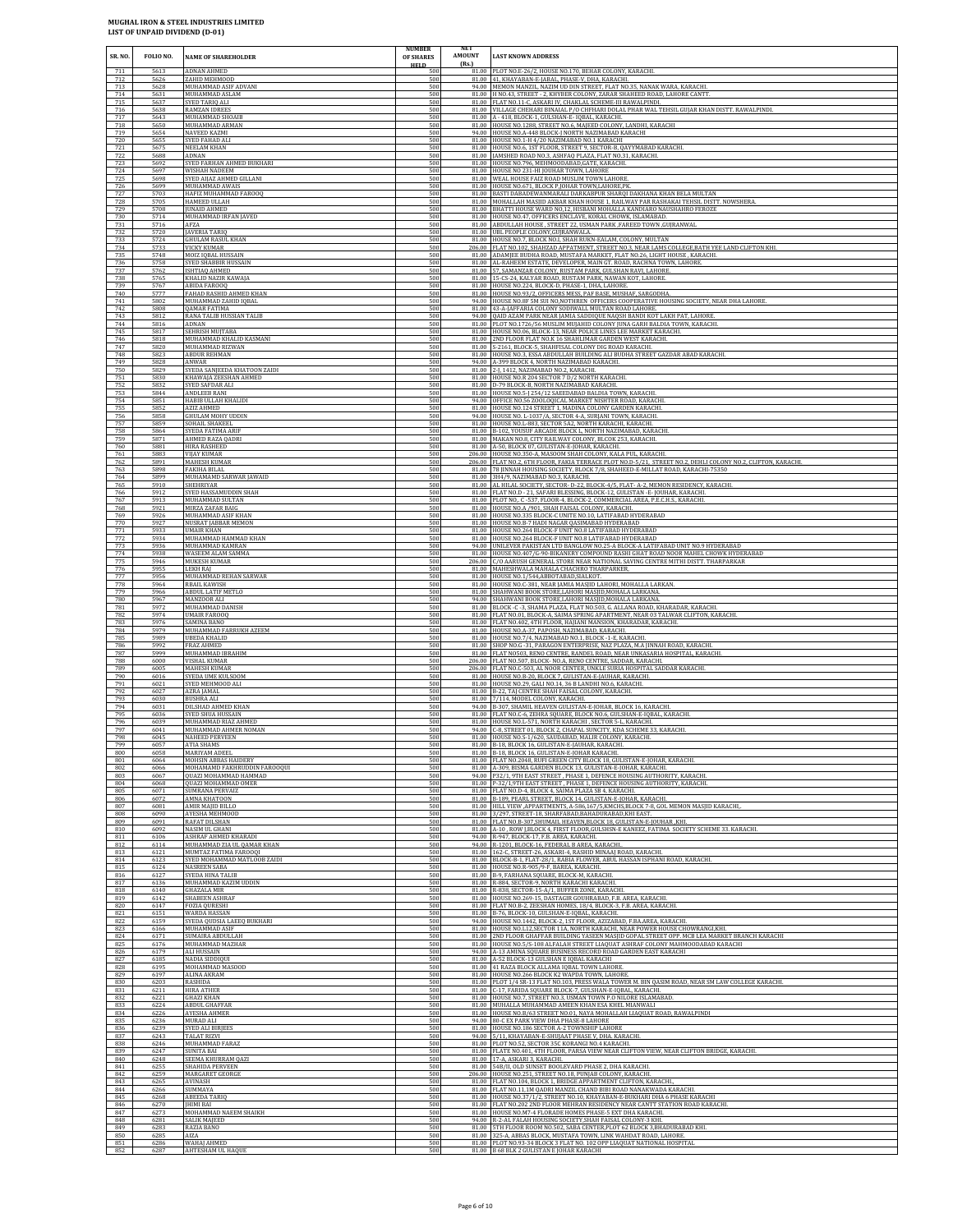| SR. NO.           | FOLIO NO.            | <b>NAME OF SHAREHOLDER</b>                                | <b>NUMBER</b><br>OF SHARES<br><b>HELD</b> | NET<br>AMOUNT<br>(Rs.) | <b>LAST KNOWN ADDRESS</b>                                                                                                                                                                                                                 |
|-------------------|----------------------|-----------------------------------------------------------|-------------------------------------------|------------------------|-------------------------------------------------------------------------------------------------------------------------------------------------------------------------------------------------------------------------------------------|
| 711               | 5613                 | ADNAN AHMED                                               | 500                                       |                        | 81.00 PLOT NO.E-26/2, HOUSE NO.170, BEHAR COLONY, KARACHI.                                                                                                                                                                                |
| 712               | 5626                 | ZAHID MEHMOOD                                             | 500                                       |                        | 81.00 41, KHAYABAN-E-JABAL, PHASE-V, DHA, KARACHL                                                                                                                                                                                         |
| 713               | 5628                 | MUHAMMAD ASIF ADVANI                                      | 500                                       |                        | 94.00 MEMON MANZIL, NAZIM UD DIN STREET, FLAT NO.35, NANAK WARA, KARACHI.                                                                                                                                                                 |
| 714               | 5631                 | MUHAMMAD ASLAM                                            | 500                                       | 81.00                  | 81.00 H NO.43, STREET - 2, KHYBER COLONY, ZARAR SHAHEED ROAD, LAHORE CANTT                                                                                                                                                                |
| 715               | 5637                 | SYED TARIO ALI                                            | 500                                       |                        | FLAT NO.11-C, ASKARI IV, CHAKLAL SCHEME-III RAWALPINDI                                                                                                                                                                                    |
| 716               | 5638                 | <b>RAMZAN IDREES</b>                                      | 500                                       |                        | 81.00 VILLAGE CHEHARI BINAIAL P/O CHFHARI DOLAL PHAR WAL TEHSIL GUJAR KHAN DISTT. RAWALPINDI.                                                                                                                                             |
| 717               | 5643                 | MUHAMMAD SHOAIB                                           | 500                                       |                        | 81.00 A - 418, BLOCK-1, GULSHAN-E- IQBAL, KARACHI.                                                                                                                                                                                        |
| 718               | 5650                 | MUHAMMAD ARMAN                                            | 500                                       |                        | 81.00 HOUSE NO.1288, STREET NO.6, MAJEED COLONY, LANDHI, KARACHI                                                                                                                                                                          |
| 719               | 5654                 | <b>NAVEED KAZMI</b>                                       | 500                                       |                        | 94.00 HOUSE NO.A-448 BLOCK-J NORTH NAZIMABAD KARACHI                                                                                                                                                                                      |
| 720               | 5655                 | SYED FAHAD ALI                                            | 500                                       | 81.00                  | 81.00 HOUSE NO.1-H 4/20 NAZIMABAD NO.1 KARACHI                                                                                                                                                                                            |
| 721               | 5675                 | NEELAM KHAN                                               | 500                                       |                        | HOUSE NO.6, 1ST FLOOR, STREET 9, SECTOR-B, QAYYMABAD KARACHI.                                                                                                                                                                             |
| 722               | 5688                 | <b>ADNAN</b>                                              | 500                                       |                        | 81.00   JAMSHED ROAD NO.3, ASHFAQ PLAZA, FLAT NO.31, KARACHI.                                                                                                                                                                             |
| 723               | 5692                 | SYED FARHAN AHMED BUKHARI                                 | 500                                       |                        | 81.00 HOUSE NO.796, MEHMOODABAD, GATE, KARACHI.                                                                                                                                                                                           |
| 724               | 5697                 | WISHAH NADEEM                                             | 500                                       |                        | 81.00 HOUSE NO 231-HI JOUHAR TOWN, LAHORE                                                                                                                                                                                                 |
| 725               | 5698                 | SYED AIJAZ AHMED GILLANI                                  | 500                                       | 81.00                  | 81.00 WEAL HOUSE FAIZ ROAD MUSLIM TOWN LAHORE                                                                                                                                                                                             |
| 726               | 5699                 | MUHAMMAD AWAIS                                            | 500                                       |                        | HOUSE NO.671, BLOCK P, JOHAR TOWN, LAHORE, PK.                                                                                                                                                                                            |
| 727               | 5703                 | HAFIZ MUHAMMAD FAROOQ                                     | 500                                       |                        | 81.00 BASTI DABADEWANMARALI DARKABPUR SHARQI DAKHANA KHAN BELA MULTAN                                                                                                                                                                     |
| 728               | 5705                 | HAMEED ULLAH                                              | 500                                       |                        | 81.00 MOHALLAH MASJID AKBAR KHAN HOUSE 1, RAILWAY PAR RASHAKAI TEHSIL DISTT. NOWSHERA.                                                                                                                                                    |
| 729               | 5708                 | <b>IUNAID AHMED</b>                                       | 500                                       |                        | 81.00 BHATTI HOUSE WARD NO,12, HISBANI MOHALLA KANDIARO NAUSHAHRO FEROZE                                                                                                                                                                  |
| 730               | 5714                 | MUHAMMAD IRFAN IAVED                                      | 500                                       |                        | 81.00 HOUSE NO.47, OFFICERS ENCLAVE, KORAL CHOWK, ISLAMABAD.                                                                                                                                                                              |
| 731               | 5716                 | AFZA                                                      | 500                                       | 81.00                  | 81.00 ABDULLAH HOUSE, STREET 22, USMAN PARK, FAREED TOWN, GUJRANWAL                                                                                                                                                                       |
| 732               | 5720                 | <b>JAVERIA TARIQ</b>                                      | 500                                       |                        | UBL PEOPLE COLONY, GUJRANWALA                                                                                                                                                                                                             |
| 733               | 5724                 | <b>GHULAM RASUL KHAN</b>                                  | 500                                       |                        | 81.00 HOUSE NO.7, BLOCK NO.I, SHAH RUKN-EALAM, COLONY, MULTAN                                                                                                                                                                             |
| 734               | 5733                 | VICKY KUMAR                                               | 500                                       |                        | 206.00 FLAT NO.102, SHAHZAD APPATMENT, STREET NO.3, NEAR LAMS COLLEGE, BATH YEE LAND CLIFTON KHI.                                                                                                                                         |
| 735               | 5748                 | MOIZ IQBAL HUSSAIN                                        | 500                                       |                        | 81.00 ADAMJEE BUDHA ROAD, MUSTAFA MARKET, FLAT NO.26, LIGHT HOUSE, KARACHI.                                                                                                                                                               |
| 736               | 5758                 | SYED SHABBIR HUSSAIN                                      | 500                                       |                        | 81.00 AL-RAHEEM ESTATE, DEVELOPER, MAIN GT. ROAD, RACHNA TOWN, LAHORE                                                                                                                                                                     |
| 737               | 5762                 | ISHTIAQ AHMED                                             | 500                                       |                        | 81.00 57, SAMANZAR COLONY, RUSTAM PARK, GULSHAN RAVI, LAHORE                                                                                                                                                                              |
| 738               | 5765                 | KHALID NAZIR KAWAJA                                       | 500                                       |                        | 81.00 15-CS-24, KALYAR ROAD, RUSTAM PARK, NAWAN KOT, LAHORE.                                                                                                                                                                              |
| 739               | 5767                 | ABIDA FAROOQ                                              | 500                                       |                        | 81.00 HOUSE NO.224, BLOCK-D, PHASE-1, DHA, LAHORE.                                                                                                                                                                                        |
| 740               | 5777                 | FAHAD RASHID AHMED KHAN                                   | 500                                       |                        | 81.00 HOUSE NO.93/2, OFFICERS MESS, PAF BASE, MUSHAF, SARGODHA.                                                                                                                                                                           |
| 741               | 5802                 | MUHAMMAD ZAHID IQBAL                                      | 500                                       |                        | 94.00 HOUSE NO.8F 5M SUI NO, NOTHREN OFFICERS COOPERATIVE HOUSING SOCIETY, NEAR DHA LAHORE.                                                                                                                                               |
| 742               | 5808                 | QAMAR FATIMA                                              | 500                                       | 94.00                  | 81.00 43-A-JAFFARIA COLONY SODIWALL MULTAN ROAD LAHORE.                                                                                                                                                                                   |
| 743               | 5812                 | RANA TALIB HUSSIAN TALIB                                  | 500                                       |                        | QAID AZAM PARK NEAR JAMIA SADDIQUE NAQSH BANDI KOT LAKH PAT, LAHORE                                                                                                                                                                       |
| 744               | 5816                 | ADNAN                                                     | 500                                       |                        | 81.00 PLOT NO.1726/56 MUSLIM MUJAHID COLONY JUNA GARH BALDIA TOWN, KARACHI.                                                                                                                                                               |
| 745               | 5817                 | SEHRISH MUJTABA                                           | 500                                       | 81.00                  | 81.00 HOUSE NO.06, BLOCK-13, NEAR POLICE LINES LEE MARKET KARACHI.                                                                                                                                                                        |
| 746               | 5818                 | MUHAMMAD KHALID KASMANI                                   | 500                                       |                        | 2ND FLOOR FLAT NO.K 16 SHAHLIMAR GARDEN WEST KARACHI.                                                                                                                                                                                     |
| 747               | 5820                 | MUHAMMAD RIZWAN                                           | 500                                       |                        | 81.00 S-2161, BLOCK-5, SHAHFISAL COLONY DIG ROAD KARACHI.                                                                                                                                                                                 |
| 748<br>749<br>750 | 5823<br>5828<br>5829 | ABDUR REHMAN<br>ANWAR<br>SYEDA SANJEEDA KHATOON ZAIDI     | 500<br>500<br>500                         | 94.00<br>81.00         | 81.00 HOUSE NO.3, ESSA ABDULLAH BUILDING ALI BUDHA STREET GAZDAR ABAD KARACHI.<br>A-399 BLOCK 4, NORTH NAZIMABAD KARACHI.<br>2-J, 1412, NAZIMABAD NO.2, KARACHI.                                                                          |
| 751<br>752        | 5830<br>5832         | KHAWAJA ZEESHAN AHMED<br>SYED SAFDAR ALI                  | 500<br>500                                |                        | 81.00 HOUSE NO.R 204 SECTOR 7 D/2 NORTH KARACHI.<br>81.00 D-79 BLOCK-B, NORTH NAZIMABAD KARACHI.<br>81.00 HOUSE NO.5-J 254/12 SAEEDABAD BALDIA TOWN, KARACHI.                                                                             |
| 753<br>754<br>755 | 5844<br>5851<br>5852 | ANDLEEB RANI<br>HABIB ULLAH KHALIDI<br>AZIZ AHMED         | 500<br>500<br>500                         | 94.00                  | OFFICE NO.56 ZOOLOQICAL MARKET NISHTER ROAD, KARACHI.<br>81.00 HOUSE NO.124 STREET 1, MADINA COLONY GARDEN KARACHI.                                                                                                                       |
| 756               | 5858                 | GHULAM MOHY UDDIN                                         | 500                                       |                        | 94.00 HOUSE NO. L-1037/A, SECTOR 4-A, SURJANI TOWN, KARACHI.                                                                                                                                                                              |
| 757               | 5859                 | SOHAIL SHAKEEL                                            | 500                                       |                        | 81.00 HOUSE NO.L-883, SECTOR 5A2, NORTH KARACHI, KARACHI.                                                                                                                                                                                 |
| 758               | 5864                 | SYEDA FATIMA ARIE                                         | 500                                       |                        | 81.00 B-102, YOUSUF ARCADE BLOCK L, NORTH NAZIMABAD, KARACHI                                                                                                                                                                              |
| 759               | 5871                 | AHMED RAZA QADRI                                          | 500                                       |                        | 81.00 MAKAN NO.8, CITY RAILWAY COLONY, BLCOK 253, KARACHI.                                                                                                                                                                                |
| 760               | 5881                 | HIRA RASHEED                                              | 500                                       |                        | 81.00 A-50, BLOCK 07, GULISTAN-E-JOHAR, KARACHI.                                                                                                                                                                                          |
| 761               | 5883                 | <b>VIJAY KUMAR</b>                                        | 500                                       |                        | 206.00 HOUSE NO.350-A, MASOOM SHAH COLONY, KALA PUL, KARACHI                                                                                                                                                                              |
| 762               | 5891                 | <b>MAHESH KUMAR</b>                                       | 500                                       |                        | 206.00 FLAT NO.2, 6TH FLOOR, FAKIA TERRACE PLOT NO.D-5/21, STREET NO.2, DEHLI COLONY NO.2, CLIFTON, KARACHI.                                                                                                                              |
| 763               | 5898                 | FAKIHA BILAL                                              | 500                                       |                        | 81.00 78 JINNAH HOUSING SOCIETY, BLOCK 7/8, SHAHEED-E-MILLAT ROAD, KARACHI-75350                                                                                                                                                          |
| 764               | 5899                 | MUHAMAMD SARWAR JAWAID                                    | 500                                       |                        | 81.00 3H4/9, NAZIMABAD NO.3, KARACHI.                                                                                                                                                                                                     |
| 765               | 5910                 | <b>SHEHRIYAR</b>                                          | 500                                       | 81.00                  | AL HILAL SOCIETY, SECTOR- D-22, BLOCK-4/5, FLAT- A-2, MEMON RESIDENCY, KARACHI.                                                                                                                                                           |
| 766               | 5912                 | SYED HASSAMUDDIN SHAH                                     | 500                                       |                        | 81.00 FLAT NO.D - 21, SAFARI BLESSING, BLOCK-12, GULISTAN -E- JOUHAR, KARACHI.                                                                                                                                                            |
| 767               | 5913                 | MUHAMMAD SULTAN                                           | 500                                       |                        | 81.00 PLOT NO, C-537, FLOOR-4, BLOCK-2, COMMERCIAL AREA, P.E.C.H.S., KARACHI.                                                                                                                                                             |
| 768               | 5921                 | MIRZA ZAFAR BAIG                                          | 500                                       |                        | 81.00 HOUSE NO.A /901, SHAH FAISAL COLONY, KARACHI.                                                                                                                                                                                       |
| 769               | 5926                 | MUHAMMAD ASIF KHAN                                        | 500                                       |                        | 81.00 HOUSE NO.335 BLOCK-C UNITE NO.10, LATIFABAD HYDERABAD                                                                                                                                                                               |
| 770               | 5927                 | <b>NUSRAT JABBAR MEMON</b>                                | 500                                       | 81.00                  | 81.00 HOUSE NO.B-7 HADI NAGAR QASIMABAD HYDERABAD                                                                                                                                                                                         |
| 771               | 5933                 | UMAIR KHAN                                                | 500                                       |                        | HOUSE NO.264 BLOCK-F UNIT NO.8 LATIFABAD HYDERABAD                                                                                                                                                                                        |
| 772               | 5934                 | MUHAMMAD HAMMAD KHAN                                      | 500                                       |                        | 81.00 HOUSE NO.264 BLOCK-F UNIT NO.8 LATIFABAD HYDERABAD                                                                                                                                                                                  |
| 773               | 5936                 | MUHAMMAD KAMRAN                                           | 500                                       | 81.00                  | 94.00 UNILEVER PAKISTAN LTD BANGLOW NO.25-A BLOCK-A LATIFABAD UNIT NO.9 HYDERABAD                                                                                                                                                         |
| 774               | 5938                 | WASEEM ALAM SAMMA                                         | 500                                       |                        | HOUSE NO.407/G-90-BIKANERY COMPOUND RASHI GHAT ROAD NOOR MAHEL CHOWK HYDERABAD                                                                                                                                                            |
| 775               | 5946                 | MUKESH KUMAR                                              | 500                                       |                        | 206.00 C/O AARUSH GENERAL STORE NEAR NATIONAL SAVING CENTRE MITHI DISTT. THARPARKAR                                                                                                                                                       |
| 776               | 5955                 | LEKH RAI                                                  | 500                                       | 81.00                  | MAHESHWALA MAHALA CHACHRO THARPARKER,                                                                                                                                                                                                     |
| 777               | 5956                 | MUHAMMAD REHAN SARWAR                                     | 500                                       |                        | 81.00 HOUSE NO.1/544, ABBOTABAD, SIALKOT.                                                                                                                                                                                                 |
| 778               | 5964                 | <b>RBAIL KAWISH</b>                                       | 500                                       |                        | 81.00 HOUSE NO.C-381, NEAR JAMIA MASJID LAHORI, MOHALLA LARKAN.                                                                                                                                                                           |
| 779               | 5966                 | ABDUL LATIF METLO                                         | 500                                       |                        | 81.00 SHAHWANI BOOK STORE, LAHORI MASJID, MOHALA LARKANA.                                                                                                                                                                                 |
| 780               | 5967                 | MANZOOR ALI                                               | 500                                       |                        | 94.00 SHAHWANI BOOK STORE, LAHORI MASJID, MOHALA LARKANA.                                                                                                                                                                                 |
| 781               | 5972                 | MUHAMMAD DANISH                                           | 500                                       | 81.00                  | 81.00 BLOCK -C -3, SHAMA PLAZA, FLAT NO.503, G. ALLANA ROAD, KHARADAR, KARACHI.                                                                                                                                                           |
| 782               | 5974                 | <b>UMAIR FAROOQ</b>                                       | 500                                       |                        | FLAT NO.01, BLOCK-A, SAIMA SPRING APARTMENT, NEAR 03 TALWAR CLIFTON, KARACHI.                                                                                                                                                             |
| 783               | 5976                 | SAMINA BANO                                               | 500                                       |                        | 81.00 FLAT NO.402, 4TH FLOOR, HAJIANI MANSION, KHARADAR, KARACHI.                                                                                                                                                                         |
| 784               | 5979                 | MUHAMMAD FARRUKH AZEEM                                    | 500                                       |                        | 81.00 HOUSE NO.A-37, PAPOSH, NAZIMABAD, KARACHI.                                                                                                                                                                                          |
| 785               | 5989                 | UBEDA KHALID                                              | 500                                       |                        | 81.00 HOUSE NO.7/4, NAZIMABAD NO.1, BLOCK -1-E, KARACHI.                                                                                                                                                                                  |
| 786               | 5992                 | FRAZ AHMED                                                | 500                                       |                        | 81.00 SHOP NO.G -31, PARAGON ENTERPRISE, NAZ PLAZA, M.A JINNAH ROAD, KARACHI                                                                                                                                                              |
| 787<br>788<br>789 | 5999<br>6000<br>6005 | MUHAMMAD IBRAHIM<br>VISHAL KUMAR<br>MAHESH KUMAR          | 500<br>500<br>500                         | 206.00<br>206.00       | 81.00 FLAT NO503, RENO CENTRE, RANDEL ROAD, NEAR UNKASARIA HOSPITAL, KARACHI.<br>FLAT NO.507, BLOCK- NO.A, RENO CENTRE, SADDAR, KARACHI.<br>FLAT NO.C-503, AL NOOR CENTER, UNKLE SURIA HOSPITAL SADDAR KARACHI.                           |
| 790               | 6016                 | SYEDA UME KULSOOM                                         | 500                                       |                        | 81.00 HOUSE NO.B-20, BLOCK 7, GULISTAN-E-JAUHAR, KARACHI.                                                                                                                                                                                 |
| 791               | 6021                 | SYED MEHMOOD ALI                                          | 500                                       |                        | 81.00 HOUSE NO.29, GALI NO.14, 36 B LANDHI NO.6, KARACHI.                                                                                                                                                                                 |
| 792               | 6027                 | AZRA JAMAL                                                | 500                                       |                        | 81.00 B-22, TAJ CENTRE SHAH FAISAL COLONY, KARACHI.                                                                                                                                                                                       |
| 793               | 6030                 | <b>BUSHRA ALI</b>                                         | 500                                       |                        | 81.00 7/114, MODEL COLONY, KARACHI.                                                                                                                                                                                                       |
| 794               | 6031                 | DILSHAD AHMED KHAN                                        | 500                                       |                        | 94.00 B-307, SHAMIL HEAVEN GULISTAN-E-JOHAR, BLOCK 16, KARACHI                                                                                                                                                                            |
| 795               | 6036                 | SYED SHUA HUSSAIN                                         | 500                                       |                        | 81.00 FLAT NO.C-6, ZEHRA SQUARE, BLOCK NO.6, GULSHAN-E-IQBAL, KARACHI.                                                                                                                                                                    |
| 796               | 6039                 | MUHAMMAD RIAZ AHMED                                       | 500                                       |                        | 81.00 HOUSE NO.L-571, NORTH KARACHI, SECTOR 5-L, KARACHI.                                                                                                                                                                                 |
| 797               | 6041                 | MUHAMMAD AHMER NOMAN                                      | 500                                       |                        | 94.00 C-8, STREET 01, BLOCK 2, CHAPAL SUNCITY, KDA SCHEME 33, KARACHI                                                                                                                                                                     |
| 798               | 6045                 | NAHEED PERVEEN                                            | 500                                       |                        | 81.00 HOUSE NO.S-1/620, SAUDABAD, MALIR COLONY, KARACHI.                                                                                                                                                                                  |
| 799               | 6057                 | <b>ATIA SHAMS</b>                                         | 500                                       |                        | 81.00 B-18, BLOCK 16, GULISTAN-E-JAUHAR, KARACHI.                                                                                                                                                                                         |
| 800               | 6058                 | MARIYAM ADEEL                                             | 500                                       |                        | 81.00 B-18, BLOCK 16, GULISTAN-E-JOHAR KARACHI.                                                                                                                                                                                           |
| 801               | 6064                 | MOHSIN ABBAS HAIDERY                                      | 500                                       |                        | 81.00 FLAT NO.2048, RUFI GREEN CITY BLOCK 18, GULISTAN-E-JOHAR, KARACHI.                                                                                                                                                                  |
| 802               | 6066                 | MOHAMAMD FAKHRUDDIN FAROOQUI                              | 500                                       |                        | 81.00 A-309, BISMA GARDEN BLOCK 13, GULISTAN-E-JOHAR, KARACHI.                                                                                                                                                                            |
| 803               | 6067                 | QUAZI MOHAMMAD HAMMAD                                     | 500                                       |                        | 94.00 P32/1, 9TH EAST STREET, PHASE 1, DEFENCE HOUSING AUTHORITY, KARACHI                                                                                                                                                                 |
| 804               | 6068                 | QUAZI MOHAMMAD OMER                                       | 500                                       | 81.00                  | P-32/1,9TH EAST STREET, PHASE 1, DEFENCE HOUSING AUTHORITY, KARACHI.                                                                                                                                                                      |
| 805               | 6071                 | <b>SUMRANA PERVAIZ</b>                                    | 500                                       |                        | 81.00 FLAT NO.D-4, BLOCK 4, SAIMA PLAZA SB 4, KARACHI.                                                                                                                                                                                    |
| 806               | 6072                 | AMNA KHATOON                                              | 500                                       |                        | 81.00 B-189, PEARL STREET, BLOCK 14, GULISTAN-E-JOHAR, KARACHI.                                                                                                                                                                           |
| 807               | 6081                 | AMIR MAJID BILLO                                          | 500                                       |                        | 81.00 HILL VIEW , APPARTMENTS, A-586, 167/5, KMCHS, BLOCK 7-8, GOL MEMON MASJID KARACHI,                                                                                                                                                  |
| 808               | 6090                 | AYESHA MEHMOOD                                            | 500                                       |                        | 81.00 3/297, STREET-18, SHARFABAD, BAHADURABAD, KHI EAST.                                                                                                                                                                                 |
| 809               | 6091                 | RAFAT DILSHAN                                             | 500                                       |                        | 81.00 FLAT NO.B-307, SHUMAIL HEAVEN, BLOCK 18, GULISTAN-E-JOUHAR, KHI.                                                                                                                                                                    |
| 810               | 6092                 | NASIM UL GHANI                                            | 500                                       | 81.00                  | A-10, ROW J,BLOCK 4, FIRST FLOOR, GULSHSN-E KANEEZ, FATIMA SOCIETY SCHEME 33. KARACHI.                                                                                                                                                    |
| 811               | 6106                 | ASHRAF AHMED KHARADI                                      | 500                                       |                        | 94.00 R-947, BLOCK-17, F.B. AREA, KARACHI.                                                                                                                                                                                                |
| 812               | 6114                 | MUHAMMAD ZIA UL QAMAR KHAN                                | 500                                       |                        | 94.00 R-1201, BLOCK-16, FEDERAL B AREA, KARACHI.                                                                                                                                                                                          |
| 813               | 6121                 | MUMTAZ FATIMA FAROOQI                                     | 500                                       |                        | 81.00 162-C, STREET-26, ASKARI-4, RASHID MINAAJ ROAD, KARACHI.                                                                                                                                                                            |
| 814               | 6123                 | SYED MOHAMMAD MATLOOB ZAIDI                               | 500                                       |                        | 81.00 BLOCK-B-1, FLAT-28/1, RABIA FLOWER, ABUL HASSAN ISPHANI ROAD, KARACHI.                                                                                                                                                              |
| 815               | 6124                 | <b>NASREEN SABA</b>                                       | 500                                       |                        | 81.00 HOUSE NO.R-905/9-F. BAREA, KARACHI,                                                                                                                                                                                                 |
| 816               | 6127                 | SYEDA HINA TALIB                                          | 500                                       |                        | 81.00 B-9, FARHANA SQUARE, BLOCK-M, KARACHI                                                                                                                                                                                               |
| 817               | 6136                 | MUHAMMAD KAZIM UDDIN                                      | 500                                       |                        | 81.00 R-884, SECTOR-9, NORTH KARACHI KARACHI.                                                                                                                                                                                             |
| 818               | 6140                 | <b>GHAZALA MIR</b>                                        | 500                                       |                        | 81.00 R-838, SECTOR-15-A/1, BUFFER ZONE, KARACHI.                                                                                                                                                                                         |
| 819               | 6142                 | <b>SHABEEN ASHRAF</b>                                     | 500                                       |                        | 81.00 HOUSE NO.269-15, DASTAGIR GOUHRABAD, F.B. AREA, KARACHI                                                                                                                                                                             |
| 820               | 6147                 | <b>FOZIA OURESHI</b>                                      | 500                                       |                        | 81.00 FLAT NO.B-2, ZEESHAN HOMES, 18/4, BLOCK-3, F.B. AREA, KARACHI.                                                                                                                                                                      |
| 821               | 6151                 | WARDA HASSAN                                              | 500                                       | 81.00                  | B-76, BLOCK-10, GULSHAN-E-IQBAL, KARACHI.                                                                                                                                                                                                 |
| 822               | 6159                 | SYEDA QUDSIA LAEEQ BUKHARI                                | 500                                       |                        | 94.00 HOUSE NO.1442, BLOCK-2, 1ST FLOOR, AZIZABAD, F.BA.AREA, KARACHI.                                                                                                                                                                    |
| 823               | 6166                 | MUHAMMAD ASIF                                             | 500                                       |                        | 81.00 HOUSE NO.L12, SECTOR 11A, NORTH KARACHI, NEAR POWER HOUSE CHOWRANGI, KHI.                                                                                                                                                           |
| 824<br>825<br>826 | 6171<br>6176<br>6179 | SUMAIRA ABDULLAH<br>MUHAMMAD MAZHAR<br><b>ALI HUSSAIN</b> | 500<br>500<br>500                         | 81.00<br>94.00         | 2ND FLOOR GHAFFAR BUILDING YASEEN MASJID GOPAL STREET OPP. MCB LEA MARKET BRANCH KARACHI<br>81.00 HOUSE NO.5/S-108 ALFALAH STREET LIAQUAT ASHRAF COLONY MAHMOODABAD KARACHI<br>A-13 AMINA SOUARE BUSINESS RECORD ROAD GARDEN EAST KARACHI |
| 827               | 6185                 | NADIA SIDDIQUI                                            | 500                                       |                        | 81.00 A-52 BLOCK-13 GULSHAN E IQBAL KARACHI                                                                                                                                                                                               |
| 828               | 6195                 | MOHAMMAD MASOOD                                           | 500                                       |                        | 81.00 41 RAZA BLOCK ALLAMA IQBAL TOWN LAHORE.                                                                                                                                                                                             |
| 829               | 6197                 | ALINA AKRAM                                               | 500                                       |                        | 81.00 HOUSE NO.266 BLOCK K2 WAPDA TOWN, LAHORE                                                                                                                                                                                            |
| 830<br>831        | 6203<br>6211         | RASHIDA<br><b>HIRA ATHER</b>                              | 500<br>500<br>500                         |                        | 81.00 PLOT 1/4 SR-13 FLAT NO.103, PRESS WALA TOWER M. BIN QASIM ROAD, NEAR SM LAW COLLEGE KARACHI.<br>81.00 C-17, FARIDA SQUARE BLOCK-7, GULSHAN-E-IQBAL, KARACHI.                                                                        |
| 832<br>833<br>834 | 6221<br>6224<br>6226 | <b>GHAZI KHAN</b><br>ABDUL GHAFFAR<br>AYESHA AHMER        | 500<br>500                                |                        | 81.00 HOUSE NO.7, STREET NO.3, USMAN TOWN P.O NILORE ISLAMABAD<br>81.00 MUHALLA MUHAMMAD AMEEN KHAN ESA KHEL MIANWALI<br>81.00 HOUSE NO.B/63 STREET NO.01, NAYA MOHALLAH LIAQUAT ROAD, RAWALPINDI                                         |
| 835               | 6236                 | MURAD ALI                                                 | 500                                       |                        | 94.00 80-C EX PARK VIEW DHA PHASE-8 LAHORE                                                                                                                                                                                                |
| 836               | 6239                 | <b>SYED ALI BIRJEES</b>                                   | 500                                       |                        | 81.00 HOUSE NO.186 SECTOR A-2 TOWNSHIP LAHORE                                                                                                                                                                                             |
| 837               | 6243                 | <b>TALAT RIZVI</b>                                        | 500                                       |                        | 94.00 5/11, KHAYABAN-E-SHUJAAT PHASE V, DHA. KARACHI.                                                                                                                                                                                     |
| 838               | 6246                 | MUHAMMAD FARAZ                                            | 500                                       | 81.00                  | PLOT NO.52, SECTOR 35C KORANGI NO.4 KARACHI.                                                                                                                                                                                              |
| 839               | 6247                 | <b>SUNITA BAI</b>                                         | 500                                       |                        | 81.00 FLATE NO.401, 4TH FLOOR, PARSA VIEW NEAR CLIFTON VIEW, NEAR CLIFTON BRIDGE, KARACHI.                                                                                                                                                |
| 840               | 6248                 | SEEMA KHURRAM OAZI                                        | 500                                       |                        | 81.00 17-A, ASKARI 3, KARACHI.                                                                                                                                                                                                            |
| 841               | 6255                 | <b>SHAHIDA PERVEEN</b>                                    | 500                                       |                        | 81.00 54B/II, OLD SUNSET BOOLEVARD PHASE 2, DHA KARACHI.                                                                                                                                                                                  |
| 842               | 6259                 | MARGARET GEORGE                                           | 500                                       |                        | 206.00 HOUSE NO.251, STREET NO.18, PUNJAB COLONY, KARACHI.                                                                                                                                                                                |
| 843               | 6265                 | AVINASH                                                   | 500                                       |                        | 81.00 FLAT NO.104, BLOCK 1, BRIDGE APPARTMENT CLIFTON, KARACHI.                                                                                                                                                                           |
| 844<br>845        | 6266<br>6268         | <b>SUMMAYA</b><br>ABEEDA TARIQ                            | 500<br>500<br>500                         |                        | 81.00 FLAT NO.11,1M QADRI MANZIL CHAND BIBI ROAD NANAKWADA KARACHI.<br>81.00 HOUSE NO.37/1/2, STREET NO.10, KHAYABAN-E-BUKHARI DHA 6 PHASE KARACHI                                                                                        |
| 846<br>847<br>848 | 6270<br>6273<br>6281 | <b>JHIMI BAI</b><br>MOHAMMAD NAEEM SHAIKH<br>SALIK MAJEED | 500<br>500                                |                        | 81.00 FLAT NO.202 2ND FLOOR MEHRAN RESIDENCY NEAR CANTT STATION ROAD KARACHI.<br>81.00 HOUSE NO.M7-4 FLORADE HOMES PHASE-5 EXT DHA KARACHI.<br>94.00 R-2-AL FALAH HOUSING SOCIETY, SHAH FAISAL COLONY-3 KHI.                              |
| 849               | 6283                 | RAZIA BANO                                                | 500                                       |                        | 81.00 STH FLOOR ROOM NO.502, SABA CENTER, PLOT 62 BLOCK 3, BHADURABAD KHI.                                                                                                                                                                |
| 850               | 6285                 | AIZA                                                      | 500                                       |                        | 81.00 325-A, ABBAS BLOCK, MUSTAFA TOWN, LINK WAHDAT ROAD, LAHORE.                                                                                                                                                                         |
| 851               | 6286                 | WAHAJ AHMED                                               | 500                                       |                        | 81.00 PLOT NO.93-34 BLOCK 3 FLAT NO. 102 OPP LIAQUAT NATIONAL HOSPITAL                                                                                                                                                                    |
| 852               | 6287                 | AHTESHAM UL HAQUE                                         | 500                                       |                        | 81.00 B 68 BLK 2 GULISTAN E JOHAR KARACHI                                                                                                                                                                                                 |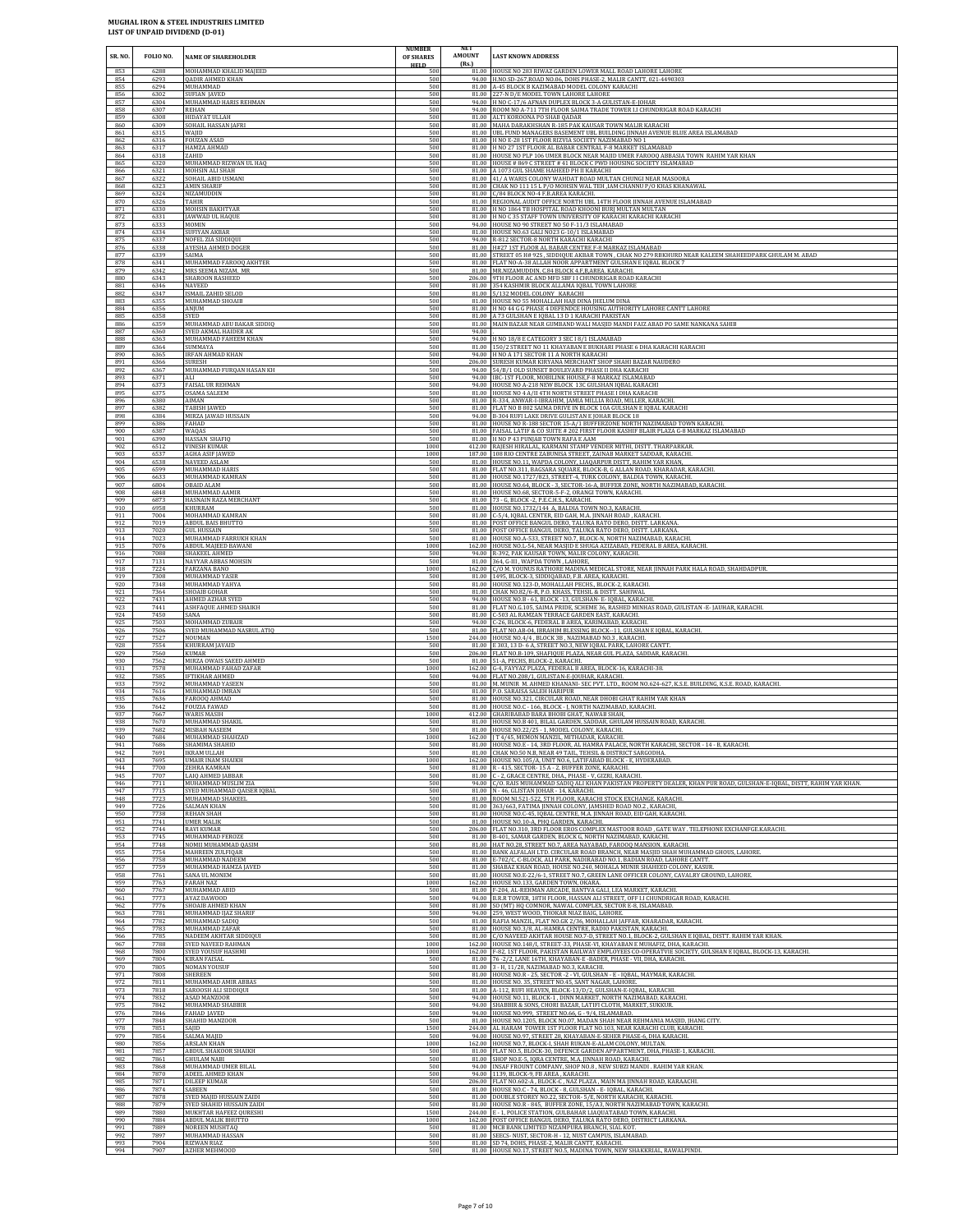| SR. NO.           | FOLIO NO.            | <b>NAME OF SHAREHOLDER</b>                                                             | <b>NUMBER</b><br>OF SHARES<br><b>HELD</b> | <b>AMOUNT</b><br>(Rs.) | <b>LAST KNOWN ADDRESS</b>                                                                                                                                                                                                      |
|-------------------|----------------------|----------------------------------------------------------------------------------------|-------------------------------------------|------------------------|--------------------------------------------------------------------------------------------------------------------------------------------------------------------------------------------------------------------------------|
| 853               | 6288                 | MOHAMMAD KHALID MAJEED                                                                 | 500                                       |                        | 81.00 HOUSE NO 283 RIWAZ GARDEN LOWER MALL ROAD LAHORE LAHORE                                                                                                                                                                  |
| 854               | 6293                 | <b>QADIR AHMED KHAN</b>                                                                | 500                                       |                        | 94.00 H.NO.SD-267, ROAD NO.06, DOHS PHASE-2, MALIR CANTT, 021-4490303                                                                                                                                                          |
| 855               | 6294                 | MUHAMMAD                                                                               | 500                                       |                        | 81.00 A-45 BLOCK B KAZIMABAD MODEL COLONY KARACHI                                                                                                                                                                              |
| 856<br>857        | 6302<br>6304         | SUFIAN JAVED<br>MUHAMMAD HARIS REHMAN                                                  | 500<br>500<br>500                         |                        | 81.00 227-N D/E MODEL TOWN LAHORE LAHORE<br>94.00 H NO C-17/6 AFNAN DUPLEX BLOCK 3-A GULISTAN-E-JOHAR                                                                                                                          |
| 858<br>859<br>860 | 6307<br>6308<br>6309 | REHAN<br><b>HIDAYAT ULLAH</b><br>SOHAIL HASSAN JAFRI                                   | 500<br>500                                |                        | 94.00 ROOM NO A-711 7TH FLOOR SAIMA TRADE TOWER I.I CHUNDRIGAR ROAD KARACHI<br>81.00 ALTI KOROONA PO SHAB QADAR<br>81.00 MAHA DARAKHSHAN R-185 PAK KAUSAR TOWN MALIR KARACHI                                                   |
| 861               | 6315                 | WAJID                                                                                  | 500                                       |                        | 81.00 UBL FUND MANAGERS BASEMENT UBL BUILDING JINNAH AVENUE BLUE AREA ISLAMABAD                                                                                                                                                |
| 862               | 6316                 | FOUZAN ASAD                                                                            | 500                                       |                        | 81.00 H NO E-28 1ST FLOOR RIZVIA SOCIETY NAZIMABAD NO 1                                                                                                                                                                        |
| 863               | 6317                 | HAMZA AHMAD                                                                            | 500                                       |                        | 81.00 H NO 27 1ST FLOOR AL BABAR CENTRAL F-8 MARKET ISLAMABAD                                                                                                                                                                  |
| 864               | 6318                 | ZAHID                                                                                  | 500                                       |                        | 81.00 HOUSE NO PLP 106 UMER BLOCK NEAR MAJID UMER FAROOO ABBASIA TOWN RAHIM YAR KHAN                                                                                                                                           |
| 865               | 6320                 | MUHAMMAD RIZWAN UL HAQ                                                                 | 500                                       |                        | 81.00 HOUSE # 869 C STREET # 41 BLOCK C PWD HOUSING SOCIETY ISLAMABAD                                                                                                                                                          |
| 866               | 6321                 | MOHSIN ALI SHAH                                                                        | 500                                       |                        | 81.00 A 1073 GUL SHAME HAHEED PH II KARACHI                                                                                                                                                                                    |
| 867               | 6322                 | SOHAIL ABID USMANI                                                                     | 500                                       |                        | 81.00 41/ A WARIS COLONY WAHDAT ROAD MULTAN CHUNGI NEAR MASOORA                                                                                                                                                                |
| 868               | 6323                 | <b>AMIN SHARIF</b>                                                                     | 500                                       |                        | 81.00 CHAK NO 111 15 L P/O MOHSIN WAL TEH ,IAM CHANNU P/O KHAS KHANAWAL                                                                                                                                                        |
| 869               | 6324                 | NIZAMUDDIN                                                                             | 500                                       |                        | 81.00 C/84 BLOCK NO-4 F.B.AREA KARACHI.                                                                                                                                                                                        |
| 870               | 6326                 | TAHIR                                                                                  | 500                                       |                        | 81.00 REGIONAL AUDIT OFFICE NORTH UBL 14TH FLOOR JINNAH AVENUE ISLAMABAD                                                                                                                                                       |
| 871               | 6330                 | MOHSIN BAKHTYAR                                                                        | 500                                       |                        | 81.00 H NO 1864 TB HOSPITAL ROAD KHOONI BURJ MULTAN MULTAN                                                                                                                                                                     |
| 872               | 6331                 | JAWWAD UL HAQUE                                                                        | 500                                       |                        | 81.00 H NO C 35 STAFF TOWN UNIVERSITY OF KARACHI KARACHI KARACHI                                                                                                                                                               |
| 873               | 6333                 | <b>MOMIN</b>                                                                           | 500                                       |                        | 94.00 HOUSE NO 90 STREET NO 50 F-11/3 ISLAMABAD                                                                                                                                                                                |
| 874               | 6334                 | SUFIYAN AKBAR                                                                          | 500                                       |                        | 81.00 HOUSE NO.63 GALI NO23 G-10/1 ISLAMABAD                                                                                                                                                                                   |
| 875               | 6337                 | NOFEL ZIA SIDDIQUI                                                                     | 500                                       |                        | 94.00 R-812 SECTOR-8 NORTH KARACHI KARACHI                                                                                                                                                                                     |
| 876               | 6338                 | AYESHA AHMED DOGER                                                                     | 500                                       |                        | 81.00 H#27 1ST FLOOR AL BABAR CENTRE F-8 MARKAZ ISLAMABAD                                                                                                                                                                      |
| 877               | 6339                 | SAIMA                                                                                  | 500                                       |                        | 81.00   STREET 05 H# 92S, SIDDIQUE AKBAR TOWN, CHAK NO 279 RBKHURD NEAR KALEEM SHAHEEDPARK GHULAM M. ABAD                                                                                                                      |
| 878               | 6341                 | MUHAMMAD FAROOQ AKHTER                                                                 | 500                                       |                        | 81.00 FLAT NO-A-38 ALLAH NOOR APPARTMENT GULSHAN E IQBAL BLOCK 7                                                                                                                                                               |
| 879               | 6342                 | MRS SEEMA NIZAM. MR                                                                    | 500                                       |                        | 81.00 MR.NIZAMUDDIN. C.84 BLOCK 4.F, B, AREA. KARACH                                                                                                                                                                           |
| 880               | 6343                 | SHAROON RASHEED                                                                        | 500                                       |                        | 206.00 9TH FLOOR AC AND MFD SBF I I CHUNDRIGAR ROAD KARACHI                                                                                                                                                                    |
| 881               | 6346                 | NAVEED                                                                                 | 500                                       |                        | 81.00 354 KASHMIR BLOCK ALLAMA IQBAL TOWN LAHORE                                                                                                                                                                               |
| 882               | 6347                 | ISMAIL ZAHID SELOD                                                                     | 500                                       |                        | 81.00 5/132 MODEL COLONY KARACHI                                                                                                                                                                                               |
| 883               | 6355                 | MUHAMMAD SHOAIB                                                                        | 500                                       |                        | 81.00 HOUSE NO 55 MOHALLAH HAJI DINA JHELUM DINA                                                                                                                                                                               |
| 884               | 6356                 | ANJUM                                                                                  | 500                                       |                        | 81.00 H NO 44 G G PHASE 4 DEFENDCE HOUSING AUTHORITY LAHORE CANTT LAHORE                                                                                                                                                       |
| 885               | 6358                 | SYED                                                                                   | 500                                       |                        | 81.00 A 73 GULSHAN E IQBAL 13 D 1 KARACHI PAKISTAN                                                                                                                                                                             |
| 886               | 6359                 | MUHAMMAD ABU BAKAR SIDDIQ                                                              | 500                                       |                        | 81.00 MAIN BAZAR NEAR GUMBAND WALI MASJID MANDI FAIZ ABAD PO SAME NANKANA SAHIB                                                                                                                                                |
| 887<br>888<br>889 | 6360<br>6363<br>6364 | <u>SYED AKMAL HAIDER AK</u><br>MUHAMMAD FAHEEM KHAN<br>SUMMAYA                         | 500<br>500<br>500                         | 94.00                  | 94.00 H NO 18/8 E CATEGORY 3 SEC 18/1 ISLAMABAD<br>81.00 150/2 STREET NO 11 KHAYABAN E BUKHARI PHASE 6 DHA KARACHI KARACHI                                                                                                     |
| 890               | 6365                 | IRFAN AHMAD KHAN                                                                       | 500                                       |                        | 94.00 H NO A 171 SECTOR 11 A NORTH KARACHI                                                                                                                                                                                     |
| 891               | 6366                 | <b>SURESH</b>                                                                          | 500                                       |                        | 206.00 SURESH KUMAR KIRYANA MERCHANT SHOP SHAHI BAZAR NAUDERO                                                                                                                                                                  |
| 892               | 6367                 | MUHAMMAD FURQAN HASAN KH                                                               | 500                                       |                        | 94.00 54/B/1 OLD SUNSET BOULEVARD PHASE II DHA KARACHI                                                                                                                                                                         |
| 893               | 6371                 | ALI                                                                                    | 500                                       |                        | 94.00 IBC-1ST FLOOR, MOBILINK HOUSE, F-8 MARKAZ ISLAMABAD                                                                                                                                                                      |
| 894               | 6373                 | <b>FAISAL UR REHMAN</b>                                                                | 500                                       |                        | 94.00 HOUSE NO A-218 NEW BLOCK 13C GULSHAN IQBAL KARACHI                                                                                                                                                                       |
| 895               | 6375                 | OSAMA SALEEM                                                                           | 500                                       |                        | 81.00 HOUSE NO 4 A/II 4TH NORTH STREET PHASE I DHA KARACHI                                                                                                                                                                     |
| 896               | 6380                 | AIMAN                                                                                  | 500                                       |                        | 81.00 R-334, ANWAR-I-IBRAHIM, JAMIA MILLIA ROAD, MILLER, KARACHI                                                                                                                                                               |
| 897               | 6382                 | TABISH JAWED                                                                           | 500                                       |                        | 81.00 FLAT NO B 802 SAIMA DRIVE IN BLOCK 10A GULSHAN E IQBAL KARACHI                                                                                                                                                           |
| 898               | 6384                 | MIRZA JAWAD HUSSAIN                                                                    | 500                                       |                        | 94.00 B-304 RUFI LAKE DRIVE GULISTAN E JOHAR BLOCK 18                                                                                                                                                                          |
| 899               | 6386                 | FAHAD                                                                                  | 500                                       |                        | 81.00 HOUSE NO R-188 SECTOR 15-A/1 BUFFERZONE NORTH NAZIMABAD TOWN KARACHI.                                                                                                                                                    |
| 900               | 6387                 | WAQAS                                                                                  | 500                                       |                        | 81.00 FAISAL LATIF & CO SUITE # 202 FIRST FLOOR KASHIF BLAIR PLAZA G-8 MARKAZ ISLAMABAD                                                                                                                                        |
| 901               | 6390                 | HASSAN SHAFIQ                                                                          | 500                                       |                        | 81.00 H NO P 43 PUNJAB TOWN RAFA E AAM                                                                                                                                                                                         |
| 902               | 6512                 | <b>VINESH KUMAR</b>                                                                    | 1000                                      |                        | 412.00 RAJESH HIRALAL, KARMANI STAMP VENDER MITHI, DISTT. THARPARKAR.                                                                                                                                                          |
| 903               | 6537                 | <b>AGHA ASIF JAWED</b>                                                                 | 1000                                      |                        | 187.00 108 RIO CENTRE ZABUNISA STREET, ZAINAB MARKET SADDAR, KARACHI                                                                                                                                                           |
| 904               | 6538                 | NAVEED ASLAM                                                                           | 500                                       |                        | 81.00 HOUSE NO.11, WAPDA COLONY, LIAQARPUR DISTT, RAHIM YAR KHAN                                                                                                                                                               |
| 905               | 6599                 | MUHAMMAD HARIS                                                                         | 500                                       |                        | 81.00 FLAT NO.311, BAGSARA SQUARE, BLOCK-B, G ALLAN ROAD, KHARADAR, KARACHI.                                                                                                                                                   |
| 906               | 6633                 | MUHAMMAD KAMRAN                                                                        | 500                                       |                        | 81.00 HOUSE NO.1727/823, STREET-4, TURK COLONY, BALDIA TOWN, KARACHI                                                                                                                                                           |
| 907               | 6804                 | <b>OBAID ALAM</b>                                                                      | 500                                       |                        | 81.00 HOUSE NO.64, BLOCK - 3, SECTOR-16-A, BUFFER ZONE, NORTH NAZIMABAD, KARACHI.                                                                                                                                              |
| 908               | 6848                 | MUHAMMAD AAMIR                                                                         | 500                                       |                        | 81.00 HOUSE NO.68, SECTOR-5-F-2, ORANGI TOWN, KARACHI.                                                                                                                                                                         |
| 909               | 6873                 | HASNAIN RAZA MERCHANT                                                                  | 500                                       |                        | 81.00 73 - G, BLOCK -2, P.E.C.H.S., KARACHI.                                                                                                                                                                                   |
| 910               | 6958                 | KHURRAM                                                                                | 500                                       |                        | 81.00 HOUSE NO.1732/144 A, BALDIA TOWN NO.3, KARACHI.                                                                                                                                                                          |
| 911               | 7004                 | MOHAMMAD KAMRAN                                                                        | 500                                       |                        | 81.00 C-5/4, IQBAL CENTER, EID GAH, M.A. JINNAH ROAD, KARACHI.                                                                                                                                                                 |
| 912               | 7019                 | ABDUL BAIS BHUTTO                                                                      | 500                                       |                        | 81.00 POST OFFICE BANGUL DERO, TALUKA RATO DERO, DISTT. LARKANA                                                                                                                                                                |
| 913               | 7020                 | <b>GUL HUSSAIN</b>                                                                     | 500                                       |                        | 81.00 POST OFFICE BANGUL DERO, TALUKA RATO DERO, DISTT. LARKANA                                                                                                                                                                |
| 914               | 7023                 | MUHAMMAD FARRUKH KHAN                                                                  | 500                                       |                        | 81.00 HOUSE NO.A-533, STREET NO.7, BLOCK-N, NORTH NAZIMABAD, KARACHI                                                                                                                                                           |
| 915               | 7076                 | <b>ABDUL MAJEED BAWANI</b>                                                             | 1000                                      |                        | 162.00 HOUSE NO.L-54, NEAR MASJID E SHUGA AZIZABAD, FEDERAL B AREA, KARACHI.                                                                                                                                                   |
| 916               | 7088                 | SHAKEEL AHMED                                                                          | 500                                       |                        | 94.00 R-392, PAK KAUSAR TOWN, MALIR COLONY, KARACHI.                                                                                                                                                                           |
| 917               | 7131                 | NAYYAR ABBAS MOHSIN                                                                    | 500                                       |                        | 81.00 364, G-III , WAPDA TOWN, LAHORE,                                                                                                                                                                                         |
| 918               | 7224                 | FARZANA BANO                                                                           | 1000                                      |                        | 162.00 C/O M. YOUNUS RATHORE MADINA MEDICAL STORE, NEAR JINNAH PARK HALA ROAD, SHAHDADPUR                                                                                                                                      |
| 919               | 7308                 | MUHAMMAD YASIR                                                                         | 500                                       |                        | 81.00 1495, BLOCK-3, SIDDIQABAD, F.B. AREA, KARACHI.                                                                                                                                                                           |
| 920               | 7348                 | MUHAMMAD YAHYA                                                                         | 500                                       |                        | 81.00 HOUSE NO.123-D, MOHALLAH PECHS., BLOCK-2, KARACHI                                                                                                                                                                        |
| 921               | 7364                 | SHOAIB GOHAR                                                                           | 500                                       |                        | 81.00 CHAK NO.82/6-R, P.O. KHASS, TEHSIL & DISTT. SAHIWAL                                                                                                                                                                      |
| 922               | 7431                 | <b>AHMED AZHAR SYED</b>                                                                | 500                                       |                        | 94.00 HOUSE NO.B - 61, BLOCK -13, GULSHAN- E- IQBAL, KARACHI.                                                                                                                                                                  |
| 923               | 7441                 | ASHFAQUE AHMED SHAIKH                                                                  | 500                                       |                        | 81.00 FLAT NO.G.105, SAIMA PRIDE, SCHEME 36, RASHED MINHAS ROAD, GULISTAN -E-JAUHAR, KARACHI.                                                                                                                                  |
| 924               | 7450                 | SANA                                                                                   | 500                                       |                        | 81.00 C-503 AL RAMZAN TERRACE GARDEN EAST, KARACHI.                                                                                                                                                                            |
| 925               | 7503                 | MOHAMMAD ZUBAIR                                                                        | 500                                       |                        | 94.00 C-26, BLOCK-6, FEDERAL B AREA, KARIMABAD, KARACHI                                                                                                                                                                        |
| 926               | 7506                 | SYED MUHAMMAD NASRUL ATIQ                                                              | 500                                       |                        | 81.00 FLAT NO.AB-04, IBRAHIM BLESSING BLOCK--11, GULSHAN E IQBAL, KARACHI.                                                                                                                                                     |
| 927               | 7527                 | NOUMAN                                                                                 | 1500                                      |                        | 244.00 HOUSE NO.4/4, BLOCK 3B, NAZIMABAD NO.3, KARACHI.                                                                                                                                                                        |
| 928               | 7554                 | KHURRAM JAVAID                                                                         | 500                                       |                        | 81.00 E 303, 13 D- 6 A, STREET NO.3, NEW IQBAL PARK, LAHORE CANTT.                                                                                                                                                             |
| 929               | 7560                 | KUMAR                                                                                  | 500                                       |                        | 206.00 FLAT NO.B-109, SHAFIQUE PLAZA, NEAR GUL PLAZA, SADDAR, KARACHI.                                                                                                                                                         |
| 930               | 7562                 | MIRZA OWAIS SAEED AHMED                                                                | 500                                       |                        | 81.00 51-A, PECHS, BLOCK-2, KARACHI.                                                                                                                                                                                           |
| 931               | 7578                 | MUHAMMAD FAHAD ZAFAR                                                                   | 1000                                      |                        | 162.00 G-4, FAYYAZ PLAZA, FEDERAL B AREA, BLOCK-16, KARACHI-38.                                                                                                                                                                |
| 932               | 7585                 | IFTIKHAR AHMED                                                                         | 500                                       |                        | 94.00 FLAT NO.208/1, GULISTAN-E-JOUHAR, KARACHI.                                                                                                                                                                               |
| 933               | 7592                 | MUHAMMAD YASEEN                                                                        | 500                                       |                        | 81.00 M. MUNIR M. AHMED KHANANI- SEC PVT. LTD., ROOM NO.624-627, K.S.E. BUILDING, K.S.E. ROAD, KARACHI                                                                                                                         |
| 934               | 7616                 | MUHAMMAD IMRAN                                                                         | 500                                       |                        | 81.00 P.O. SARAISA SALEH HARIPUR                                                                                                                                                                                               |
| 935               | 7636                 | FAROOO AHMAD                                                                           | 500                                       |                        | 81.00 HOUSE NO.321, CIRCULAR ROAD, NEAR DHOBI GHAT RAHIM YAR KHAN                                                                                                                                                              |
| 936               | 7642                 | <b>FOUZIA FAWAD</b>                                                                    | 500                                       |                        | 81.00 HOUSE NO.C - 166, BLOCK - J, NORTH NAZIMABAD, KARACHI                                                                                                                                                                    |
| 937               | 7667                 | WARIS MASIH                                                                            | 1000                                      |                        | 412.00 GHARIBABAD BARA BHOBI GHAT, NAWAB SHAH,                                                                                                                                                                                 |
| 938               | 7670                 | MUHAMMAD SHAKIL                                                                        | 500                                       |                        | 81.00 HOUSE NO.B 401, BILAL GARDEN, SADDAR, GHULAM HUSSAIN ROAD, KARACHI.                                                                                                                                                      |
| 939               | 7682                 | MISBAH NASEEM                                                                          | 500                                       |                        | 81.00 HOUSE NO.22/25 - 1, MODEL COLONY, KARACHI.                                                                                                                                                                               |
| 940               | 7684                 | MUHAMMAD SHAHZAD                                                                       | 1000                                      |                        | 162.00   T 4/45, MEMON MANZIL, MITHADAR, KARACHI                                                                                                                                                                               |
| 941               | 7686                 | SHAMIMA SHAHID                                                                         | 500                                       |                        | 81.00 HOUSE NO.E - 14, 3RD FLOOR, AL HAMRA PALACE, NORTH KARACHI, SECTOR - 14 - B, KARACHI.                                                                                                                                    |
| 942<br>943<br>944 | 7691<br>7695<br>7700 | IKRAM ULLAH<br>UMAIR INAM SHAIKH                                                       | 500<br>1000<br>500                        |                        | 81.00 CHAK NO.50 N.B, NEAR 49 TAIL, TEHSIL & DISTRICT SARGODHA.<br>162.00 HOUSE NO.105/A, UNIT NO.6, LATIFABAD BLOCK - E, HYDERABAD.<br>81.00 R - 415, SECTOR-15 A - 2, BUFFER ZONE, KARACHI.                                  |
| 945<br>946<br>947 | 7707<br>7711<br>7715 | ZEHRA KAMRAN<br>LAIQ AHMED JABBAR<br>MUHAMMAD MUSLIM ZIA<br>SYED MUHAMMAD OAISER IOBAL | 500<br>500<br>500                         | 94.00                  | 81.00 C - 2, GRACE CENTRE, DHA., PHASE - V, GIZRI, KARACHI.<br>./O. RAIS MUHAMMAD SADIQ ALI KHAN PAKISTAN PROPERTY DEALER, KHAN PUR ROAD, GULSHAN-E-IQBAL, DISTT, RAHIM YAR KHAN<br>81.00 N - 46. GLISTAN JOHAR - 14. KARACHI. |
| 948               | 7723                 | MUHAMMAD SHAKEEL                                                                       | 500                                       |                        | 81.00 ROOM NL521-522, 5TH FLOOR, KARACHI STOCK EXCHANGE. KARACHI.                                                                                                                                                              |
| 949               | 7726                 | SALMAN KHAN                                                                            | 500                                       |                        | 81.00 363/663, FATIMA JINNAH COLONY, JAMSHED ROAD NO.2, KARACHI,                                                                                                                                                               |
| 950               | 7738                 | REHAN SHAH                                                                             | 500                                       |                        | 81.00 HOUSE NO.C-45, IQBAL CENTRE, M.A. JINNAH ROAD, EID GAH, KARACHI.                                                                                                                                                         |
| 951               | 7741                 | UMER MALIK                                                                             | 500                                       |                        | 81.00 HOUSE NO.10-A. PHO GARDEN, KARACHI,                                                                                                                                                                                      |
| 952               | 7744                 | <b>RAVI KUMAR</b>                                                                      | 500                                       |                        | 206.00 FLAT NO.310, 3RD FLOOR EROS COMPLEX MASTOOR ROAD, GATE WAY. TELEPHONE EXCHANFGE KARACHI.                                                                                                                                |
| 953               | 7745                 | MUHAMMAD FEROZE                                                                        | 500                                       |                        | 81.00 B-401, SAMAR GARDEN, BLOCK G, NORTH NAZIMABAD, KARACHI.                                                                                                                                                                  |
| 954               | 7748                 | NOMII MUHAMMAD QASIM                                                                   | 500                                       |                        | 81.00 HAT NO.28, STREET NO.7, AREA NAYABAD, FAROOQ MANSION. KARACHI.                                                                                                                                                           |
| 955               | 7754                 | MAHREEN ZULFIQAR                                                                       | 500                                       |                        | 81.00 BANK ALFALAH LTD. CIRCULAR ROAD BRANCH, NEAR MASJID SHAH MUHAMMAD GHOUS, LAHORE                                                                                                                                          |
| 956               | 7758                 | MUHAMMAD NADEEM                                                                        | 500                                       |                        | 81.00 E-702/C, C-BLOCK, ALI PARK, NADIRABAD NO.1, BADIAN ROAD, LAHORE CANTT.                                                                                                                                                   |
| 957               | 7759                 | MUHAMMAD HAMZA JAVED                                                                   | 500                                       |                        | 81.00 SHABAZ KHAN ROAD, HOUSE NO.240, MOHALA MUNIR SHAHEED COLONY, KASUR                                                                                                                                                       |
| 958               | 7761                 | SANA UL MONEM                                                                          | 500                                       |                        | 81.00 HOUSE NO.E-22/6-1, STREET NO.7, GREEN LANE OFFICER COLONY, CAVALRY GROUND, LAHORE                                                                                                                                        |
| 959               | 7763                 | FARAH NAZ                                                                              | 1000                                      |                        | 162.00 HOUSE NO.133, GARDEN TOWN, OKARA.                                                                                                                                                                                       |
| 960               | 7767                 | MUHAMMAD ABID                                                                          | 500                                       |                        | 81.00 F-204, AL-REHMAN ARCADE, BANTVA GALI, LEA MARKET, KARACHI.                                                                                                                                                               |
| 961               | 7773                 | AYAZ DAWOOD                                                                            | 500                                       |                        | 94.00 B.R.R TOWER, 18TH FLOOR, HASSAN ALI STREET, OFF I.I CHUNDRIGAR ROAD, KARACHI.                                                                                                                                            |
| 962               | 7776                 | SHOAIR AHMED KHAN                                                                      | 500                                       |                        | 81.00 SO (MT) HQ COMNOR, NAWAL COMPLEX, SECTOR E-8, ISLAMABAD.                                                                                                                                                                 |
| 963               | 7781                 | MUHAMMAD IJAZ SHARIF                                                                   | 500                                       |                        | 94.00 259, WEST WOOD, THOKAR NIAZ BAIG, LAHORE.                                                                                                                                                                                |
| 964               | 7782                 | MUHAMMAD SADIQ                                                                         | 500                                       |                        | 81.00 RAFIA MANZIL, FLAT NO.GK 2/36, MOHALLAH JAFFAR, KHARADAR, KARACHI.                                                                                                                                                       |
| 965               | 7783                 | MUHAMMAD ZAFAR                                                                         | 500                                       |                        | 81.00 HOUSE NO.3/8, AL-HAMRA CENTRE, RADIO PAKISTAN, KARACHI.                                                                                                                                                                  |
| 966               | 7785                 | NADEEM AKHTAR SIDDIQUI                                                                 | 500                                       |                        | 81.00 C/O NAVEED AKHTAR HOUSE NO.7-D, STREET NO.1, BLOCK-2, GULSHAN E IQBAL, DISTT. RAHIM YAR KHAN.                                                                                                                            |
| 967               | 7788                 | SYED NAVEED RAHMAN                                                                     | 1000                                      |                        | 162.00 HOUSE NO.148/I, STREET-33, PHASE-VI, KHAYABAN E MUHAFIZ, DHA, KARACHI.                                                                                                                                                  |
| 968               | 7800                 | SYED YOUSUF HASHMI                                                                     | 1000                                      |                        | 162.00 F-82, 1ST FLOOR, PAKISTAN RAILWAY EMPLOYEES CO-OPERATVIE SOCIETY, GULSHAN E IQBAL, BLOCK-13, KARACHI.                                                                                                                   |
| 969               | 7804                 | KIRAN FAISAL                                                                           | 500                                       |                        | 81.00 76-2/2, LANE 16TH, KHAYABAN-E -BADER, PHASE - VII, DHA, KARACHI.                                                                                                                                                         |
| 970               | 7805                 | NOMAN YOUSUF                                                                           | 500                                       |                        | 81.00 3 - H, 11/28, NAZIMABAD NO.3, KARACHI.                                                                                                                                                                                   |
| 971               | 7808                 | SHEREEN                                                                                | 500                                       |                        | 81.00 HOUSE NO.R - 25, SECTOR -2 - VI, GULSHAN - E - IQBAL, MAYMAR, KARACHI.                                                                                                                                                   |
| 972               | 7811                 | MUHAMMAD AMIR ABBAS                                                                    | 500                                       |                        | 81.00 HOUSE NO. 35, STREET NO.45, SANT NAGAR, LAHORE.                                                                                                                                                                          |
| 973               | 7818                 | SAROOSH ALI SIDDIQUI                                                                   | 500                                       |                        | 81.00 A-112, RUFI HEAVEN, BLOCK-13/D/2, GULSHAN-E-IQBAL, KARACHI.                                                                                                                                                              |
| 974               | 7832                 | ASAD MANZOOR                                                                           | 500                                       |                        | 94.00 HOUSE NO.11, BLOCK-1, DINN MARKET, NORTH NAZIMABAD, KARACHI.                                                                                                                                                             |
| 975               | 7842                 | MUHAMMAD SHABBIR                                                                       | 500                                       |                        | 94.00 SHABBIR & SONS, CHORI BAZAR, LATIFI CLOTH, MARKET, SUKKUR                                                                                                                                                                |
| 976               | 7846                 | FAHAD IAVED                                                                            | 500                                       |                        | 94.00 HOUSE NO.999, STREET NO.66, G - 9/4, ISLAMABAD.                                                                                                                                                                          |
| 977               | 7848                 | SHAHID MANZOOR                                                                         | 500                                       |                        | 81.00 HOUSE NO.1205, BLOCK NO.07, MADAN SHAH NEAR REHMANIA MASJID, JHANG CITY                                                                                                                                                  |
| 978               | 7851                 | SAIID                                                                                  | 1500                                      |                        | 244.00 AL HARAM TOWER 1ST FLOOR FLAT NO.103, NEAR KARACHI CLUB, KARACHI.                                                                                                                                                       |
| 979               | 7854                 | SALMA MAIID                                                                            | 500                                       |                        | 94.00 HOUSE NO.97, STREET 28, KHAYABAN-E-SEHER PHASE-6, DHA KARACHI.                                                                                                                                                           |
| 980               | 7856                 | ARSLAN KHAN                                                                            | 1000                                      |                        | 162.00 HOUSE NO.7, BLOCK-I, SHAH RUKAN-E-ALAM COLONY, MULTAN.                                                                                                                                                                  |
| 981               | 7857                 | ABDUL SHAKOOR SHAIKH                                                                   | 500                                       |                        | 81.00 FLAT NO.5, BLOCK-30, DEFENCE GARDEN APPARTMENT, DHA, PHASE-1, KARACHI.                                                                                                                                                   |
| 982               | 7861                 | <b>GHULAM NABI</b>                                                                     | 500                                       |                        | 81.00 SHOP NO.E-5, IQRA CENTRE, M.A. JINNAH ROAD, KARACHI.                                                                                                                                                                     |
| 983               | 7868                 | MUHAMMAD UMER BILAL                                                                    | 500                                       |                        | 94.00 INSAF FROUNT COMPANY, SHOP NO.8, NEW SUBZI MANDI. RAHIM YAR KHAN.                                                                                                                                                        |
| 984               | 7870                 | ADEEL AHMED KHAN                                                                       | 500                                       |                        | 94.00 1139, BLOCK-9, FB AREA, KARACHI.                                                                                                                                                                                         |
| 985<br>986        | 7871<br>7874         | DILEEP KUMAR<br>SABEEN<br>SYED MAJID HUSSAIN ZAIDI                                     | 500<br>500                                |                        | 206.00 FLAT NO.602-A, BLOCK-C, NAZ PLAZA, MAIN MA JINNAH ROAD, KARAACHI.<br>81.00 HOUSE NO.C - 74, BLOCK - 8, GULSHAN - E- IQBAL, KARACHI.                                                                                     |
| 987<br>988<br>989 | 7878<br>7879<br>7880 | SYED SHAHID HUSSAIN ZAIDI<br>MUKHTAR HAFEEZ QURESHI                                    | 500<br>500<br>1500                        |                        | 81.00 DOUBLE STOREY NO.22, SECTOR- 5/E, NORTH KARACHI, KARACHI.<br>81.00 HOUSE NO.R - 845, BUFFER ZONE, 15/A3, NORTH NAZIMABAD TOWN, KARACHI.<br>244.00 E - 1, POLICE STATION, GULBAHAR LIAQUATABAD TOWN, KARACHI.             |
| 990               | 7884                 | ABDUL MALIK BHUTTO                                                                     | 1000                                      |                        | 162.00 POST OFFICE BANGUL DERO, TALUKA RATO DERO, DISTRICT LARKANA                                                                                                                                                             |
| 991               | 7889                 | NOREEN MUSHTAQ                                                                         | 500                                       |                        | 81.00 MCB BANK LIMITED NIZAMPURA BRANCH, SIAL KOT.                                                                                                                                                                             |
| 992               | 7897                 | MUHAMMAD HASSAN                                                                        | 500                                       |                        | 81.00 SEECS- NUST, SECTOR-H - 12, NUST CAMPUS, ISLAMABAD.                                                                                                                                                                      |
| 993               | 7904                 | RIZWAN RIAZ                                                                            | 500                                       |                        | 81.00 SD 74, DOHS, PHASE-2, MALIR CANTT, KARACHI.                                                                                                                                                                              |
| 994               | 7907                 | <b>AZHER MEHMOOD</b>                                                                   | 500                                       |                        | 81.00 HOUSE NO.17, STREET NO.5, MADINA TOWN, NEW SHAKKRIAL, RAWALPINDI.                                                                                                                                                        |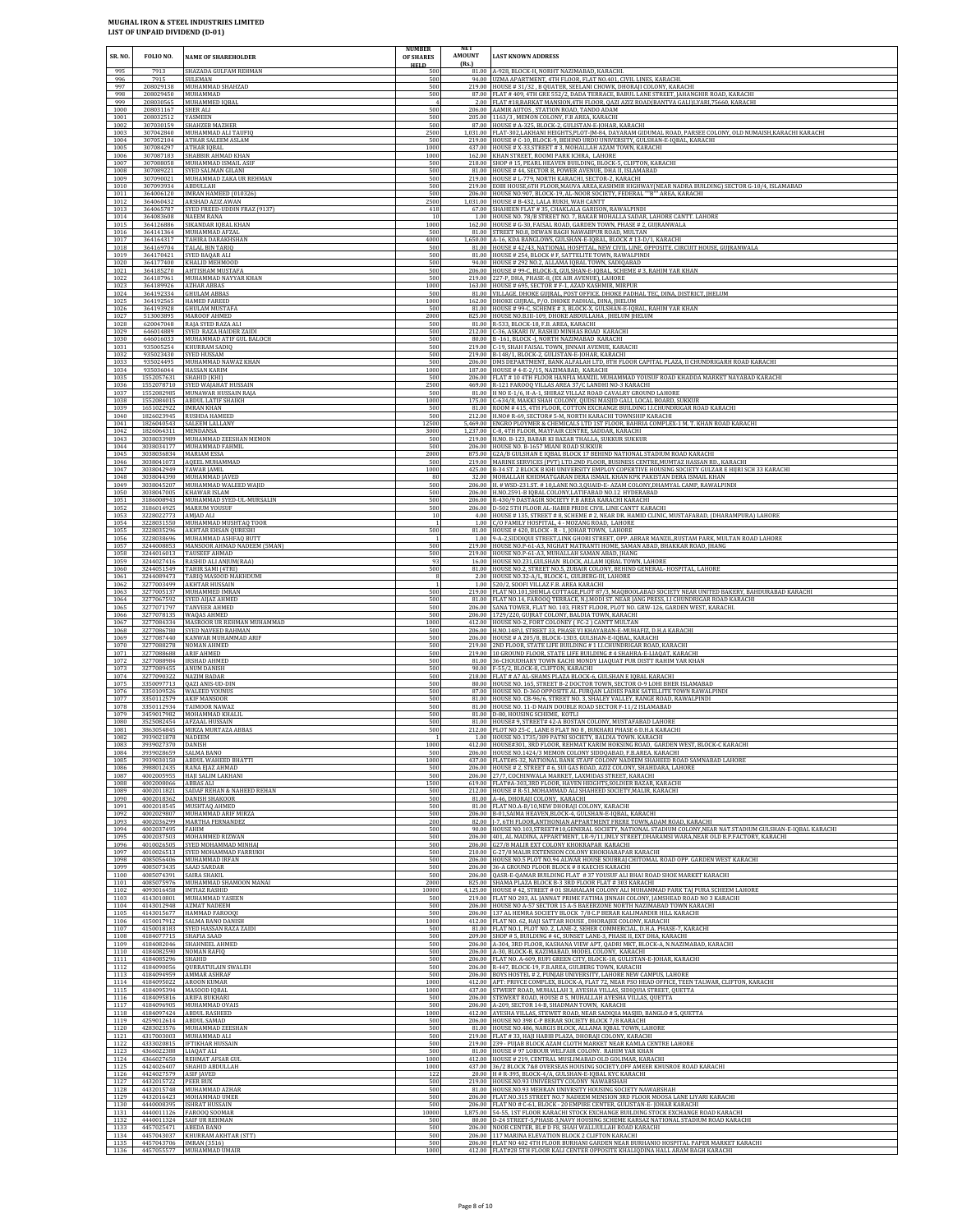| SR. NO.<br>995       | <b>FOLIO NO.</b><br>7913                           | <b>NAME OF SHAREHOLDER</b><br>SHAZADA GULFAM REHMAN                        | <b>NUMBER</b><br>OF SHARES<br><b>HELD</b><br>500 | NE I<br>AMOUNT<br><b>LAST KNOWN ADDRESS</b><br>(Rs.)<br>81.00 A-928, BLOCK-H, NORHT NAZIMABAD, KARACHI.                                                                                                                    |
|----------------------|----------------------------------------------------|----------------------------------------------------------------------------|--------------------------------------------------|----------------------------------------------------------------------------------------------------------------------------------------------------------------------------------------------------------------------------|
| 996                  | 7915                                               | <b>SULEMAN</b>                                                             | 500                                              | 94.00 UZMA APARTMENT, 4TH FLOOR, FLAT NO.401, CIVIL LINES, KARACHI                                                                                                                                                         |
| 997                  | 208029138                                          | MUHAMMAD SHAHZAD                                                           | 500                                              | 219.00 HOUSE #31/32, B QUATER, SEELANI CHOWK, DHORAJI COLONY, KARACHI                                                                                                                                                      |
| 998                  | 208029450                                          | MUHAMMAD                                                                   | 500                                              | 87.00 FLAT #409,4TH GRE 552/2, DADA TERRACE, BABUL LANE STREET, JAHANGHIR ROAD, KARACHI                                                                                                                                    |
| 999<br>1000<br>1001  | 208030565<br>208031167<br>208032512                | MUHAMMED IQBAL<br>SHER ALI<br>YASMEEN                                      | 500<br>500                                       | 2.00 FLAT #18,BARKAT MANSION,4TH FLOOR, QAZI AZIZ ROAD(BANTVA GALI)LYARI,75660, KARACHI<br>206.00 AAMIR AUTOS, STATION ROAD, TANDO ADAM<br>205.00 1163/3, MEMON COLONY, F.B AREA, KARACHI                                  |
| 1002                 | 307030159                                          | SHAHZEB MAZHER                                                             | 500                                              | 87.00 HOUSE # A-325, BLOCK-2, GULISTAN-E-JOHAR, KARACHI                                                                                                                                                                    |
| 1003                 | 307042840                                          | MUHAMMAD ALI TAUFIQ                                                        | 2500                                             | 1,031.00 FLAT-302,LAKHANI HEIGHTS,PLOT-JM-84, DAYARAM GIDUMAL ROAD, PARSEE COLONY, OLD NUMAISH,KARACHI KARACHI                                                                                                             |
| 1004                 | 307052104                                          | ATHAR SALEEM ASLAM                                                         | 500                                              | 219.00 HOUSE # C-10, BLOCK-9, BEHIND URDU UNIVERSITY, GULSHAN-E-IQBAL, KARACHI                                                                                                                                             |
| 1005                 | 307084297                                          | ATHAR IQBAL                                                                | 1000                                             | 437.00 HOUSE # X-33, STREET # 3, MOHALLAH AZAM TOWN, KARACHI                                                                                                                                                               |
| 1006                 | 307087183                                          | SHABBIR AHMAD KHAN                                                         | 1000                                             | 162.00 KHAN STREET, ROOMI PARK ICHRA, LAHORE                                                                                                                                                                               |
| 1007                 | 307088058                                          | MUHAMMAD ISMAIL ASIF                                                       | 500                                              | 218.00 SHOP # 15, PEARL HEAVEN BUILDING, BLOCK-5, CLIFTON, KARACHI                                                                                                                                                         |
| 1008                 | 307089221                                          | SYED SALMAN GILANI                                                         | 500                                              | 81.00 HOUSE #44, SECTOR B, POWER AVENUE, DHA II, ISLAMABAD                                                                                                                                                                 |
| 1009                 | 307090021                                          | MUHAMMAD ZAKA UR REHMAN                                                    | 500                                              | 219.00 HOUSE # L-779, NORTH KARACHI, SECTOR-2, KARACHI                                                                                                                                                                     |
| 1010                 | 307093934                                          | ABDULLAH                                                                   | 500                                              | 219.00 EOBI HOUSE, 6TH FLOOR, MAUVA AREA, KASHMIR HIGHWAY (NEAR NADRA BUILDING) SECTOR G-10/4, ISLAMABAD                                                                                                                   |
| 1011                 | 364006120                                          | IMRAN HAMEED (010326)                                                      | 500                                              | 206.00 HOUSE NO.907, BLOCK-19, AL-NOOR SOCIETY, FEDERAL ""B"" AREA, KARACHI                                                                                                                                                |
| 1012                 | 364060432                                          | ARSHAD AZIZ AWAN                                                           | 2500                                             | 1,031.00 HOUSE # B-432, LALA RUKH, WAH CANTT                                                                                                                                                                               |
| 1013                 | 364065787                                          | SYED FREED-UDDIN FRAZ (9137)                                               | 418                                              | 67.00 SHAHEEN FLAT #35, CHAKLALA GARISON, RAWALPINDI                                                                                                                                                                       |
| 1014                 | 364083608                                          | NAEEM RANA                                                                 | $10\,$                                           | 1.00 HOUSE NO. 78/B STREET NO. 7, BAKAR MOHALLA SADAR, LAHORE CANTT. LAHORE                                                                                                                                                |
| 1015                 | 364126886                                          | SIKANDAR IQBAL KHAN                                                        | 1000                                             | 162.00 HOUSE # G-30, FAISAL ROAD, GARDEN TOWN, PHASE # 2, GUJRANWALA                                                                                                                                                       |
| 1016                 | 364141364                                          | MUHAMMAD AFZAL                                                             | 500                                              | 81.00 STREET NO.8, DEWAN BAGH NAWABPUR ROAD, MULTAN                                                                                                                                                                        |
| 1017                 | 364164317                                          | TAHIRA DARAKHSHAN                                                          | 4000                                             | 1,650.00 A-16, KDA BANGLOWS, GULSHAN-E-IQBAL, BLOCK #13-D/1, KARACHI                                                                                                                                                       |
| 1018                 | 364169704                                          | TALAL BIN TARIQ                                                            | 500                                              | 81.00 HOUSE #42/43, NATIONAL HOSPITAL, NEW CIVIL LINE, OPPOSITE. CIRCUIT HOUSE, GUJRANWALA                                                                                                                                 |
| 1019                 | 364170421                                          | SYED BAQAR ALI                                                             | 500                                              | 81.00 HOUSE # 254, BLOCK # F, SATTELITE TOWN, RAWALPINDI                                                                                                                                                                   |
| 1020                 | 364177400                                          | KHALID MEHMOOD                                                             | 500                                              | 94.00 HOUSE # 292 NO.2, ALLAMA IQBAL TOWN, SADIQABAD                                                                                                                                                                       |
| 1021                 | 364185270                                          | <b>AHTISHAM MUSTAFA</b>                                                    | 500                                              | 206.00 HOUSE # 99-C, BLOCK-X, GULSHAN-E-IQBAL, SCHEME # 3, RAHIM YAR KHAN                                                                                                                                                  |
| 1022                 | 364187961                                          | MUHAMMAD NAYYAR KHAN                                                       | 500                                              | 219.00 227-P, DHA, PHASE-8, (EX AIR AVENUE), LAHORE                                                                                                                                                                        |
| 1023                 | 364189926                                          | <b>AZHAR ABBAS</b>                                                         | 1000                                             | 163.00 HOUSE # 695, SECTOR # F-1, AZAD KASHMIR, MIRPUR                                                                                                                                                                     |
| 1024                 | 364192334                                          | <b>GHULAM ABBAS</b>                                                        | 500                                              | 81.00 VILLAGE. DHOKE GUIRAL, POST OFFICE. DHOKE PADHAL TEC, DINA, DISTRICT, IHELUM                                                                                                                                         |
| 1025                 | 364192565                                          | HAMED FAREED                                                               | 1000                                             | 162.00 DHOKE GUJRAL, P/O. DHOKE PADHAL, DINA, JHELUM                                                                                                                                                                       |
| 1026                 | 364193928                                          | <b>GHULAM MUSTAFA</b>                                                      | 500                                              | 81.00 HOUSE # 99-C, SCHEME # 3, BLOCK-X, GULSHAN-E-IQBAL, RAHIM YAR KHAN                                                                                                                                                   |
| 1027                 | 513003895                                          | MAROOF AHMED                                                               | 2000                                             | 825.00 HOUSE NO.B.III-109, DHOKE ABDULLAHA, JHELUM JHELUM                                                                                                                                                                  |
| 1028                 | 620047048                                          | RAJA SYED RAZA ALI                                                         | 500                                              | 81.00 R-533, BLOCK-18, F.B. AREA, KARACHI                                                                                                                                                                                  |
| 1029                 | 646014889                                          | SYED RAZA HAIDER ZAIDI                                                     | 500                                              | 212.00 C-36, ASKARI IV, RASHID MINHAS ROAD KARACHI                                                                                                                                                                         |
| 1030                 | 646016033                                          | MUHAMMAD ATIF GUL BALOCH                                                   | 500                                              | 80.00 B-161, BLOCK-J, NORTH NAZIMABAD KARACHI                                                                                                                                                                              |
| 1031                 | 935005254                                          | KHURRAM SADIQ                                                              | 500                                              | 219.00 C-19, SHAH FAISAL TOWN, JINNAH AVENUE, KARACHI                                                                                                                                                                      |
| 1032                 | 935023430                                          | SYED HUSSAM                                                                | 500                                              | 219.00 B-148/1, BLOCK-2, GULISTAN-E-JOHAR, KARACHI                                                                                                                                                                         |
| 1033                 | 935024495                                          | MUHAMMAD NAWAZ KHAN                                                        | 500                                              | 206.00 DMS DEPARTMENT, BANK ALFALAH LTD, 8TH FLOOR CAPITAL PLAZA, II CHUNDRIGARH ROAD KARACHI                                                                                                                              |
| 1034                 | 935036044                                          | HASSAN KARIM                                                               | 1000                                             | 187.00 HOUSE #4-E-2/15, NAZIMABAD, KARACHI                                                                                                                                                                                 |
| 1035                 | 1552057631                                         | SHAHID (KHI)                                                               | 500                                              | 206.00 FLAT # 10 4TH FLOOR HANFIA MANZIL MUHAMMAD YOUSUF ROAD KHADDA MARKET NAYABAD KARACHI                                                                                                                                |
| 1036                 | 1552078710                                         | SYED WAJAHAT HUSSAIN                                                       | 2500                                             | 469.00 R-121 FAROOQ VILLAS AREA 37/C LANDHI NO-3 KARACHI                                                                                                                                                                   |
| 1037                 | 1552082985                                         | MUNAWAR HUSSAIN RAJA                                                       | 500                                              | 81.00 H NO E-1/6, H-A-1, SHIRAZ VILLAZ ROAD CAVALRY GROUND LAHORE                                                                                                                                                          |
| 1038                 | 1552084015                                         | ABDUL LATIF SHAIKH                                                         | 1000                                             | 175.00 C-634/8, MAKKI SHAH COLONY, QUDSI MASJID GALI, LOCAL BOARD, SUKKUR                                                                                                                                                  |
| 1039                 | 1651022922                                         | <b>IMRAN KHAN</b>                                                          | 500                                              | 81.00 ROOM #415, 4TH FLOOR, COTTON EXCHANGE BUILDING I.I.CHUNDRIGAR ROAD KARACHI                                                                                                                                           |
| 1040                 | 1826023945                                         | RUSHDA HAMEED                                                              | 500                                              | 212.00 H.NO# R-69, SECTOR# 5-M, NORTH KARACHI TOWNSHIP KARACHI                                                                                                                                                             |
| 1041                 | 1826040543                                         | SALEEM LALLANY                                                             | 12500                                            | 5,469.00 ENGRO PLOYMER & CHEMICALS LTD 1ST FLOOR, BAHRIA COMPLEX-1 M. T. KHAN ROAD KARACHI                                                                                                                                 |
| 1042                 | 1826064311                                         | <b>MENDANSA</b>                                                            | 3000                                             | 1,237.00 C-8, 4TH FLOOR, MAYFAIR CENTRE, SADDAR, KARACHI                                                                                                                                                                   |
| 1043                 | 3038033989                                         | MUHAMMAD ZEESHAN MEMON                                                     | 500                                              | 219.00 H.NO. B-123, BABAR KI BAZAR THALLA, SUKKUR SUKKUR                                                                                                                                                                   |
| 1044                 | 3038034177                                         | MUHAMMAD FAHMIL                                                            | 500                                              | 206.00 HOUSE NO. B-1657 MIANI ROAD SUKKUR                                                                                                                                                                                  |
| 1045                 | 3038036834                                         | <b>MARIAM ESSA</b>                                                         | 2000                                             | 875.00 G2A/B GULSHAN E IQBAL BLOCK 17 BEHIND NATIONAL STADIUM ROAD KARACHI                                                                                                                                                 |
| 1046                 | 3038041073                                         | AQEEL MUHAMMAD                                                             | 500                                              | 219.00 MARINE SERVICES (PVT) LTD.2ND FLOOR, BUSINESS CENTRE, MUMTAZ HASSAN RD., KARACHI                                                                                                                                    |
| 1047                 | 3038042949                                         | YAWAR IAMIL                                                                | 1000                                             | 425.00 B-34 ST. 2 BLOCK B KHI UNIVERSITY EMPLOY COPERTIVE HOUSING SOCIETY GULZAR E HIJRI SCH 33 KARACHI                                                                                                                    |
| 1048                 | 3038044390                                         | MUHAMMAD JAVED                                                             | 80                                               | 32.00 MOHALLAH KHIDMATGARAN DERA ISMAIL KHAN KPK PAKISTAN DERA ISMAIL KHAN                                                                                                                                                 |
| 1049                 | 3038045207                                         | MUHAMMAD WALEED WAJID                                                      | 500                                              | 206.00 H. # WSD-231.ST. #10,LANE NO.3,QUAID-E- AZAM COLONY,DHAMYAL CAMP, RAWALPINDI                                                                                                                                        |
| 1050                 | 3038047005                                         | KHAWAR ISLAM                                                               | 500                                              | 206.00 H.NO.2591-B IQBAL COLONY, LATIFABAD NO.12 HYDERABAD                                                                                                                                                                 |
| 1051                 | 3186008943                                         | MUHAMMAD SYED-UL-MURSALIN                                                  | 500                                              | 206.00 R-430/9 DASTAGIR SOCIETY F.B AREA KARACHI KARACHI                                                                                                                                                                   |
| 1052                 | 3186014925                                         | <b>MARIUM YOUSUF</b>                                                       | 500                                              | 206.00 D-502 5TH FLOOR AL-HABIB PRIDE CIVIL LINE CANTT KARACHI                                                                                                                                                             |
| 1053                 | 3228022773                                         | AMJAD ALI                                                                  | $10\,$                                           | 4.00 HOUSE # 135, STREET # 8, SCHEME # 2, NEAR DR. HAMID CLINIC, MUSTAFABAD, (DHARAMPURA) LAHORE                                                                                                                           |
| 1054<br>1055<br>1056 | 3228031550<br>3228035296<br>3228038696             | MUHAMMAD MUSHTAQ TOOR<br>AKHTAR EHSAN QURESHI<br>MUHAMMAD ASHFAQ BUTT      | $\overline{1}$<br>500                            | 1.00 C/O FAMILY HOSPITAL, 4 - MOZANG ROAD, LAHORE<br>81.00 HOUSE #420, BLOCK - R - 1, JOHAR TOWN, LAHORE<br>1.00 9-A-2, SIDDIQUI STREET, LINK GHORI STREET, OPP. ABRAR MANZIL, RUSTAM PARK, MULTAN ROAD LAHORE             |
| 1057                 | 3244008853                                         | MANSOOR AHMAD NADEEM (5MAN)                                                | 500                                              | 219.00 HOUSE NO.P-61-A3, NIGHAT MATRANTI HOME, SAMAN ABAD, BHAKKAR ROAD, JHANG                                                                                                                                             |
| 1058                 | 3244016013                                         | TAUSEEF AHMAD                                                              | 500                                              | 219.00 HOUSE NO.P-61-A3, MUHALLAH SAMAN ABAD, JHANG                                                                                                                                                                        |
| 1059                 | 3244027416                                         | RASHID ALI ANJUM(RAA)                                                      | 93                                               | 16.00 HOUSE NO.231, GULSHAN BLOCK, ALLAM IQBAL TOWN, LAHORE                                                                                                                                                                |
| 1060                 | 3244051549                                         | TAHIR SAMI (4TRI)                                                          | 500                                              | 81.00 HOUSE NO.2, STREET NO.5, ZUBAIR COLONY, BEHIND GENERAL-HOSPITAL, LAHORE                                                                                                                                              |
| 1061                 | 3244089473                                         | TARIQ MASOOD MAKHDUMI                                                      |                                                  | 2.00 HOUSE NO.32-A/L, BLOCK-L, GULBERG-III, LAHORE                                                                                                                                                                         |
| 1062                 | 3277003499                                         | <b>AKHTAR HUSSAIN</b>                                                      |                                                  | 1.00 520/2, SOOFI VILLAZ F.B. AREA KARACHI                                                                                                                                                                                 |
| 1063                 | 3277005137                                         | MUHAMMED IMRAN                                                             | 500                                              | 219.00 FLAT NO.101, SHIMLA COTTAGE, PLOT 87/3, MAQBOOLABAD SOCIETY NEAR UNITED BAKERY, BAHDURABAD KARACHI                                                                                                                  |
| 1064                 | 3277067592                                         | SYED AIJAZ AHMED                                                           | 500                                              | 81.00 FLAT NO.14, FAROOQ TERRACE, N.J.MODI ST. NEAR JANG PRESS, I.I CHUNDRIGAR ROAD KARACHI                                                                                                                                |
| 1065                 | 3277071797                                         | TANVEER AHMED                                                              | 500                                              | 206.00 SANA TOWER, FLAT NO. 103, FIRST FLOOR, PLOT NO. GRW-126, GARDEN WEST, KARACHI.                                                                                                                                      |
| 1066<br>1067<br>1068 | 3277084334<br>3277086780                           | 3277078135 WAQAS AHMED<br>MASROOR UR REHMAN MUHAMMAD<br>SYED NAVEED RAHMAN | 500<br>1000<br>500                               | 206.00 1729/220, GUJRAT COLONY, BALDIA TOWN, KARACHI<br>412.00 HOUSE NO-2, FORT COLONEY ( FC-2 ) CANTT MULTAN<br>206.00 H.NO.148\I, STREET 33, PHASE VI KHAYABAN-E-MUHAFIZ, D.H.A KARACHI                                  |
| 1069                 | 3277087440                                         | KANWAR MUHAMMAD ARIF                                                       | 500                                              | 206.00 HOUSE # A 205/8, BLOCK-13D3, GULSHAN-E-IQBAL, KARACHI                                                                                                                                                               |
| 1070                 | 3277088278                                         | NOMAN AHMED                                                                | 500                                              | 219.00 2ND FLOOR, STATE LIFE BUILDING #1 I.I.CHUNDRIGAR ROAD, KARACHI                                                                                                                                                      |
| 1071                 | 3277088688                                         | ARIF AHMED                                                                 | 500                                              | 219.00 10 GROUND FLOOR, STATE LIFE BUILDING #4 SHAHRA-E-LIAQAT, KARACHI                                                                                                                                                    |
| 1072<br>1073<br>1074 | 3277088984<br>3277089455 ANUM DANISH<br>3277090322 | <b>IRSHAD AHMED</b><br><b>NAZIM BADAR</b>                                  | 500<br>500<br>500                                | 81.00 36-CHOUDHARY TOWN KACHI MONDY LIAQUAT PUR DISTT RAHIM YAR KHAN<br>90.00 F-55/2, BLOCK-8, CLIFTON, KARACHI<br>218.00 FLAT # A7 AL-SHAMS PLAZA BLOCK-6, GULSHAN E IQBAL KARACHI                                        |
| 1075                 | 3350097713                                         | QAZI ANIS-UD-DIN                                                           | 500                                              | 80.00 HOUSE NO. 165, STREET B-2 DOCTOR TOWN, SECTOR 0-9 LOHI BHER ISLAMABAD                                                                                                                                                |
| 1076                 |                                                    | 3350109526 WALEED YOUNUS                                                   | 500                                              | 87.00 HOUSE NO. D-360 OPPOSITE AL FURQAN LADIES PARK SATELLITE TOWN RAWALPINDI                                                                                                                                             |
| 1077                 |                                                    | 3350112579 AKIF MANSOOR                                                    | 500                                              | 81.00 HOUSE NO. CB-96/6, STREET NO. 3, SHALEY VALLEY, RANGE ROAD, RAWALPINDI                                                                                                                                               |
| 1078<br>1079<br>1080 | 3350112934<br>3459017982                           | TAIMOOR NAWAZ<br>MOHAMMAD KHALII<br>3525082454 AFZAAL HUSSAIN              | 500<br>500<br>500                                | 81.00 HOUSE NO. 11-D MAIN DOUBLE ROAD SECTOR F-11/2 ISLAMABAD<br>81.00 D-80, HOUSING SCHEME, KOTLI<br>81.00 HOUSE# 9, STREET# 42-A BOSTAN COLONY, MUSTAFABAD LAHORE                                                        |
| 1081<br>1082<br>1083 | 3863054845<br>3939021878<br>3939027370             | MIRZA MURTAZA ABBAS<br><b>NADEEM</b><br><b>DANISH</b>                      | 500<br>1000                                      | 212.00 PLOT NO 25-C, LANE 8 FLAT NO 8, BUKHARI PHASE 6 D.H.A KARACHI<br>1.00 HOUSE NO.1735/389 PATNI SOCIETY, BALDIA TOWN, KARACHI<br>412.00 HOUSE#301, 3RD FLOOR, REHMAT KARIM HOKSING ROAD, GARDEN WEST, BLOCK-C KARACHI |
| 1084                 | 3939028659                                         | <b>SALMA BANO</b>                                                          | 500                                              | 206.00 HOUSE NO.1424/3 MEMON COLONY SIDDQABAD, F.B.AREA. KARACHI                                                                                                                                                           |
| 1085                 | 3939030150                                         | ABDUL WAHEED BHATTI                                                        | 1000                                             | 437.00 FLATE#S-32, NATIONAL BANK STAFF COLONY NADEEM SHAHEED ROAD SAMNABAD LAHORE                                                                                                                                          |
| 1086                 | 3988012435                                         | RANA EJAZ AHMAD                                                            | 500                                              | 206.00 HOUSE # 2, STREET # 6, SUI GAS ROAD, AZIZ COLONY, SHAHDARA, LAHORE                                                                                                                                                  |
| 1087<br>1088<br>1089 | 4002005955<br>4002008066                           | HAJI SALIM LAKHANI<br><b>ABBAS ALI</b><br>SADAF REHAN & NAHEED REHAN       | 500<br>1500                                      | 206.00 27/7, COCHINWALA MARKET, LAXMIDAS STREET, KARACHI<br>619.00 FLAT#A-303,3RD FLOOR, HAVEN HEIGHTS, SOLDIER BAZAR, KARACHI<br>212.00 HOUSE # R-51, MOHAMMAD ALI SHAHEED SOCIETY, MALIR, KARACHI                        |
| 1090<br>1091         | 4002011821<br>4002018362<br>4002018545             | <b>DANISH SHAKOOR</b><br>MUSHTAQ AHMED                                     | 500<br>500<br>500                                | 81.00 A-46, DHORAJI COLONY, KARACHI<br>81.00 FLAT NO.A-B/10, NEW DHORAJI COLONY, KARACHI                                                                                                                                   |
| 1092                 | 4002029807                                         | MUHAMMAD ARIF MIRZA                                                        | 500                                              | 206.00 B-01, SAIMA HEAVEN, BLOCK-4, GULSHAN-E-IQBAL, KARACHI                                                                                                                                                               |
| 1093                 | 4002036299                                         | MARTHA FERNANDEZ                                                           | 200                                              | 82.00 J-7, 6TH FLOOR, ANTHONIAN APPARTMENT FRERE TOWN, ADAM ROAD, KARACHI                                                                                                                                                  |
| 1094                 | 4002037495                                         | FAHIM                                                                      | 500                                              | 90.00 HOUSE NO.103.STREET#10.GENERAL SOCIETY, NATIONAL STADIUM COLONY, NEAR NAT.STADIUM GULSHAN-E-IOBAL KARACHI                                                                                                            |
| 1095                 | 4002037503                                         | MOHAMMED RIZWAN                                                            | 500                                              | 206.00 401, AL MADINA, APPARTMENT, LR-9/11, IMLY STREET, DHARAMSI WARA, NEAR OLD B.P.FACTORY, KARACHI                                                                                                                      |
| 1096                 | 4010026505                                         | SYED MOHAMMAD MINHAJ                                                       | 500                                              | 206.00 G27/8 MALIR EXT COLONY KHOKRAPAR KARACHI                                                                                                                                                                            |
| 1097                 | 4010026513                                         | SYED MOHAMMAD FARRUKH                                                      | 500                                              | 210.00 G-27/8 MALIR EXTENSION COLONY KHOKHARAPAR KARACHI                                                                                                                                                                   |
| 1098                 | 4085056406                                         | MUHAMMAD IRFAN                                                             | 500                                              | 206.00 HOUSE NO.5 PLOT NO.94 ALWAR HOUSE SOUBRAJ CHITOMAL ROAD OPP. GARDEN WEST KARACHI                                                                                                                                    |
| 1099                 | 4085073435                                         | <b>SAAD SARDAR</b>                                                         | 500                                              | 206.00 36-A GROUND FLOOR BLOCK # 8 KAECHS KARACHI                                                                                                                                                                          |
| 1100                 | 4085074391                                         | SAIRA SHAKIL                                                               | 500                                              | 206.00 OASR-E-QAMAR BUILDING FLAT #37 YOUSUF ALI BHAI ROAD SHOE MARKET KARACHI                                                                                                                                             |
| 1101                 | 4085075976                                         | MUHAMMAD SHAMOON MANAI                                                     | 2000                                             | 825.00 SHAMA PLAZA BLOCK B-3 3RD FLOOR FLAT # 303 KARACHI                                                                                                                                                                  |
| 1102                 | 4093016458                                         | IMTIAZ RASHID                                                              | 10000                                            | 4,125.00 HOUSE #42, STREET #01 SHAHALAM COLONY ALI MUHAMMAD PARK TAJ PURA SCHEEM LAHORE                                                                                                                                    |
| 1103                 | 4143010801                                         | MUHAMMAD YASEEN                                                            | 500                                              | 219.00 FLAT NO 203, AL JANNAT PRIME FATIMA JINNAH COLONY, JAMSHEAD ROAD NO 3 KARACHI                                                                                                                                       |
| 1104                 | 4143012948                                         | <b>AZMAT NADEEM</b>                                                        | 500                                              | 206.00 HOUSE NO A-57 SECTOR 15 A-5 BAEERZONE NORTH NAZIMABAD TOWN KARACHI                                                                                                                                                  |
| 1105                 | 4143015677                                         | HAMMAD FAROOQI                                                             | 500                                              | 206.00 137 AL HEMRA SOCIETY BLOCK 7/8 C.P BERAR KALIMANDIR HILL KARACHI                                                                                                                                                    |
| 1106                 | 4150017912                                         | SALMA BANO DANISH                                                          | 1000                                             | 412.00 FLAT NO. 62, HAJI SATTAR HOUSE, DHORAJEE COLONY, KARACHI                                                                                                                                                            |
| 1107                 | 4150018183                                         | SYED HASSAN RAZA ZAIDI                                                     | 500                                              | 81.00 FLAT NO.1, PLOT NO.2, LANE-2, SEHER COMMERCIAL, D.H.A. PHASE-7, KARACHI                                                                                                                                              |
| 1108                 | 4184077715                                         | SHAFIA SAAD                                                                | 500                                              | 209.00 SHOP # 5, BUILDING # 4C, SUNSET LANE-3, PHASE II, EXT DHA, KARACHI                                                                                                                                                  |
| 1109                 | 4184082046                                         | <b>SHAHNEEL AHMED</b>                                                      | 500                                              | 206.00 A-304, 3RD FLOOR, KASHANA VIEW APT, QADRI MKT, BLOCK-A, N.NAZIMABAD, KARACHI                                                                                                                                        |
| 1110                 | 4184082590                                         | NOMAN RAFIQ                                                                | 500                                              | 206.00 A-30, BLOCK-B, KAZIMABAD, MODEL COLONY, KARACHI                                                                                                                                                                     |
| 1111                 | 4184085296                                         | <b>SHAHID</b>                                                              | 500                                              | 206.00 FLAT NO. A-609, RUFI GREEN CITY, BLOCK-18, GULISTAN-E-JOHAR, KARACHI                                                                                                                                                |
| 1112                 | 4184090056                                         | <b>QURRATULAIN SWALEH</b>                                                  | 500                                              | 206.00 R-447, BLOCK-19, F.B.AREA, GULBERG TOWN, KARACHI                                                                                                                                                                    |
| 1113                 | 4184094959                                         | AMMAR ASHRAF                                                               | 500                                              | 206.00 BOYS HOSTEL # 2, PUNJAB UNIVERSITY, LAHORE NEW CAMPUS, LAHORE                                                                                                                                                       |
| 1114                 | 4184095022                                         | AROON KUMAR                                                                | 1000                                             | 412.00 APT: PRIVCE COMPLEX, BLOCK-A, FLAT 72, NEAR PSO HEAD OFFICE, TEEN TALWAR, CLIFTON, KARACHI                                                                                                                          |
| 1115                 | 4184095394                                         | MASOOD IQBAL                                                               | 1000                                             | 437.00 STWERT ROAD, MUHALLAH 3, AYESHA VILLAS, SIDIQUIA STREET, QUETTA                                                                                                                                                     |
| 1116                 | 4184095816                                         | ARIFA BUKHARI                                                              | 500                                              | 206.00 STEWERT ROAD, HOUSE # 5, MUHALLAH AYESHA VILLAS, QUETTA                                                                                                                                                             |
| 1117                 | 4184096905                                         | MUHAMMAD OVAIS                                                             | 500                                              | 206.00 A-209, SECTOR 14-B, SHADMAN TOWN, KARACHI                                                                                                                                                                           |
| 1118                 | 4184097424                                         | <b>ABDUL RASHEED</b>                                                       | 1000                                             | 412.00 AYESHA VILLAS, STEWET ROAD, NEAR SADIQIA MASJID, BANGLO # 5, QUETTA                                                                                                                                                 |
| 1119                 | 4259012614                                         | ABDUL SAMAD                                                                | 500                                              | 206.00 HOUSE NO 398 C-P BERAR SOCIETY BLOCK 7/8 KARACHI                                                                                                                                                                    |
| 1120                 | 4283023576                                         | MUHAMMAD ZEESHAN                                                           | 500                                              | 81.00 HOUSE NO.486, NARGIS BLOCK, ALLAMA IQBAL TOWN, LAHORE                                                                                                                                                                |
| 1121                 | 4317003003                                         | MUHAMMAD ALI                                                               | 500                                              | 219.00 FLAT #33, HAJI HABIB PLAZA, DHORAJI COLONY, KARACHI                                                                                                                                                                 |
| 1122                 | 4333020815                                         | <b>IFTIKHAR HUSSAIN</b>                                                    | 500                                              | 219.00 239 - PUJAB BLOCK AZAM CLOTH MARKET NEAR KAMLA CENTRE LAHORE                                                                                                                                                        |
| 1123                 | 4366022388                                         | LIAQAT ALI                                                                 | 500                                              | 81.00 HOUSE # 97 LOBOUR WELFAIR COLONY. RAHIM YAR KHAN                                                                                                                                                                     |
| 1124                 | 4366027650                                         | REHMAT AFSAR GUL                                                           | 1000                                             | 412.00 HOUSE # 219, CENTRAL MUSLIMABAD OLD GOLIMAR, KARACHI                                                                                                                                                                |
| 1125                 | 4424026407                                         | SHAHID ABDULLAH                                                            | 1000                                             | 437.00 36/2 BLOCK 7&8 OVERSEAS HOUSING SOCIETY, OFF AMEER KHUSROE ROAD KARACHI                                                                                                                                             |
| 1126                 | 4424027579                                         | ASIF JAVED                                                                 | 122                                              | 20.00 H # R-395, BLOCK-4/A, GULSHAN-E-IQBAL KYC KARACHI                                                                                                                                                                    |
| 1127<br>1128<br>1129 | 4432015722 PEER BUX<br>4432015748<br>4432016423    | MUHAMMAD AZHAR<br>MOHAMMAD UMER                                            | 500<br>500<br>500                                | 219.00 HOUSE.NO.93 UNIVERSITY COLONY NAWABSHAH<br>81.00 HOUSE.NO.93 MEHRAN UNIVRSITY HOUSING SOCIETY NAWABSHAH<br>206.00 FLAT.NO.315 STREET NO.7 NADEEM MENSION 3RD FLOOR MOOSA LANE LIYARI KARACHI                        |
| 1130                 | 4440011126                                         | 4440008395 ISHRAT HUSSAIN                                                  | 500                                              | 206.00 FLAT NO # C-61, BLOCK - 20 EMPIRE CENTER, GULISTAN-E-JOHAR KARACHI                                                                                                                                                  |
| 1131                 |                                                    | FAROOQ SOOMAR                                                              | 10000                                            | 1,875.00 54-55, 1ST FLOOR KARACHI STOCK EXCHANGE BUILDING STOCK EXCHANGE ROAD KARACHI                                                                                                                                      |
| 1132                 |                                                    | 4440011324 SAIF UR REHMAN                                                  | 500                                              | 80.00 D-24 STREET-5, PHASE-3, NAVY HOUSING SCHEME KARSAZ NATIONAL STADIUM ROAD KARACHI                                                                                                                                     |
| 1133<br>1134<br>1135 | 4457025471<br>4457043706   IMRAN (3516)            | ABEDA BANO<br>4457043037 KHURRAM AKHTAR (STT)                              | 500<br>500<br>500                                | 206.00 NOOR CENTER, BL# D F8, SHAH WALLIULLAH ROAD KARACHI<br>206.00 117 MARINA ELEVATION BLOCK 2 CLIFTON KARACHI<br>206.00 FLAT NO 402 4TH FLOOR BURHANI GARDEN NEAR BURHANIO HOSPITAL PAPER MARKET KARACHI               |
| 1136                 |                                                    | 4457055577 MUHAMMAD UMAIR                                                  | 1000                                             | 412.00 FLAT#28 5TH FLOOR KALI CENTER OPPOSITE KHALIQDINA HALL ARAM BAGH KARACHI                                                                                                                                            |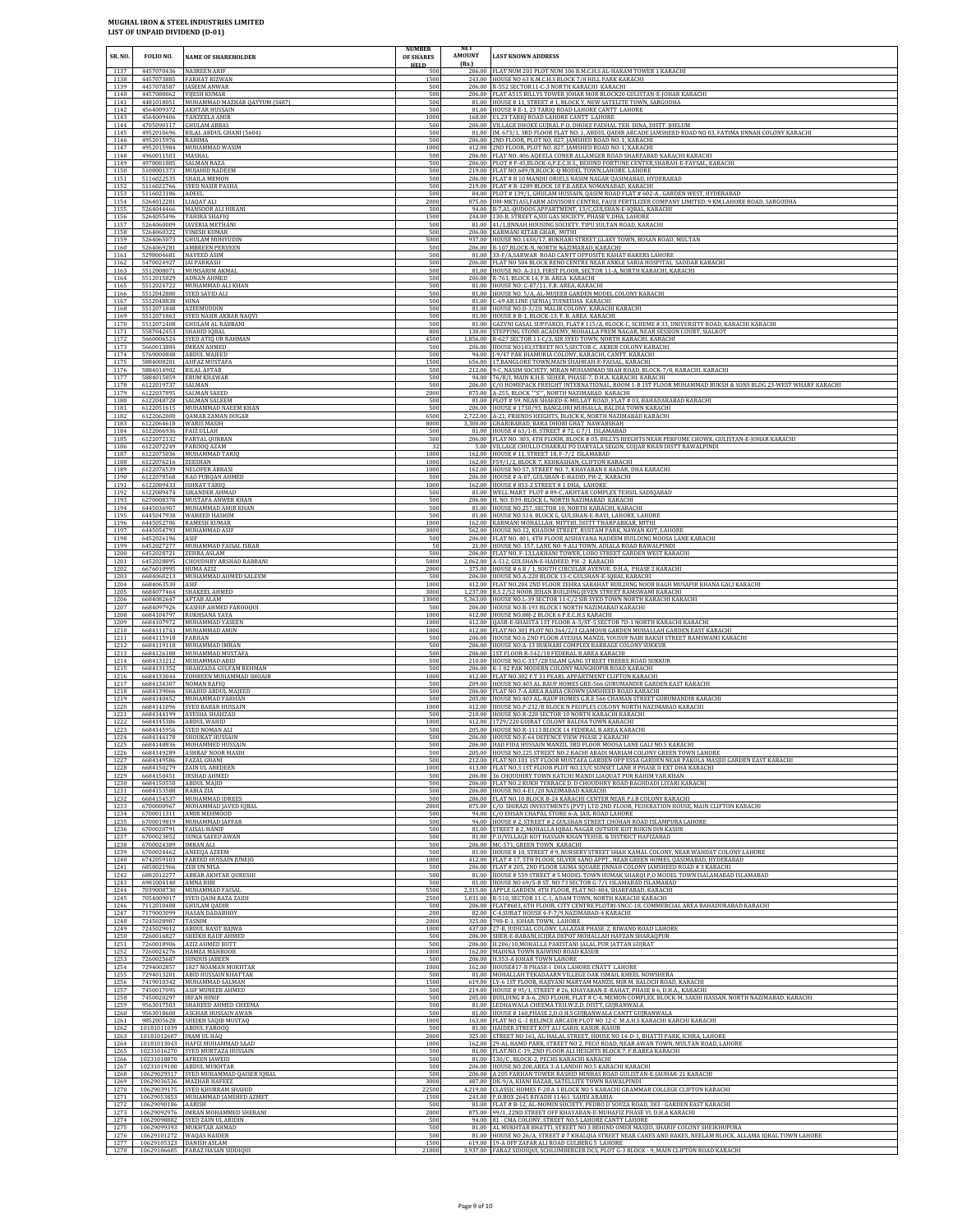| SR. NO.                      | FOLIO NO.                                                     | <b>NAME OF SHAREHOLDER</b>                                                                       | <b>NUMBER</b><br>OF SHARES<br><b>HELD</b> | <b>AMOUNT</b><br>(Rs.) | <b>LAST KNOWN ADDRESS</b>                                                                                                                                                                                                                                                                                                                        |
|------------------------------|---------------------------------------------------------------|--------------------------------------------------------------------------------------------------|-------------------------------------------|------------------------|--------------------------------------------------------------------------------------------------------------------------------------------------------------------------------------------------------------------------------------------------------------------------------------------------------------------------------------------------|
| 1137<br>1138<br>1139         | 4457070436<br>4457073885<br>4457078587                        | <b>NASREEN ARIF</b><br><b>FARHAT RIZWAN</b><br><b>JASEEM ANWAR</b>                               | 500<br>1500<br>500                        |                        | 206.00 FLAT NUM 201 PLOT NUM 106 B.M.C.H.S AL-HARAM TOWER 1 KARACHI<br>243.00 HOUSE NO 63 K.M.C.H.S BLOCK 7/8 HILL PARK KARACHI<br>206.00 R-552 SECTOR11-C-3 NORTH KARACHI KARACHI                                                                                                                                                               |
| 1140<br>1141<br>1142         | 4457080062<br>4481018051<br>4564009372                        | <b>VIJESH KUMAR</b><br>MUHAMMAD MAZHAR QAYYUM (S487)<br><b>AKHTAR HUSSAIN</b>                    | 500<br>500<br>500                         | 206.00<br>81.00        | FLAT A515 BILLYS TOWER JOHAR MOR BLOCK20 GULISTAN-E-JOHAR KARACHI<br>81.00 HOUSE #11, STREET #1, BLOCK Y, NEW SATELITE TOWN, SARGODHA<br>HOUSE # E-1, 23 TARIQ ROAD LAHORE CANTT LAHORE                                                                                                                                                          |
| 1143<br>1144                 | 4564009406                                                    | <b>TANZEELA AMIR</b><br>4705090117 GHULAM ABBAS<br>4952010696 BILAL ABDUL GHANI (5604)           | 1000<br>500                               | 81.00                  | 168.00 E1,23 TARIQ ROAD LAHORE CANTT LAHORE<br>206.00 VILLAGE DHOKE GUJRAL P.O. DHOKE PADHAL TEH. DINA, DISTT. JHELUM<br>M. 673/1, 3RD FLOOR FLAT NO. 1, ABDUL QADIR ARCADE JAMSHEED ROAD NO 03, FATIMA JINNAH COLONY KARACHI                                                                                                                    |
| 1145<br>1146<br>1147         | 4952015976 RAHIMA                                             | 4952015984 MUHAMMAD WASIM                                                                        | 500<br>500<br>1000                        |                        | 206.00 2ND FLOOR, PLOT NO. 827, JAMSHED ROAD NO. 1, KARACHI<br>412.00 2ND FLOOR, PLOT NO. 827, JAMSHED ROAD NO. 1, KARACHI                                                                                                                                                                                                                       |
| 1148<br>1149<br>1150         | 4960011503 MASHAL<br>4978081885 SALMAN RAZA                   | 5108001373 MUJAHID NADEEM                                                                        | 500<br>500<br>500                         | 206.00                 | FLAT NO, 406 AQEELA CONER ALLAMGER ROAD SHARFABAD KARACHI KARACHI<br>206.00 PLOT # F-45, BLOCK-6, P.E.C.H.S., BEHIND FORTUNE CENTER, SHARAH-E-FAYSAL, KARACHI<br>219.00 FLAT NO.689/B,BLOCK-Q MODEL TOWN,LAHORE. LAHORE                                                                                                                          |
| 1151<br>1152<br>1153         | 5116022535<br>5116022766<br>5116023186                        | SHAILA MEMON<br>SYED NASIR PASHA<br>ADEEL                                                        | 500<br>500<br>500                         | 84.00                  | 206.00 FLAT # B 10 MANJHI ORIELS NASIM NAGAR QASIMABAD, HYDERABAD<br>219.00 FLAT # R-1289 BLOCK 18 F.B.AREA NOMANABAD, KARACHI<br>PLOT #139/1, GHULAM HUSSAIN, QASIM ROAD FLAT #602-A, GARDEN WEST, HYDERABAD                                                                                                                                    |
| 1154<br>1155<br>1156         | 5264012281<br>5264044466<br>5264055496                        | LIAQAT ALI<br>MANSOOR ALI HIRANI<br><b>TAHIRA SHAFIO</b>                                         | 2000<br>500<br>1500                       |                        | 875.00   DM-MKT(AS), FARM ADVISORY CENTRE, FAUJI FERTILIZER COMPANY LIMITED, 9 KM, LAHORE ROAD, SARGODHA<br>94.00 B-7,AL-QUDOOS APPARTMENT, 13/C, GULSHAN-E-IQBAL, KARACHI<br>244.00 130-B, STREET 6, SUI GAS SOCIETY, PHASE V, DHA, LAHORE                                                                                                      |
| 1157<br>1158<br>1159         | 5264060009<br>5264060322<br>5264065073                        | <b>JAVERIA METHANI</b><br><b>VINESH KUMAR</b><br><b>GHULAM MOHYUDIN</b>                          | 500<br>500<br>5000                        | 937.00                 | 81.00 41/1, JINNAH HOUSING SOCIETY, TIPU SULTAN ROAD, KARACHI<br>206.00 KARMANI KITAB GHAR, MITHI<br>HOUSE NO.1438/17, BUKHARI STREET, GLAXY TOWN, BOSAN ROAD, MULTAN                                                                                                                                                                            |
| 1160<br>1161<br>1162         | 5264069281<br>5298004681 NAVEED ASIM<br>5470024927            | <b>AMBREEN PERVEEN</b><br><b>JAI PARKASH</b>                                                     | 500<br>500<br>500                         |                        | 206.00 B-107, BLOCK-N, NORTH NAZIMABAD, KARACHI<br>81.00 33-F/A, SARWAR ROAD CANTT OPPOSITE RAHAT BAKERS LAHORE<br>206.00 FLAT NO 504 BLOCK RENO CENTRE NEAR ANKLE SARIA HOSPITAL SADDAR KARACHI                                                                                                                                                 |
| 1163<br>1164<br>1165         | 5512008071<br>5512024722                                      | MUNSARIM AKMAI<br>5512015829 ADNAN AHMED<br>MUHAMMAD ALI KHAN                                    | 500<br>500<br>500                         | 81.00                  | 81.00 HOUSE NO: A-313, FIRST FLOOR, SECTOR 11-A, NORTH KARACHI, KARACHI<br>206.00 R-761, BLOCK 14, F.B. AREA KARACHI<br>HOUSE NO: C-87/11, F.B. AREA, KARACHI                                                                                                                                                                                    |
| 1166<br>1167<br>1168         | 5512042880<br>5512048838 HINA<br>5512071848                   | SYED SAYID ALI<br><b>AZEEMUDDIN</b>                                                              | 500<br>500<br>500                         | 81.00<br>81.00         | HOUSE NO. 5/A, AL-MUJEEB GARDEN MODEL COLONY KARACHI<br>C-69 AB LINE (SENIA) TUINEISHA KARACHI<br>81.00 HOUSE NO.D-3/20, MALIR COLONY, KARACHI KARACHI                                                                                                                                                                                           |
| 1169<br>1170<br>1171         | 5512071863<br>5512072408<br>5587042453                        | SYED NASIR AKBAR NAQVI<br><b>GHULAM AL RABBANI</b><br>SHAHID IQBAL                               | 500<br>500<br>800                         | 81.00                  | 81.00 HOUSE # B-1, BLOCK-13, F. B. AREA KARACHI<br>GAZVNI GASAL SUPPARCO, FLAT# 115/A, BLOCK-C, SCHEME #33, UNIVERSITY ROAD, KARACHI KARACHI<br>130.00 STEPPING STONE ACADEMY, MOHALLA PREM NAGAR, NEAR SESSION COURT, SIALKOT                                                                                                                   |
| 1172<br>1173<br>1174         | 5660006524<br>5660013884<br>5769000848                        | SYED ATIQ UR RAHMAN<br><b>IMRAN AHMED</b><br>ABDUL MAIEED                                        | 4500<br>500<br>500                        |                        | 1,856.00 R-627 SECTOR 11-C/3, SIR SYED TOWN, NORTH KARACHI. KARACHI<br>206.00 HOUSE NO183, STREET NO.5, SECTOR-C, AKBER COLONY KARACHI<br>94.00 - J-9/47 PAK JHAMURIA COLONY, KARACHI, CANTT. KARACHI                                                                                                                                            |
| 1175<br>1176<br>1177         | 5884008201<br>5884014902<br>5884015859                        | <b>AHFAZ MUSTAFA</b><br><b>BILAL AFTAB</b><br><b>ERUM KHAWAR</b>                                 | 1500<br>500<br>500                        | 212.00<br>94.00        | 656.00 17, BANGLORE TOWN, MAIN SHAHRAH-E-FAISAL, KARACHI<br>9-C, NASIM SOCIETY, MIRAN MUHAMMAD SHAH ROAD, BLOCK-7/8, KARACHI. KARACHI<br>76/B/I, MAIN K.H.E. SEHER, PHASE-7, D.H.A. KARACHI. KARACHI                                                                                                                                             |
| 1178<br>1179<br>1180         | 6122019737<br>6122037895<br>6122048728                        | SALMAN<br><b>SALMAN SAEED</b><br>SALMAN SALEEM                                                   | 500<br>2000<br>500                        | 206.00                 | C/O HOMEPACK FREIGHT INTERNATIONAL, ROOM 1-B 1ST FLOOR MUHAMMAD BUKSH & SONS BLDG 23-WEST WHARF KARACHI<br>875.00 A-255, BLOCK ""S"", NORTH NAZIMABAD KARACHI<br>81.00 PLOT # 59, NEAR SHAEED-E-MILLAT ROAD, FLAT # 03, BAHADARABAD KARACHI                                                                                                      |
| 1181<br>1182<br>1183         | 6122051615<br>6122062000<br>6122064618 WARIS MASIH            | MUHAMMAD NAEEM KHAN<br><b>QAMAR ZAMAN DOGAR</b>                                                  | 500<br>6500<br>8000                       | 206.00                 | HOUSE #1730/93, BANGLORI MUHALLA, BALDIA TOWN KARACHI<br>2,722.00 A-21, FRIENDS HEIGHTS, BLOCK K, NORTH NAZIMABAD KARACHI<br>3,300.00 GHARIBABAD, BARA DHOBI GHAT NAWABSHAH                                                                                                                                                                      |
| 1184<br>1185<br>1186         | 6122066936 FAIZ ULLAH<br>6122072132<br>6122072249 FAROOQ AZAM | FARYAL QURBAN                                                                                    | 500<br>500<br>32                          |                        | 81.00 HOUSE # 63/1-B, STREET # 72, G 7/1 ISLAMABAD<br>206.00 FLAT NO. 303, 4TH FLOOR, BLOCK # 05, BILLYS HIEGHTS NEAR PERFUME CHOWK, GULISTAN-E-JOHAR KARACHI<br>5.00 VILLAGE CHULLO CHAKRAI PO DARYALA SEGON, GUJJAR KHAN DISTT RAWALPINDI                                                                                                      |
| 1187<br>1188<br>1189         | 6122075036<br>6122076216                                      | MUHAMMAD TARIQ<br>ZEESHAN                                                                        | 1000<br>1000<br>1000                      |                        | 162.00 HOUSE #11, STREET 18, F-7/2 ISLAMABAD<br>162.00 F59/1/2, BLOCK 7, KEHKASHAN, CLIFTON KARACHI<br>162.00 HOUSE NO 57, STREET NO. 7, KHAYABAN E BADAR, DHA KARACHI                                                                                                                                                                           |
| 1190<br>1191<br>1192         | 6122078568<br>6122089433 ISHRAT TARIQ<br>6122089474           | 6122076539 NELOFER ABBASI<br>RAO FURQAN AHMED<br><b>SIKANDER AHMAD</b>                           | 500<br>1000<br>500                        |                        | 206.00 HOUSE # A-07, GULSHAN-E-HADID, PH-2, KARACHI<br>162.00 HOUSE #853-Z STREET #1 DHA, LAHORE<br>81.00 WELL MART PLOT # 89-C, AKHTAR COMPLEX TEHSIL SADIQABAD                                                                                                                                                                                 |
| 1193<br>1194<br>1195         | 6270008378<br>6445036907<br>6445047938                        | MUSTAFA ANWER KHAN<br>MUHAMMAD AMIR KHAN<br>WAHEED HASHIM                                        | 500<br>500<br>500                         |                        | 206.00 H. NO. D39, BLOCK L, NORTH NAZIMABAD KARACHI<br>81.00 HOUSE NO.257, SECTOR 10, NORTH KARACHI, KARACHI<br>81.00 HOUSE NO.514, BLOCK G, GULSHAN-E-RAVI, LAHORE, LAHORE                                                                                                                                                                      |
| 1196<br>1197                 | 6445052706<br>6445054793                                      | <b>RAMESH KUMAR</b><br>MUHAMMAD ASIF                                                             | 1000<br>3000                              |                        | 162.00 KARMANI MOHALLAH, MITTHI, DISTT THARPARKAR, MITHI<br>562.00 HOUSE NO.12, KHADIM STREET, RUSTAM PARK, NAWAN KOT, LAHORE                                                                                                                                                                                                                    |
| 1198<br>1199<br>1200         | 6452026196<br>6452027277<br>6452028721                        | ASIF<br>MUHAMMAD FAISAL ISRAR<br>ZEHRA ASLAM                                                     | 500<br>50<br>500                          | 206.00                 | FLAT NO. 401, 4TH FLOOR AISHAYANA NADEEM BUILDING MOOSA LANE KARACHI<br>21.00 HOUSE NO. 157, LANE NO. 9 ALI TOWN, ADIALA ROAD RAWALPINDI<br>206.00 FLAT NO. F-13, LAKHANI TOWER, LOBO STREET GARDEN WEST KARACHI                                                                                                                                 |
| 1201<br>1202<br>1203         | 6452028895<br>6676010995<br>6684060213                        | <b>CHOUDHRY ARSHAD RABBANI</b><br>HUMA AZIZ<br>MUHAMMAD AHMED SALEEM                             | 5000<br>2000<br>500                       |                        | 2,062.00 A-512, GULSHAN-E-HADEED, PH -2 KARACHI<br>375.00 HOUSE # 6 B / 1, SOUTH CIRCULAR AVENUE. D.H.A, PHASE 2 KARACHI<br>206.00 HOUSE NO.A-228 BLOCK 13-C GULSHAN-E-IQBAL KARACHI                                                                                                                                                             |
| 1204<br>1205<br>1206         | 6684063530<br>6684077464<br>6684082647                        | ASIF<br>SHAKEEL AHMED<br>AFTAB ALAM                                                              | 1000<br>3000<br>13000                     | 1.237.00               | 412.00 FLAT NO.204 2ND FLOOR ZEHRA SABAHAT BUILDING NOOR BAGH MUSAFIR KHANA GALI KARACHI<br>R.S 2/52 NOOR JEHAN BUILDING JEVEN STREET RAMSWAMI KARACHI<br>5,363.00 HOUSE NO.L-39 SECTOR 11-C/2 SIR SYED TOWN NORTH KARACHI KARACHI                                                                                                               |
| 1207<br>1208<br>1209         | 6684097926<br>6684104797<br>6684107972                        | KASHIF AHMED FAROOQUI<br>RUKHSANA YAYA<br>MUHAMMAD YASEEN                                        | 500<br>1000<br>1000                       | 412.00                 | 206.00 HOUSE NO.B-193 BLOCK I NORTH NAZIMABAD KARACHI<br>412.00 HOUSE NO.88J-2 BLOCK 6 P.E.C.H.S KARACHI<br>QASR-E-SHAISTA 1ST FLOOR A-3/ST-5 SECTOR 7D-1 NORTH KARACHI KARACHI                                                                                                                                                                  |
| 1210<br>1211<br>1212         | 6684111743<br>6684115918<br>6684119118                        | MUHAMMAD AMIN<br>FARHAN<br>MUHAMMAD IMRAN                                                        | 1000<br>500<br>500                        | 206.00                 | 412.00 FLAT NO.301 PLOT NO.364/2/3 GLAMOUR GARDEN MUHALLAH GARDEN EAST KARACHI<br>206.00 HOUSE NO.6 2ND FLOOR AYESHA MANZIL YOUSUF NABI BAKSH STREET RAMSWAMI KARACHI<br>HOUSE NO.A-13 BUKHARI COMPLEX BARRAGE COLONY SUKKUR                                                                                                                     |
| 1213<br>1214<br>1215         | 6684126188<br>6684131212<br>6684131352                        | MUHAMMAD MUSTAFA<br>MUHAMMAD ABID<br>SHAHZADA GULFAM REHMAN                                      | 500<br>500<br>500                         | 206.00                 | 206.00 1ST FLOOR R-542/18 FEDERAL B AREA KARACHI<br>210.00 HOUSE NO.C-337/2B ISLAM GANG STREET FREERE ROAD SUKKUR<br>K-1 82 PAK MODERN COLONY MANGHOPIR ROAD KARACHI                                                                                                                                                                             |
| 1216<br>1217<br>1218         | 6684133044<br>6684134307<br>6684139066                        | ZOHREEN MUHAMMAD SHOAIB<br><b>NOMAN RAFIQ</b><br>SHAHID ABDUL MAJEED                             | 1000<br>500<br>500                        | 412.00                 | FLAT NO.302 F.T 31 PEARL APPARTMENT CLIFTON KARACHI<br>209.00 HOUSE NO.403 AL RAUF HOMES GRE-566 GURUMANDIR GARDEN EAST KARACHI<br>206.00 FLAT NO.7-A AREA RABIA CROWN JAMSHEED ROAD KARACHI                                                                                                                                                     |
| 1219<br>1220<br>1221         |                                                               | 6684140452 MUHAMMAD FARHAN<br>6684141096 SYED BABAR HUSSAIN<br>6684144199 AYESHA SHAHZAD         | 500<br>1000<br>500                        | 412.00                 | 205.00 HOUSE NO.403 AL-RAUF HOMES G.R.E 566 CHAMAN STREET GURUMANDIR KARACHI<br>HOUSE NO.P-232/B BLOCK N PEOPLES COLONY NORTH NAZIMABAD KARACHI<br>210.00 HOUSE NO.R-228 SECTOR 10 NORTH KARACHI KARACHI                                                                                                                                         |
| 1222<br>1223<br>1224         | 6684145386 ABDUL WAHID<br>6684146178                          | 6684145956 SYED NOMAN ALI<br>SHOUKAT HUSSAIN                                                     | 1000<br>500<br>500                        |                        | 412.00 1729/220 GUJRAT COLONY BALDIA TOWN KARACHI<br>205.00 HOUSE NO.R-1113 BLOCK 14 FEDERAL B AREA KARACHI<br>206.00 HOUSE NO E-64 DEFENCE VIEW PHASE 2 KARACHI                                                                                                                                                                                 |
| 1225<br>1226<br>1227         | 6684149586    FAZAL GHANI                                     | 6684148836 MOHAMMED HUSSAIN<br>6684149289 ASHRAF NOOR MASIH                                      | 500<br>500<br>500                         |                        | 206.00 HAJI FIDA HUSSAIN MANZIL 3RD FLOOR MOOSA LANE GALI NO.5 KARACHI<br>205.00 HOUSE NO.225 STREET NO.2 KACHI ABADI MARIAM COLONY GREEN TOWN LAHORE<br>212.00 FLAT NO.101 1ST FLOOR MUSTAFA GARDEN OPP ESSA GARDEN NEAR PAKOLA MASJID GARDEN EAST KARACHI                                                                                      |
| 1228<br>1229<br>1230         | 6684150451<br>6684150550 ABDUL MAJID                          | 6684150279 ZAIN UL ABEDEEN<br>IRSHAD AHMED                                                       | 1000<br>500<br>500                        |                        | 413.00 FLAT NO.3 1ST FLOOR PLOT NO.13/C SUNSET LANE 8 PHASE II EXT DHA KARACHI<br>206.00 36 CHOUDHRY TOWN KATCHI MANDI LIAQUAT PUR RAHIM YAR KHAN<br>206.00 FLAT NO.2 RUKH TERRACE D. D CHOUDHRY ROAD BAGHDADI LIYARI KARACHI                                                                                                                    |
| 1231<br>1232<br>1233         | 6684153588<br>6700000967                                      | RABIA ZIA<br>6684154537 MUHAMMAD IDREES<br>MOHAMMAD JAVED IQBAL                                  | 500<br>500<br>2000                        | 206.00<br>875.00       | HOUSE NO 4-E1/20 NAZIMARAD KARACHI<br>206.00 FLAT NO.10 BLOCK B-24 KARACHI CENTER NEAR P.I.B COLONY KARACHI<br>C/O. SHIRAZI INVESTMENTS (PVT) LTD 2ND FLOOR, FEDERATION HOUSE, MAIN CLIFTON KARACHI                                                                                                                                              |
| 1234<br>1235<br>1236         | 6700011311<br>6700020791 FAISAL HANIF                         | AMIR MEHMOOD<br>6700019819 MUHAMMAD JAFFAR                                                       | 500<br>500<br>500                         | 94.00                  | C/O EHSAN CHAPAL STORE 6-A, JAIL ROAD LAHORE<br>94.00 HOUSE # 2. STREET # 2 GULSHAN STREET CHOHAN ROAD ISLAMPURA LAHORE<br>81.00 STREET # 2, MOHALLA IQBAL NAGAR OUTSIDE KOT RUKIN DIN KASUR                                                                                                                                                     |
| 1237<br>1238<br>1239         | 6700023852<br>6700024389                                      | SUNIA SAEED AWAN<br><b>IMRAN ALI</b><br>6700024462 ANEEQA AZEEM                                  | 500<br>500<br>500                         |                        | 81.00 P.O/VILLAGE KOT HASSAN KHAN TEHSIL & DISTRICT HAFIZABAD<br>206.00 MC-571, GREEN TOWN KARACHI<br>81.00 HOUSE # 10, STREET # 9, NURSERY STREET SHAH KAMAL COLONY, NEAR WAHDAT COLONY LAHORE                                                                                                                                                  |
| 1240<br>1241<br>1242         | 6742059103<br>6858021966<br>6882012277                        | FAREED HUSSAIN JUNEJO<br><b>ZEB UN NISA</b><br><b>ABRAR AKHTAR QURESHI</b>                       | 1000<br>500<br>500                        | 81.00                  | 412.00 FLAT # 17, 5TH FLOOR, SILVER SAND APPT., NEAR GREEN HOMES, QASIMABAD, HYDERABAD<br>206.00 FLAT # 205, 2ND FLOOR SAIMA SQUARE JINNAH COLONY JAMSHEED ROAD # 3 KARACHI<br>HOUSE #559 STREET #5 MODEL TOWN HUMAK SHAROI P,O MODEL TOWN ISALAMABAD ISLAMABAD                                                                                  |
| 1243<br>1244<br>1245         | 6981004140<br>7039008730<br>7054009017                        | AMNA BIBI<br>MUHAMMAD FAISAL<br>SYED QAIM RAZA ZAIDI                                             | 500<br>5500<br>2500                       |                        | 81.00 HOUSE NO 69/5-B ST. NO 73 SECTOR G-7/1 ISLAMABAD ISLAMABAD<br>2,315.00 APPLE GARDEN, 4TH FLOOR, FLAT NO-404, SHARFABAD, KARACHI<br>1,031.00 R-510, SECTOR 11-C-1, ADAM TOWN, NORTH KARACHI KARACHI                                                                                                                                         |
| 1246<br>1247<br>1248         | 7112010488<br>7179003099<br>7245028907                        | <b>GHULAM QADIR</b><br><b>HASAN DADABHOY</b><br>TASNIM                                           | 500<br>200<br>2000                        | 325.00                 | 206.00 FLAT#603, 6TH FLOOR, CITY CENTRE PLOT#J-SNCC-18, COMMERCIAL AREA BAHADURABAD KARACHI<br>82.00 C-4, SURAT HOUSE 4-F-7/9, NAZIMABAD-4 KARACHI<br>98-E-1, JOHAR TOWN, LAHORE                                                                                                                                                                 |
| 1249<br>1250<br>1251         | 7245029012<br>7260016827<br>7260018906                        | <b>ABDUL BASIT BAIWA</b><br>SHEIKH RAUF AHMED<br>AZIZ AHMED BUTT                                 | 1000<br>500<br>500                        | 206.00                 | 437.00 27-B, JUDICIAL COLONY, LALAZAR PHASE-2, RIWAND ROAD LAHORE<br>206.00 SHER-E-RABANI, ICHRA DEPOT MOHALLAH HAFZAN SHARAQPUR<br>H.206/10, MOHALLA PAKISTANI JALAL PUR JATTAN GUJRAT                                                                                                                                                          |
| 1252<br>1253<br>1254         | 7260024276<br>7260025687<br>7294002857                        | HAMZA MAHBOOB<br><b>SUNDUS JABEEN</b><br>1827 NOAMAN MUKHTAR                                     | 1000<br>500<br>1000                       |                        | 162.00 MADINA TOWN RAIWIND ROAD KASUR<br>206.00 H.353-A JOHAR TOWN LAHORE<br>162.00 HOUSE#17-B PHASE-I DHA LAHORE CNATT LAHORE                                                                                                                                                                                                                   |
| 1255<br>1256<br>1257         | 7294013201<br>7450017095                                      | ABID HUSSAIN KHATTAK<br>7419010342 MUHAMMAD SALMAN<br>ASIF MUNEER AHMED                          | 500<br>1500<br>500                        |                        | 81.00 MOHALLAH TEKADAARN VILLEGE DAK ISMAIL KHEEL NOWSHERA<br>619.00 LY-6 1ST FLOOR, HAJIYANI MARYAM MANZIL MIR M. BALOCH ROAD, KARACHI<br>219.00 HOUSE #95/1, STREET #26, KHAYABAN-E-RAHAT, PHASE #6, D.H.A., KARACHI                                                                                                                           |
| 1258<br>1259<br>1260         | 7450020297 IRFAN HINIF                                        | 9563017503 SHAHEED AHMED CHEEMA<br>9563018600 ASGHAR HUSSAIN AWAN                                | 500<br>500<br>500                         |                        | 205.00 BUILDING # A-6, 2ND FLOOR, FLAT # C-4, MEMON COMPLEX, BLOCK-M, SAKHI HASSAN, NORTH NAZIMABAD, KARACHI<br>81.00 LEDHAWALA CHEEMA TEH.W.Z.D. DISTT. GUJRANWALA<br>81.00 HOUSE # 160, PHASE 2, D.O.H.S GUJRANWALA CANTT GUJRANWALA                                                                                                           |
| 1261<br>1262<br>1263         | 10181011039<br>10181012607 INAM UL HAO                        | 9852005628 SHEIKH SAQIB MUSTAQ<br>ABDUL FAROOQ                                                   | 1000<br>500<br>2000                       |                        | 163.00 FLAT NO G -1 RELINCE ARCADE PLOT NO 12-C M.A.H.S KARACHI KARCHI KARACHI<br>81.00 HAIDER STREET KOT ALI GARH, KASUR. KASUR<br>325.00 STREET NO 161, AL-HALAL STREET, HOUSE NO 14-D-1, BHATTI PARK, ICHRA, LAHORE                                                                                                                           |
| 1264<br>1265                 | 10231016270                                                   | 10181013043 HAFIZ MUHAMMAD SAAD<br>SYED MURTAZA HUSSAIN                                          | 1000<br>500<br>500                        | 81.00                  | 162.00 29-AL HAMD PARK, STREET NO 2, PECO ROAD, NEAR AWAN TOWN, MULTAN ROAD, LAHORE<br>FLAT.NO.C-19, 2ND FLOOR ALI HEIGHTS BLOCK 7, F.B.AREA KARACHI                                                                                                                                                                                             |
| 1266<br>1267<br>1268         |                                                               | 10231018870 AFREEN JAWEID<br>10231019100 ABDUL MUKHTAR<br>10629029317 SYED MUHAMMAD QAISER IQBAL | 500<br>500                                | 81.00                  | 130/C, BLOCK-2, PECHS KARACHI KARACHI<br>206.00 HOUSE.NO.208, AREA 3-A LANDHI NO.5 KARACHI KARACHI<br>206.00 A 205 FARHAN TOWER RASHID MINHAS ROAD GULISTAN-E-JAUHAR-21 KARACHI                                                                                                                                                                  |
| 1269<br>1270<br>1271         | 10629039175                                                   | 10629036536 MAZHAR HAFEEZ<br>SYED KHURRAM SHAHID<br>10629053853 MUHAMMAD JAMSHED AZMET           | 3000<br>22500<br>1500                     | 4.219.00               | 487.00 DK-9/A, KIANI BAZAR, SATELLITE TOWN RAWALPINDI<br>LLASSIC HOMES F-28 A 1 BLOCK NO 5 KARACHI GRAMMAR COLLEGE CLIFTON KARACHI<br>243.00 P.O.BOX 2645 RIYADH 11461 SAUDI ARABIA                                                                                                                                                              |
| 1272<br>1273<br>1274         | 10629090186 AARISH                                            | 10629092976 IMRAN MOHAMMED SHERANI<br>10629098882 SYED ZAIN UL ABIDIN                            | 500<br>2000<br>500                        |                        | 81.00 FLAT # B-12, AL-MOMIN SOCIETY, PEDRO D'SOUZA ROAD, 383 - GARDEN EAST KARACHI<br>875.00 99/1, 22ND STREET OFF KHAYABAN-E-MUHAFIZ PHASE VI, D.H.A KARACHI<br>94.00 81 - CMA COLONY, STREET NO.5 LAHORE CANTT LAHORE                                                                                                                          |
| 1275<br>1276<br>1277<br>1278 | 10629105323 DANISH ASLAM                                      | 10629099393 MUKHTAR AHMAD<br>10629101272 WAQAS HAIDER<br>10629106685 FARAZ HASAN SIDDIQUI        | 500<br>500<br>1500<br>21000               |                        | 81.00 AL MUKHTAR BHATTI, STREET NO 3 BEHIND UMER MASJID, SHARIF COLONY SHEIKHUPURA<br>81.00 HOUSE NO 26/A, STREET # 7 KHALQIA STREET NEAR CAKES AND BAKES, NEELAM BLOCK, ALLAMA IQBAL TOWN LAHORE<br>619.00 19-A OFF ZAFAR ALI ROAD GULBERG 5 LAHORE<br>3,937.00 FARAZ SIDDIQUI, SCHLUMBERGER DCS, PLOT G-3 BLOCK - 9, MAIN CLIFTON ROAD KARACHI |